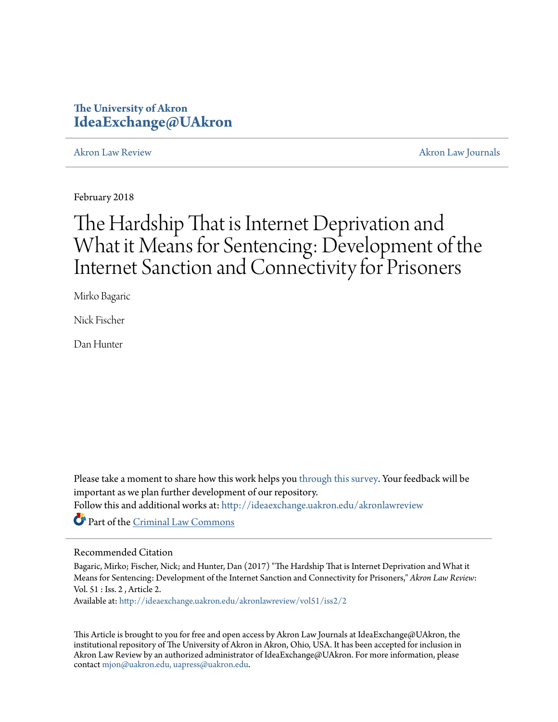## **The University of Akron [IdeaExchange@UAkron](http://ideaexchange.uakron.edu?utm_source=ideaexchange.uakron.edu%2Fakronlawreview%2Fvol51%2Fiss2%2F2&utm_medium=PDF&utm_campaign=PDFCoverPages)**

[Akron Law Review](http://ideaexchange.uakron.edu/akronlawreview?utm_source=ideaexchange.uakron.edu%2Fakronlawreview%2Fvol51%2Fiss2%2F2&utm_medium=PDF&utm_campaign=PDFCoverPages) [Akron Law Journals](http://ideaexchange.uakron.edu/akronlawjournals?utm_source=ideaexchange.uakron.edu%2Fakronlawreview%2Fvol51%2Fiss2%2F2&utm_medium=PDF&utm_campaign=PDFCoverPages)

February 2018

# The Hardship That is Internet Deprivation and What it Means for Sentencing: Development of the Internet Sanction and Connectivity for Prisoners

Mirko Bagaric

Nick Fischer

Dan Hunter

Please take a moment to share how this work helps you [through this survey.](http://survey.az1.qualtrics.com/SE/?SID=SV_eEVH54oiCbOw05f&URL=http://ideaexchange.uakron.edu/akronlawreview/vol51/iss2/2) Your feedback will be important as we plan further development of our repository.

Follow this and additional works at: [http://ideaexchange.uakron.edu/akronlawreview](http://ideaexchange.uakron.edu/akronlawreview?utm_source=ideaexchange.uakron.edu%2Fakronlawreview%2Fvol51%2Fiss2%2F2&utm_medium=PDF&utm_campaign=PDFCoverPages)

Part of the [Criminal Law Commons](http://network.bepress.com/hgg/discipline/912?utm_source=ideaexchange.uakron.edu%2Fakronlawreview%2Fvol51%2Fiss2%2F2&utm_medium=PDF&utm_campaign=PDFCoverPages)

## Recommended Citation

Bagaric, Mirko; Fischer, Nick; and Hunter, Dan (2017) "The Hardship That is Internet Deprivation and What it Means for Sentencing: Development of the Internet Sanction and Connectivity for Prisoners," *Akron Law Review*: Vol. 51 : Iss. 2 , Article 2.

Available at: [http://ideaexchange.uakron.edu/akronlawreview/vol51/iss2/2](http://ideaexchange.uakron.edu/akronlawreview/vol51/iss2/2?utm_source=ideaexchange.uakron.edu%2Fakronlawreview%2Fvol51%2Fiss2%2F2&utm_medium=PDF&utm_campaign=PDFCoverPages)

This Article is brought to you for free and open access by Akron Law Journals at IdeaExchange@UAkron, the institutional repository of The University of Akron in Akron, Ohio, USA. It has been accepted for inclusion in Akron Law Review by an authorized administrator of IdeaExchange@UAkron. For more information, please contact [mjon@uakron.edu, uapress@uakron.edu.](mailto:mjon@uakron.edu,%20uapress@uakron.edu)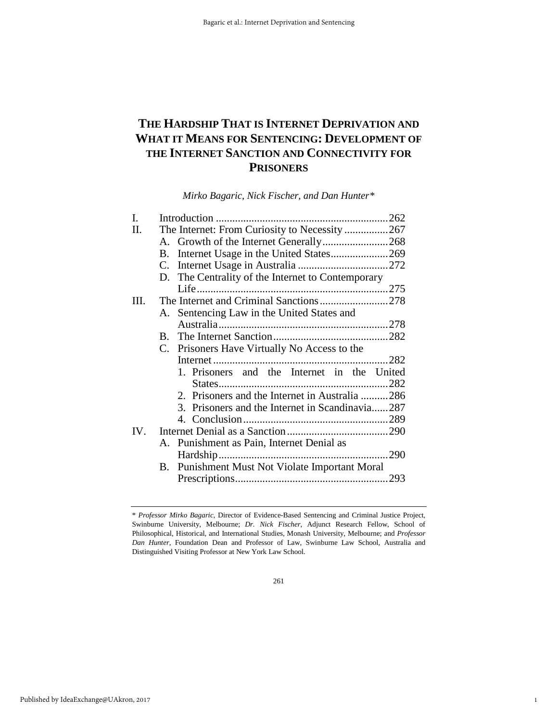## **THE HARDSHIP THAT IS INTERNET DEPRIVATION AND WHAT IT MEANS FOR SENTENCING: DEVELOPMENT OF THE INTERNET SANCTION AND CONNECTIVITY FOR PRISONERS**

*Mirko Bagaric, Nick Fischer, and Dan Hunter[\\*](#page-1-0)*

| L   |                                                     |                                            |  |  |
|-----|-----------------------------------------------------|--------------------------------------------|--|--|
| П.  | The Internet: From Curiosity to Necessity 267       |                                            |  |  |
|     |                                                     |                                            |  |  |
|     | Internet Usage in the United States269<br><b>B.</b> |                                            |  |  |
|     | C.                                                  |                                            |  |  |
|     | D. The Centrality of the Internet to Contemporary   |                                            |  |  |
|     |                                                     |                                            |  |  |
| Ш.  | The Internet and Criminal Sanctions278              |                                            |  |  |
|     |                                                     | A. Sentencing Law in the United States and |  |  |
|     |                                                     |                                            |  |  |
|     |                                                     |                                            |  |  |
|     | C. Prisoners Have Virtually No Access to the        |                                            |  |  |
|     |                                                     |                                            |  |  |
|     | 1. Prisoners and the Internet in the United         |                                            |  |  |
|     |                                                     |                                            |  |  |
|     | 2. Prisoners and the Internet in Australia 286      |                                            |  |  |
|     | 3. Prisoners and the Internet in Scandinavia287     |                                            |  |  |
|     |                                                     |                                            |  |  |
| IV. |                                                     |                                            |  |  |
|     | A. Punishment as Pain, Internet Denial as           |                                            |  |  |
|     |                                                     | 290                                        |  |  |
|     | B. Punishment Must Not Violate Important Moral      |                                            |  |  |
|     |                                                     |                                            |  |  |

1

<span id="page-1-0"></span><sup>\*</sup> *Professor Mirko Bagaric*, Director of Evidence-Based Sentencing and Criminal Justice Project, Swinburne University, Melbourne; *Dr. Nick Fischer*, Adjunct Research Fellow, School of Philosophical, Historical, and International Studies, Monash University, Melbourne; and *Professor Dan Hunter*, Foundation Dean and Professor of Law, Swinburne Law School, Australia and Distinguished Visiting Professor at New York Law School.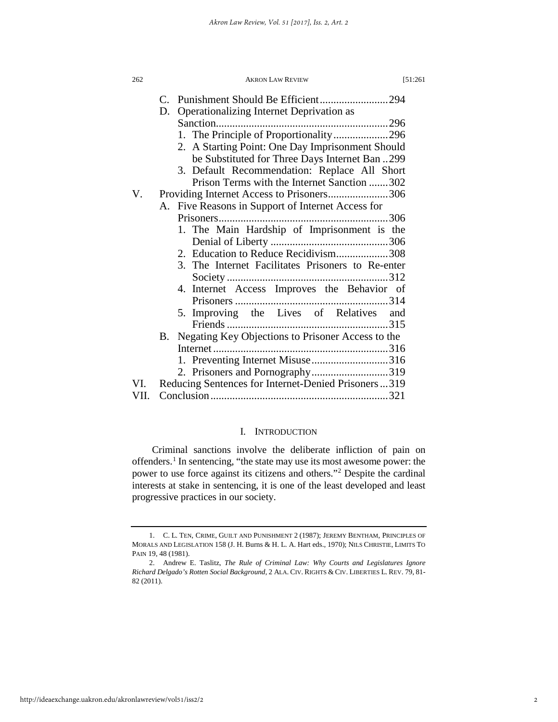| 262  | <b>AKRON LAW REVIEW</b><br>[51:261]                     |  |  |
|------|---------------------------------------------------------|--|--|
|      | C. Punishment Should Be Efficient294                    |  |  |
|      | Operationalizing Internet Deprivation as<br>D.          |  |  |
|      |                                                         |  |  |
|      | 1. The Principle of Proportionality296                  |  |  |
|      | 2. A Starting Point: One Day Imprisonment Should        |  |  |
|      | be Substituted for Three Days Internet Ban 299          |  |  |
|      | 3. Default Recommendation: Replace All Short            |  |  |
|      | Prison Terms with the Internet Sanction 302             |  |  |
| V.   | Providing Internet Access to Prisoners306               |  |  |
|      | A. Five Reasons in Support of Internet Access for       |  |  |
|      |                                                         |  |  |
|      | 1. The Main Hardship of Imprisonment is the             |  |  |
|      |                                                         |  |  |
|      |                                                         |  |  |
|      | 3. The Internet Facilitates Prisoners to Re-enter       |  |  |
|      |                                                         |  |  |
|      | 4. Internet Access Improves the Behavior of             |  |  |
|      |                                                         |  |  |
|      | 5. Improving the Lives of Relatives and                 |  |  |
|      |                                                         |  |  |
|      | Negating Key Objections to Prisoner Access to the<br>В. |  |  |
|      |                                                         |  |  |
|      | 1. Preventing Internet Misuse316                        |  |  |
|      | 2. Prisoners and Pornography319                         |  |  |
| VI.  | Reducing Sentences for Internet-Denied Prisoners319     |  |  |
| VII. |                                                         |  |  |
|      |                                                         |  |  |

## I. INTRODUCTION

Criminal sanctions involve the deliberate infliction of pain on offenders.[1](#page-2-0) In sentencing, "the state may use its most awesome power: the power to use force against its citizens and others."[2](#page-2-1) Despite the cardinal interests at stake in sentencing, it is one of the least developed and least progressive practices in our society.

<span id="page-2-0"></span><sup>1.</sup> C. L. TEN, CRIME, GUILT AND PUNISHMENT 2 (1987); JEREMY BENTHAM, PRINCIPLES OF MORALS AND LEGISLATION 158 (J. H. Burns & H. L. A. Hart eds., 1970); NILS CHRISTIE, LIMITS TO PAIN 19, 48 (1981).

<span id="page-2-1"></span><sup>2.</sup> Andrew E. Taslitz, *The Rule of Criminal Law: Why Courts and Legislatures Ignore Richard Delgado's Rotten Social Background,* 2 ALA. CIV. RIGHTS & CIV. LIBERTIES L. REV. 79, 81- 82 (2011).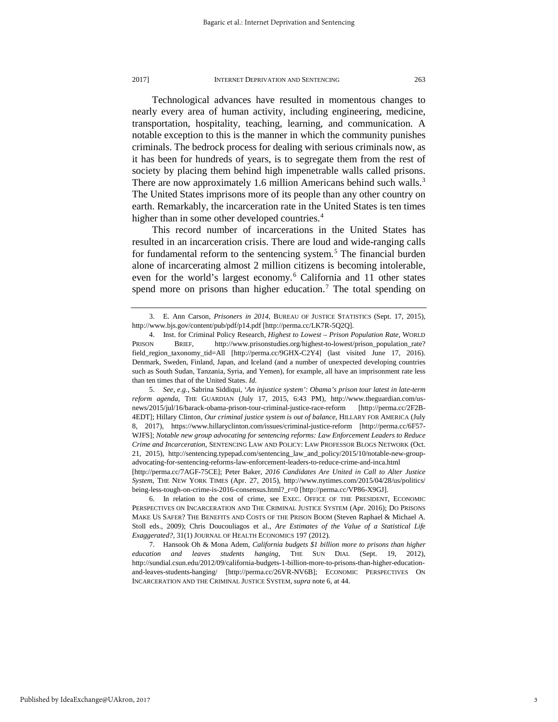Technological advances have resulted in momentous changes to nearly every area of human activity, including engineering, medicine, transportation, hospitality, teaching, learning, and communication. A notable exception to this is the manner in which the community punishes criminals. The bedrock process for dealing with serious criminals now, as it has been for hundreds of years, is to segregate them from the rest of society by placing them behind high impenetrable walls called prisons. There are now approximately 1.6 million Americans behind such walls.<sup>[3](#page-3-0)</sup> The United States imprisons more of its people than any other country on earth. Remarkably, the incarceration rate in the United States is ten times higher than in some other developed countries.<sup>[4](#page-3-1)</sup>

This record number of incarcerations in the United States has resulted in an incarceration crisis. There are loud and wide-ranging calls for fundamental reform to the sentencing system.<sup>[5](#page-3-2)</sup> The financial burden alone of incarcerating almost 2 million citizens is becoming intolerable, even for the world's largest economy.<sup>[6](#page-3-3)</sup> California and 11 other states spend more on prisons than higher education.<sup>[7](#page-3-4)</sup> The total spending on

<span id="page-3-2"></span>5. *See, e.g.,* Sabrina Siddiqui, '*An injustice system': Obama's prison tour latest in late-term reform agenda,* THE GUARDIAN (July 17, 2015, 6:43 PM), http://www.theguardian.com/usnews/2015/jul/16/barack-obama-prison-tour-criminal-justice-race-reform [http://perma.cc/2F2B-4EDT]; Hillary Clinton, *Our criminal justice system is out of balance*, HILLARY FOR AMERICA (July 8, 2017), https://www.hillaryclinton.com/issues/criminal-justice-reform [http://perma.cc/6F57- WJFS]; *Notable new group advocating for sentencing reforms: Law Enforcement Leaders to Reduce Crime and Incarceration*, SENTENCING LAW AND POLICY: LAW PROFESSOR BLOGS NETWORK (Oct. 21, 2015), http://sentencing.typepad.com/sentencing\_law\_and\_policy/2015/10/notable-new-groupadvocating-for-sentencing-reforms-law-enforcement-leaders-to-reduce-crime-and-inca.html

[http://perma.cc/7AGF-75CE]; Peter Baker, *2016 Candidates Are United in Call to Alter Justice System*, THE NEW YORK TIMES (Apr. 27, 2015), http://www.nytimes.com/2015/04/28/us/politics/ being-less-tough-on-crime-is-2016-consensus.html?\_r=0 [http://perma.cc/VP86-X9GJ].

<span id="page-3-3"></span>6. In relation to the cost of crime, see EXEC. OFFICE OF THE PRESIDENT, ECONOMIC PERSPECTIVES ON INCARCERATION AND THE CRIMINAL JUSTICE SYSTEM (Apr. 2016); DO PRISONS MAKE US SAFER? THE BENEFITS AND COSTS OF THE PRISON BOOM (Steven Raphael & Michael A. Stoll eds., 2009); Chris Doucouliagos et al., *Are Estimates of the Value of a Statistical Life Exaggerated?,* 31(1) JOURNAL OF HEALTH ECONOMICS 197 (2012).

<span id="page-3-4"></span>7. Hansook Oh & Mona Adem, *California budgets \$1 billion more to prisons than higher education and leaves students hanging*, THE SUN DIAL (Sept. 19, 2012), http://sundial.csun.edu/2012/09/california-budgets-1-billion-more-to-prisons-than-higher-educationand-leaves-students-hanging/ [http://perma.cc/26VR-NV6B]; ECONOMIC PERSPECTIVES ON INCARCERATION AND THE CRIMINAL JUSTICE SYSTEM, *supra* note 6, at 44.

Published by IdeaExchange@UAkron, 2017

<span id="page-3-0"></span><sup>3.</sup> E. Ann Carson, *Prisoners in 2014,* BUREAU OF JUSTICE STATISTICS (Sept. 17, 2015), http://www.bjs.gov/content/pub/pdf/p14.pdf [http://perma.cc/LK7R-5Q2Q].

<span id="page-3-1"></span><sup>4.</sup> Inst. for Criminal Policy Research, *Highest to Lowest – Prison Population Rate,* WORLD PRISON BRIEF, http://www.prisonstudies.org/highest-to-lowest/prison\_population\_rate? field\_region\_taxonomy\_tid=All [http://perma.cc/9GHX-C2Y4] (last visited June 17, 2016). Denmark, Sweden, Finland, Japan, and Iceland (and a number of unexpected developing countries such as South Sudan, Tanzania, Syria, and Yemen), for example, all have an imprisonment rate less than ten times that of the United States. *Id*.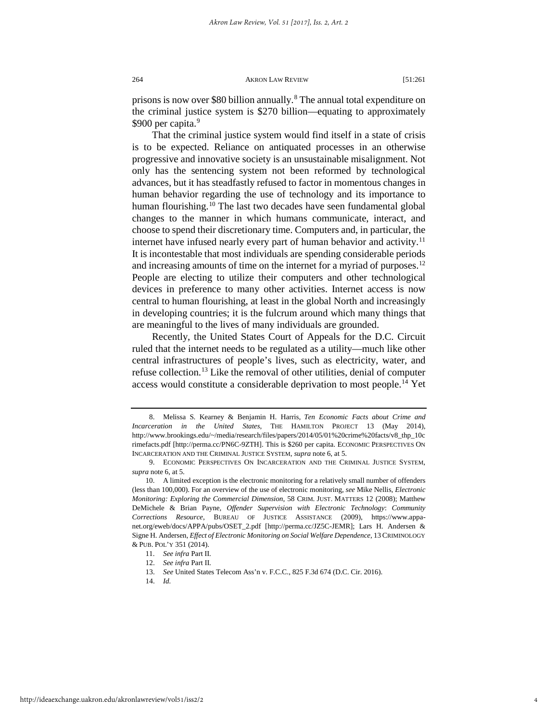prisons is now over \$[8](#page-4-0)0 billion annually.<sup>8</sup> The annual total expenditure on the criminal justice system is \$270 billion—equating to approximately \$[9](#page-4-1)00 per capita.<sup>9</sup>

That the criminal justice system would find itself in a state of crisis is to be expected. Reliance on antiquated processes in an otherwise progressive and innovative society is an unsustainable misalignment. Not only has the sentencing system not been reformed by technological advances, but it has steadfastly refused to factor in momentous changes in human behavior regarding the use of technology and its importance to human flourishing.<sup>[10](#page-4-2)</sup> The last two decades have seen fundamental global changes to the manner in which humans communicate, interact, and choose to spend their discretionary time. Computers and, in particular, the internet have infused nearly every part of human behavior and activity.<sup>[11](#page-4-3)</sup> It is incontestable that most individuals are spending considerable periods and increasing amounts of time on the internet for a myriad of purposes.<sup>[12](#page-4-4)</sup> People are electing to utilize their computers and other technological devices in preference to many other activities. Internet access is now central to human flourishing, at least in the global North and increasingly in developing countries; it is the fulcrum around which many things that are meaningful to the lives of many individuals are grounded.

Recently, the United States Court of Appeals for the D.C. Circuit ruled that the internet needs to be regulated as a utility—much like other central infrastructures of people's lives, such as electricity, water, and refuse collection.[13](#page-4-5) Like the removal of other utilities, denial of computer access would constitute a considerable deprivation to most people.<sup>[14](#page-4-6)</sup> Yet

<span id="page-4-0"></span><sup>8.</sup> Melissa S. Kearney & Benjamin H. Harris, *Ten Economic Facts about Crime and Incarceration in the United States*, THE HAMILTON PROJECT 13 (May 2014), http://www.brookings.edu/~/media/research/files/papers/2014/05/01%20crime%20facts/v8\_thp\_10c rimefacts.pdf [http://perma.cc/PN6C-9ZTH]. This is \$260 per capita. ECONOMIC PERSPECTIVES ON INCARCERATION AND THE CRIMINAL JUSTICE SYSTEM, *supra* note 6, at 5.

<span id="page-4-1"></span><sup>9.</sup> ECONOMIC PERSPECTIVES ON INCARCERATION AND THE CRIMINAL JUSTICE SYSTEM, *supra* note 6, at 5.

<span id="page-4-2"></span><sup>10.</sup> A limited exception is the electronic monitoring for a relatively small number of offenders (less than 100,000). For an overview of the use of electronic monitoring, *see* Mike Nellis, *Electronic Monitoring: Exploring the Commercial Dimension*, 58 CRIM. JUST. MATTERS 12 (2008); Matthew DeMichele & Brian Payne, *Offender Supervision with Electronic Technology*: *Community Corrections Resource*, BUREAU OF JUSTICE ASSISTANCE (2009), https://www.appanet.org/eweb/docs/APPA/pubs/OSET\_2.pdf [http://perma.cc/JZ5C-JEMR]; Lars H. Andersen & Signe H. Andersen, *Effect of Electronic Monitoring on Social Welfare Dependence*, 13 CRIMINOLOGY & PUB. POL'Y 351 (2014).

<span id="page-4-6"></span><span id="page-4-5"></span><span id="page-4-4"></span><span id="page-4-3"></span><sup>11.</sup> *See infra* Part II.

<sup>12.</sup> *See infra* Part II.

<sup>13.</sup> *See* United States Telecom Ass'n v. F.C.C., 825 F.3d 674 (D.C. Cir. 2016).

<sup>14.</sup> *Id.*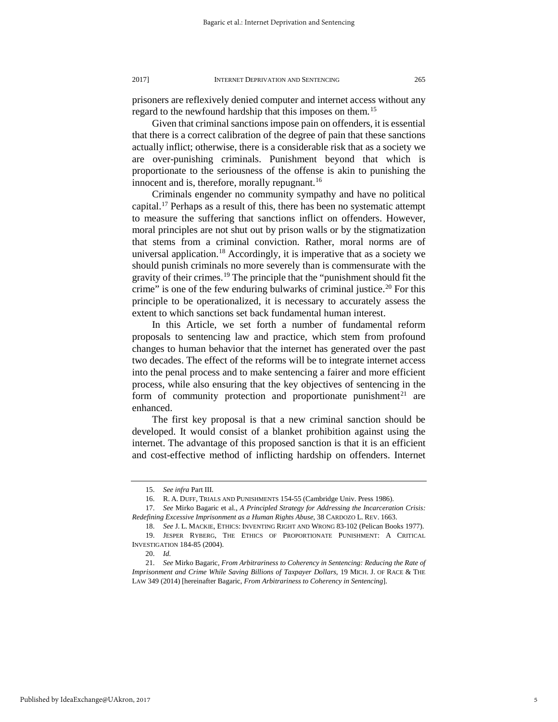prisoners are reflexively denied computer and internet access without any regard to the newfound hardship that this imposes on them.<sup>[15](#page-5-0)</sup>

Given that criminal sanctions impose pain on offenders, it is essential that there is a correct calibration of the degree of pain that these sanctions actually inflict; otherwise, there is a considerable risk that as a society we are over-punishing criminals. Punishment beyond that which is proportionate to the seriousness of the offense is akin to punishing the innocent and is, therefore, morally repugnant.<sup>16</sup>

Criminals engender no community sympathy and have no political capital.<sup>17</sup> Perhaps as a result of this, there has been no systematic attempt to measure the suffering that sanctions inflict on offenders. However, moral principles are not shut out by prison walls or by the stigmatization that stems from a criminal conviction. Rather, moral norms are of universal application.<sup>18</sup> Accordingly, it is imperative that as a society we should punish criminals no more severely than is commensurate with the gravity of their crimes.<sup>[19](#page-5-4)</sup> The principle that the "punishment should fit the crime" is one of the few enduring bulwarks of criminal justice.<sup>20</sup> For this principle to be operationalized, it is necessary to accurately assess the extent to which sanctions set back fundamental human interest.

In this Article, we set forth a number of fundamental reform proposals to sentencing law and practice, which stem from profound changes to human behavior that the internet has generated over the past two decades. The effect of the reforms will be to integrate internet access into the penal process and to make sentencing a fairer and more efficient process, while also ensuring that the key objectives of sentencing in the form of community protection and proportionate punishment<sup>[21](#page-5-6)</sup> are enhanced.

The first key proposal is that a new criminal sanction should be developed. It would consist of a blanket prohibition against using the internet. The advantage of this proposed sanction is that it is an efficient and cost-effective method of inflicting hardship on offenders. Internet

<sup>15.</sup> *See infra* Part III.

<sup>16.</sup> R. A. DUFF, TRIALS AND PUNISHMENTS 154-55 (Cambridge Univ. Press 1986).

<span id="page-5-2"></span><span id="page-5-1"></span><span id="page-5-0"></span><sup>17.</sup> *See* Mirko Bagaric et al., *A Principled Strategy for Addressing the Incarceration Crisis: Redefining Excessive Imprisonment as a Human Rights Abuse*, 38 CARDOZO L. REV. 1663.

<sup>18.</sup> *See* J. L. MACKIE, ETHICS: INVENTING RIGHT AND WRONG 83-102 (Pelican Books 1977).

<span id="page-5-4"></span><span id="page-5-3"></span><sup>19.</sup> JESPER RYBERG, THE ETHICS OF PROPORTIONATE PUNISHMENT: A CRITICAL INVESTIGATION 184-85 (2004).

<sup>20.</sup> *Id.*

<span id="page-5-6"></span><span id="page-5-5"></span><sup>21.</sup> *See* Mirko Bagaric, *From Arbitrariness to Coherency in Sentencing: Reducing the Rate of Imprisonment and Crime While Saving Billions of Taxpayer Dollars*, 19 MICH. J. OF RACE & THE LAW 349 (2014) [hereinafter Bagaric, *From Arbitrariness to Coherency in Sentencing*].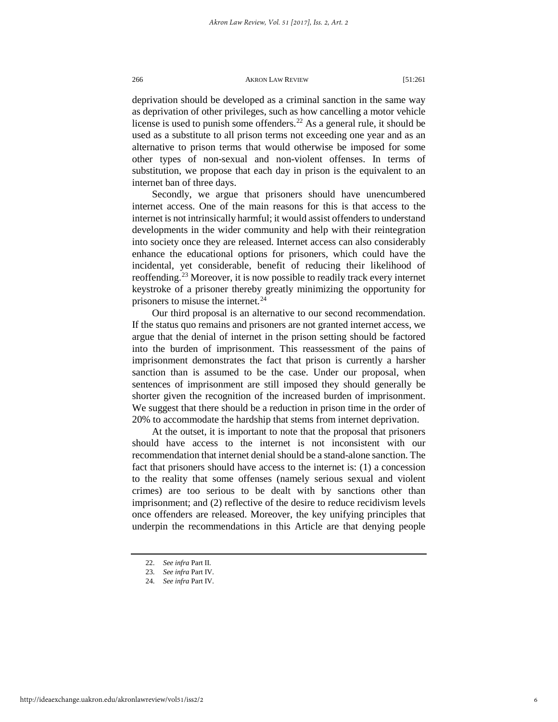deprivation should be developed as a criminal sanction in the same way as deprivation of other privileges, such as how cancelling a motor vehicle license is used to punish some offenders.<sup>22</sup> As a general rule, it should be used as a substitute to all prison terms not exceeding one year and as an alternative to prison terms that would otherwise be imposed for some other types of non-sexual and non-violent offenses. In terms of substitution, we propose that each day in prison is the equivalent to an internet ban of three days.

Secondly, we argue that prisoners should have unencumbered internet access. One of the main reasons for this is that access to the internet is not intrinsically harmful; it would assist offenders to understand developments in the wider community and help with their reintegration into society once they are released. Internet access can also considerably enhance the educational options for prisoners, which could have the incidental, yet considerable, benefit of reducing their likelihood of reoffending.[23](#page-6-1) Moreover, it is now possible to readily track every internet keystroke of a prisoner thereby greatly minimizing the opportunity for prisoners to misuse the internet.<sup>[24](#page-6-2)</sup>

Our third proposal is an alternative to our second recommendation. If the status quo remains and prisoners are not granted internet access, we argue that the denial of internet in the prison setting should be factored into the burden of imprisonment. This reassessment of the pains of imprisonment demonstrates the fact that prison is currently a harsher sanction than is assumed to be the case. Under our proposal, when sentences of imprisonment are still imposed they should generally be shorter given the recognition of the increased burden of imprisonment. We suggest that there should be a reduction in prison time in the order of 20% to accommodate the hardship that stems from internet deprivation.

At the outset, it is important to note that the proposal that prisoners should have access to the internet is not inconsistent with our recommendation that internet denial should be a stand-alone sanction. The fact that prisoners should have access to the internet is: (1) a concession to the reality that some offenses (namely serious sexual and violent crimes) are too serious to be dealt with by sanctions other than imprisonment; and (2) reflective of the desire to reduce recidivism levels once offenders are released. Moreover, the key unifying principles that underpin the recommendations in this Article are that denying people

<sup>22.</sup> *See infra* Part II.

<span id="page-6-2"></span><span id="page-6-1"></span><span id="page-6-0"></span><sup>23.</sup> *See infra* Part IV.

<sup>24.</sup> *See infra* Part IV.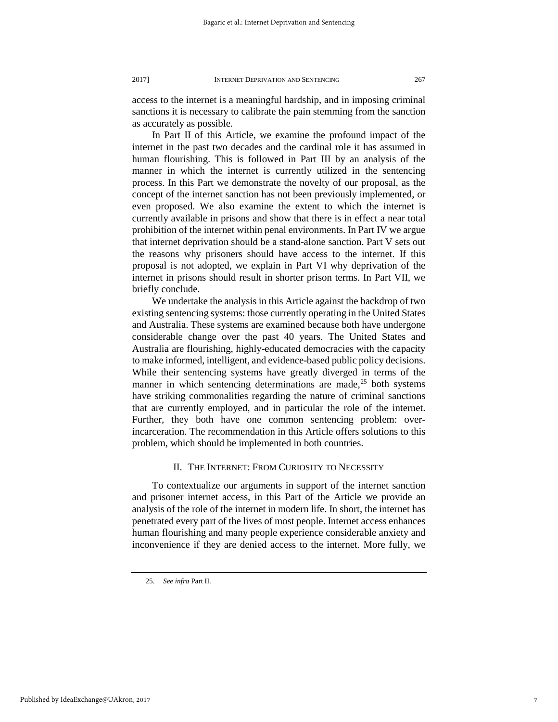access to the internet is a meaningful hardship, and in imposing criminal sanctions it is necessary to calibrate the pain stemming from the sanction as accurately as possible.

In Part II of this Article, we examine the profound impact of the internet in the past two decades and the cardinal role it has assumed in human flourishing. This is followed in Part III by an analysis of the manner in which the internet is currently utilized in the sentencing process. In this Part we demonstrate the novelty of our proposal, as the concept of the internet sanction has not been previously implemented, or even proposed. We also examine the extent to which the internet is currently available in prisons and show that there is in effect a near total prohibition of the internet within penal environments. In Part IV we argue that internet deprivation should be a stand-alone sanction. Part V sets out the reasons why prisoners should have access to the internet. If this proposal is not adopted, we explain in Part VI why deprivation of the internet in prisons should result in shorter prison terms. In Part VII, we briefly conclude.

We undertake the analysis in this Article against the backdrop of two existing sentencing systems: those currently operating in the United States and Australia. These systems are examined because both have undergone considerable change over the past 40 years. The United States and Australia are flourishing, highly-educated democracies with the capacity to make informed, intelligent, and evidence-based public policy decisions. While their sentencing systems have greatly diverged in terms of the manner in which sentencing determinations are made,  $25$  both systems have striking commonalities regarding the nature of criminal sanctions that are currently employed, and in particular the role of the internet. Further, they both have one common sentencing problem: overincarceration. The recommendation in this Article offers solutions to this problem, which should be implemented in both countries.

## II. THE INTERNET: FROM CURIOSITY TO NECESSITY

To contextualize our arguments in support of the internet sanction and prisoner internet access, in this Part of the Article we provide an analysis of the role of the internet in modern life. In short, the internet has penetrated every part of the lives of most people. Internet access enhances human flourishing and many people experience considerable anxiety and inconvenience if they are denied access to the internet. More fully, we

<span id="page-7-0"></span><sup>25.</sup> *See infra* Part II.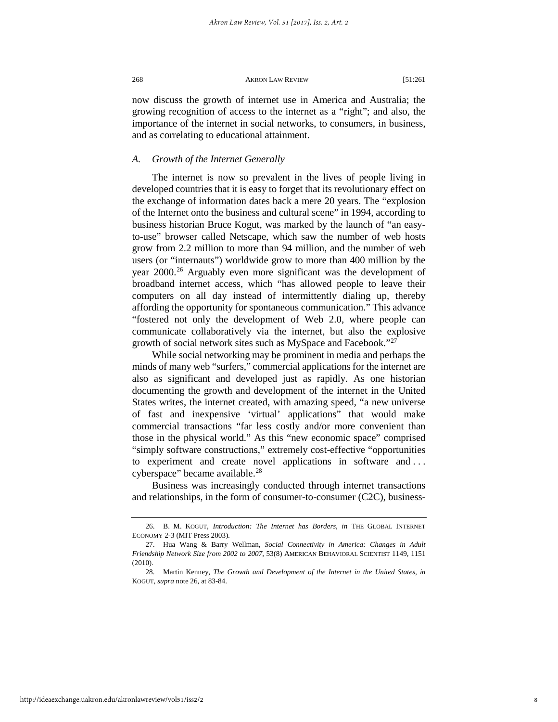now discuss the growth of internet use in America and Australia; the growing recognition of access to the internet as a "right"; and also, the importance of the internet in social networks, to consumers, in business, and as correlating to educational attainment.

## *A. Growth of the Internet Generally*

The internet is now so prevalent in the lives of people living in developed countries that it is easy to forget that its revolutionary effect on the exchange of information dates back a mere 20 years. The "explosion of the Internet onto the business and cultural scene" in 1994, according to business historian Bruce Kogut, was marked by the launch of "an easyto-use" browser called Netscape, which saw the number of web hosts grow from 2.2 million to more than 94 million, and the number of web users (or "internauts") worldwide grow to more than 400 million by the year 2000.<sup>[26](#page-8-0)</sup> Arguably even more significant was the development of broadband internet access, which "has allowed people to leave their computers on all day instead of intermittently dialing up, thereby affording the opportunity for spontaneous communication." This advance "fostered not only the development of Web 2.0, where people can communicate collaboratively via the internet, but also the explosive growth of social network sites such as MySpace and Facebook."[27](#page-8-1)

While social networking may be prominent in media and perhaps the minds of many web "surfers," commercial applications for the internet are also as significant and developed just as rapidly. As one historian documenting the growth and development of the internet in the United States writes, the internet created, with amazing speed, "a new universe of fast and inexpensive 'virtual' applications" that would make commercial transactions "far less costly and/or more convenient than those in the physical world." As this "new economic space" comprised "simply software constructions," extremely cost-effective "opportunities to experiment and create novel applications in software and . . . cyberspace" became available.<sup>[28](#page-8-2)</sup>

Business was increasingly conducted through internet transactions and relationships, in the form of consumer-to-consumer (C2C), business-

<span id="page-8-0"></span><sup>26.</sup> B. M. KOGUT, *Introduction: The Internet has Borders, in* THE GLOBAL INTERNET ECONOMY 2-3 (MIT Press 2003).

<span id="page-8-1"></span><sup>27.</sup> Hua Wang & Barry Wellman, *Social Connectivity in America: Changes in Adult Friendship Network Size from 2002 to 2007*, 53(8) AMERICAN BEHAVIORAL SCIENTIST 1149, 1151 (2010).

<span id="page-8-2"></span><sup>28.</sup> Martin Kenney, *The Growth and Development of the Internet in the United States, in* KOGUT, *supra* note 26, at 83-84.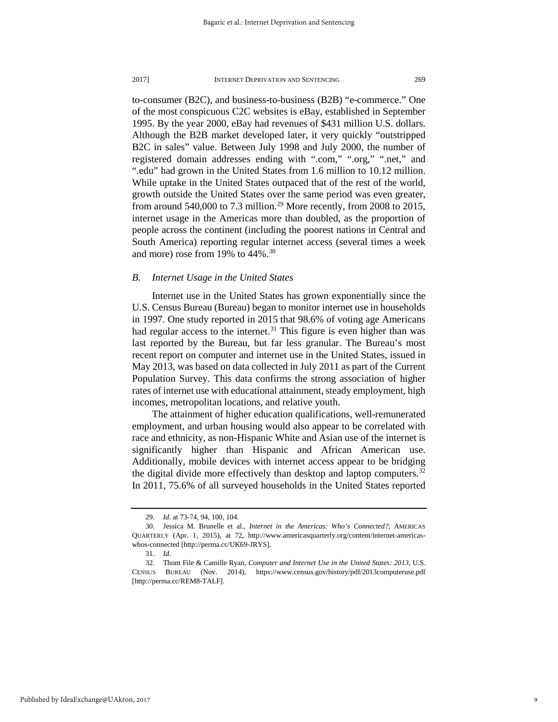to-consumer (B2C), and business-to-business (B2B) "e-commerce." One of the most conspicuous C2C websites is eBay, established in September 1995. By the year 2000, eBay had revenues of \$431 million U.S. dollars. Although the B2B market developed later, it very quickly "outstripped B2C in sales" value. Between July 1998 and July 2000, the number of registered domain addresses ending with ".com," ".org," ".net," and ".edu" had grown in the United States from 1.6 million to 10.12 million. While uptake in the United States outpaced that of the rest of the world, growth outside the United States over the same period was even greater, from around 540,000 to 7.3 million.<sup>[29](#page-9-0)</sup> More recently, from 2008 to 2015, internet usage in the Americas more than doubled, as the proportion of people across the continent (including the poorest nations in Central and South America) reporting regular internet access (several times a week and more) rose from 19% to 44%[.30](#page-9-1)

## *B. Internet Usage in the United States*

Internet use in the United States has grown exponentially since the U.S. Census Bureau (Bureau) began to monitor internet use in households in 1997. One study reported in 2015 that 98.6% of voting age Americans had regular access to the internet.<sup>[31](#page-9-2)</sup> This figure is even higher than was last reported by the Bureau, but far less granular. The Bureau's most recent report on computer and internet use in the United States, issued in May 2013, was based on data collected in July 2011 as part of the Current Population Survey. This data confirms the strong association of higher rates of internet use with educational attainment, steady employment, high incomes, metropolitan locations, and relative youth.

The attainment of higher education qualifications, well-remunerated employment, and urban housing would also appear to be correlated with race and ethnicity, as non-Hispanic White and Asian use of the internet is significantly higher than Hispanic and African American use. Additionally, mobile devices with internet access appear to be bridging the digital divide more effectively than desktop and laptop computers.<sup>[32](#page-9-3)</sup> In 2011, 75.6% of all surveyed households in the United States reported

<sup>29.</sup> *Id.* at 73-74, 94, 100, 104.

<span id="page-9-1"></span><span id="page-9-0"></span><sup>30.</sup> Jessica M. Brunelle et al., *Internet in the Americas: Who's Connected?,* AMERICAS QUARTERLY (Apr. 1, 2015), at 72, http://www.americasquarterly.org/content/internet-americaswhos-connected [http://perma.cc/UK69-JRYS].

<sup>31.</sup> *Id.*

<span id="page-9-3"></span><span id="page-9-2"></span><sup>32.</sup> Thom File & Camille Ryan, *Computer and Internet Use in the United States: 2013*, U.S. CENSUS BUREAU (Nov. 2014), https://www.census.gov/history/pdf/2013computeruse.pdf [http://perma.cc/REM8-TALF].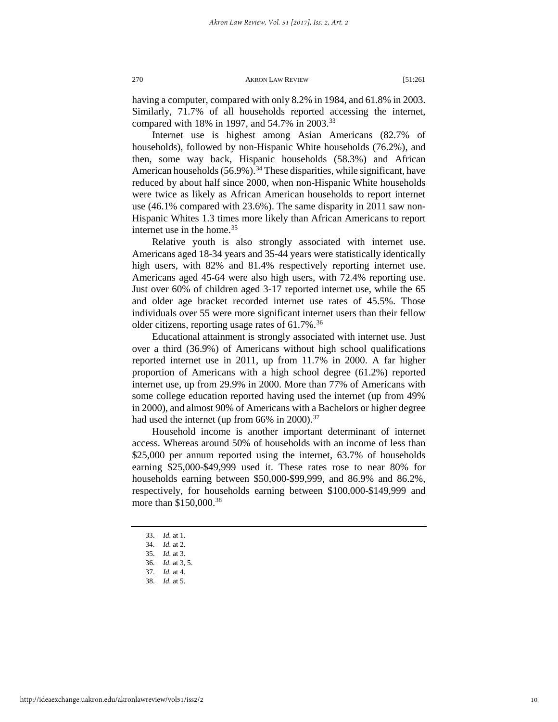having a computer, compared with only 8.2% in 1984, and 61.8% in 2003. Similarly, 71.7% of all households reported accessing the internet, compared with 18% in 1997, and 54.7% in 2003.<sup>33</sup>

Internet use is highest among Asian Americans (82.7% of households), followed by non-Hispanic White households (76.2%), and then, some way back, Hispanic households (58.3%) and African American households  $(56.9\%)$ .<sup>[34](#page-10-1)</sup> These disparities, while significant, have reduced by about half since 2000, when non-Hispanic White households were twice as likely as African American households to report internet use (46.1% compared with 23.6%). The same disparity in 2011 saw non-Hispanic Whites 1.3 times more likely than African Americans to report internet use in the home.<sup>[35](#page-10-2)</sup>

Relative youth is also strongly associated with internet use. Americans aged 18-34 years and 35-44 years were statistically identically high users, with 82% and 81.4% respectively reporting internet use. Americans aged 45-64 were also high users, with 72.4% reporting use. Just over 60% of children aged 3-17 reported internet use, while the 65 and older age bracket recorded internet use rates of 45.5%. Those individuals over 55 were more significant internet users than their fellow older citizens, reporting usage rates of  $61.7\%$ .<sup>[36](#page-10-3)</sup>

Educational attainment is strongly associated with internet use. Just over a third (36.9%) of Americans without high school qualifications reported internet use in 2011, up from 11.7% in 2000. A far higher proportion of Americans with a high school degree (61.2%) reported internet use, up from 29.9% in 2000. More than 77% of Americans with some college education reported having used the internet (up from 49% in 2000), and almost 90% of Americans with a Bachelors or higher degree had used the internet (up from 66% in 2000).<sup>[37](#page-10-4)</sup>

Household income is another important determinant of internet access. Whereas around 50% of households with an income of less than \$25,000 per annum reported using the internet, 63.7% of households earning \$25,000-\$49,999 used it. These rates rose to near 80% for households earning between \$50,000-\$99,999, and 86.9% and 86.2%, respectively, for households earning between \$100,000-\$149,999 and more than \$150,000.<sup>[38](#page-10-5)</sup>

33. *Id.* at 1.

- <span id="page-10-3"></span><span id="page-10-2"></span><span id="page-10-1"></span><span id="page-10-0"></span>35. *Id.* at 3.
- <span id="page-10-4"></span>36. *Id.* at 3, 5.
- 37. *Id.* at 4.
- <span id="page-10-5"></span>38. *Id.* at 5.

<sup>34.</sup> *Id.* at 2.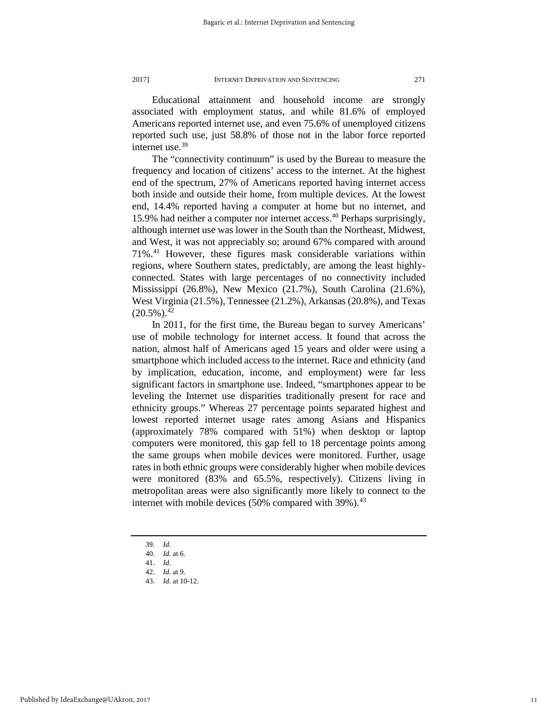Educational attainment and household income are strongly associated with employment status, and while 81.6% of employed Americans reported internet use, and even 75.6% of unemployed citizens reported such use, just 58.8% of those not in the labor force reported internet use.<sup>[39](#page-11-0)</sup>

The "connectivity continuum" is used by the Bureau to measure the frequency and location of citizens' access to the internet. At the highest end of the spectrum, 27% of Americans reported having internet access both inside and outside their home, from multiple devices. At the lowest end, 14.4% reported having a computer at home but no internet, and 15.9% had neither a computer nor internet access.<sup>[40](#page-11-1)</sup> Perhaps surprisingly, although internet use was lower in the South than the Northeast, Midwest, and West, it was not appreciably so; around 67% compared with around 71%.[41](#page-11-2) However, these figures mask considerable variations within regions, where Southern states, predictably, are among the least highlyconnected. States with large percentages of no connectivity included Mississippi (26.8%), New Mexico (21.7%), South Carolina (21.6%), West Virginia (21.5%), Tennessee (21.2%), Arkansas (20.8%), and Texas  $(20.5\%)$ <sup>[42](#page-11-3)</sup>

In 2011, for the first time, the Bureau began to survey Americans' use of mobile technology for internet access. It found that across the nation, almost half of Americans aged 15 years and older were using a smartphone which included access to the internet. Race and ethnicity (and by implication, education, income, and employment) were far less significant factors in smartphone use. Indeed, "smartphones appear to be leveling the Internet use disparities traditionally present for race and ethnicity groups." Whereas 27 percentage points separated highest and lowest reported internet usage rates among Asians and Hispanics (approximately 78% compared with 51%) when desktop or laptop computers were monitored, this gap fell to 18 percentage points among the same groups when mobile devices were monitored. Further, usage rates in both ethnic groups were considerably higher when mobile devices were monitored (83% and 65.5%, respectively). Citizens living in metropolitan areas were also significantly more likely to connect to the internet with mobile devices  $(50\%$  compared with 39%).<sup>[43](#page-11-4)</sup>

- 39. *Id.*
- 40. *Id.* at 6.

- 42. *Id.* at 9.
- 43. *Id.* at 10-12.

<span id="page-11-4"></span><span id="page-11-3"></span><span id="page-11-2"></span><span id="page-11-1"></span><span id="page-11-0"></span><sup>41.</sup> *Id.*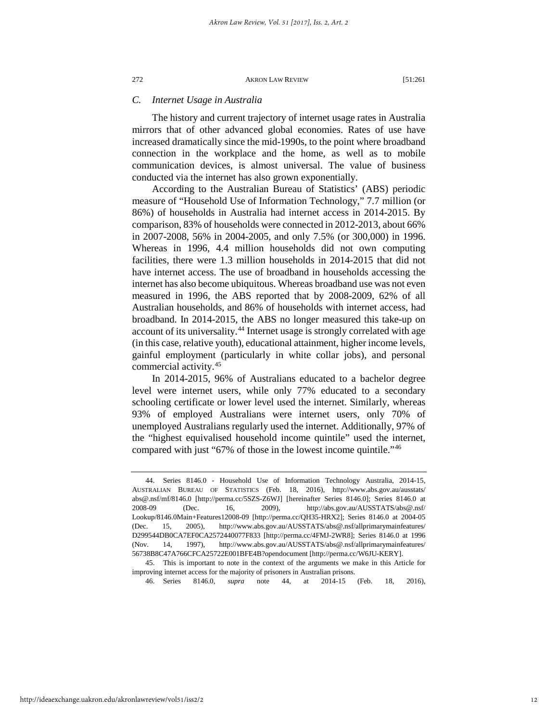## *C. Internet Usage in Australia*

The history and current trajectory of internet usage rates in Australia mirrors that of other advanced global economies. Rates of use have increased dramatically since the mid-1990s, to the point where broadband connection in the workplace and the home, as well as to mobile communication devices, is almost universal. The value of business conducted via the internet has also grown exponentially.

According to the Australian Bureau of Statistics' (ABS) periodic measure of "Household Use of Information Technology," 7.7 million (or 86%) of households in Australia had internet access in 2014-2015. By comparison, 83% of households were connected in 2012-2013, about 66% in 2007-2008, 56% in 2004-2005, and only 7.5% (or 300,000) in 1996. Whereas in 1996, 4.4 million households did not own computing facilities, there were 1.3 million households in 2014-2015 that did not have internet access. The use of broadband in households accessing the internet has also become ubiquitous. Whereas broadband use was not even measured in 1996, the ABS reported that by 2008-2009, 62% of all Australian households, and 86% of households with internet access, had broadband. In 2014-2015, the ABS no longer measured this take-up on account of its universality.<sup>[44](#page-12-0)</sup> Internet usage is strongly correlated with age (in this case, relative youth), educational attainment, higher income levels, gainful employment (particularly in white collar jobs), and personal commercial activity.[45](#page-12-1)

In 2014-2015, 96% of Australians educated to a bachelor degree level were internet users, while only 77% educated to a secondary schooling certificate or lower level used the internet. Similarly, whereas 93% of employed Australians were internet users, only 70% of unemployed Australians regularly used the internet. Additionally, 97% of the "highest equivalised household income quintile" used the internet, compared with just "67% of those in the lowest income quintile."[46](#page-12-2)

<span id="page-12-0"></span><sup>44.</sup> Series 8146.0 - Household Use of Information Technology Australia, 2014-15, AUSTRALIAN BUREAU OF STATISTICS (Feb. 18, 2016), http://www.abs.gov.au/ausstats/ abs@.nsf/mf/8146.0 [http://perma.cc/5SZS-Z6WJ] [hereinafter Series 8146.0]; Series 8146.0 at 2008-09 (Dec. 16, 2009), http://abs.gov.au/AUSSTATS/abs@.nsf/ Lookup/8146.0Main+Features12008-09 [http://perma.cc/QH35-HRX2]; Series 8146.0 at 2004-05 (Dec. 15, 2005), http://www.abs.gov.au/AUSSTATS/abs@.nsf/allprimarymainfeatures/ D299544DB0CA7EF0CA2572440077F833 [http://perma.cc/4FMJ-2WR8]; Series 8146.0 at 1996 (Nov. 14, 1997), http://www.abs.gov.au/AUSSTATS/abs@.nsf/allprimarymainfeatures/ 56738B8C47A766CFCA25722E001BFE4B?opendocument [http://perma.cc/W6JU-KERY].

<span id="page-12-2"></span><span id="page-12-1"></span><sup>45.</sup> This is important to note in the context of the arguments we make in this Article for improving internet access for the majority of prisoners in Australian prisons.

<sup>46.</sup> Series 8146.0, *supra* note 44, at 2014-15 (Feb. 18, 2016),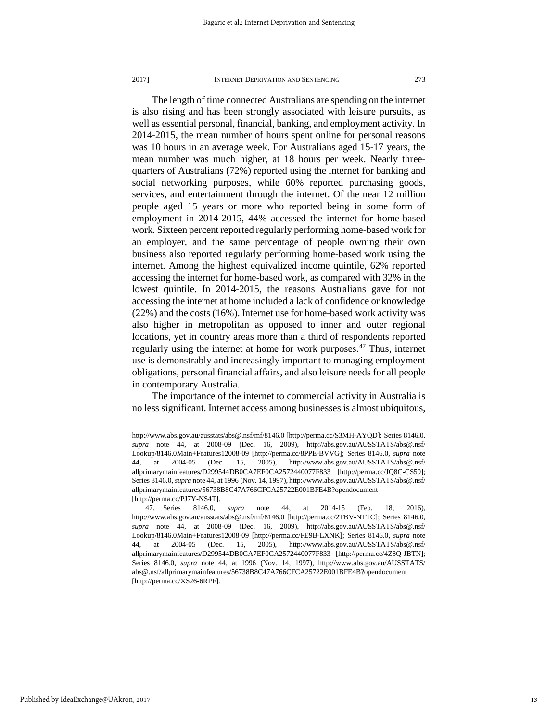The length of time connected Australians are spending on the internet is also rising and has been strongly associated with leisure pursuits, as well as essential personal, financial, banking, and employment activity. In 2014-2015, the mean number of hours spent online for personal reasons was 10 hours in an average week. For Australians aged 15-17 years, the mean number was much higher, at 18 hours per week. Nearly threequarters of Australians (72%) reported using the internet for banking and social networking purposes, while 60% reported purchasing goods, services, and entertainment through the internet. Of the near 12 million people aged 15 years or more who reported being in some form of employment in 2014-2015, 44% accessed the internet for home-based work. Sixteen percent reported regularly performing home-based work for an employer, and the same percentage of people owning their own business also reported regularly performing home-based work using the internet. Among the highest equivalized income quintile, 62% reported accessing the internet for home-based work, as compared with 32% in the lowest quintile. In 2014-2015, the reasons Australians gave for not accessing the internet at home included a lack of confidence or knowledge (22%) and the costs (16%). Internet use for home-based work activity was also higher in metropolitan as opposed to inner and outer regional locations, yet in country areas more than a third of respondents reported regularly using the internet at home for work purposes.[47](#page-13-0) Thus, internet use is demonstrably and increasingly important to managing employment obligations, personal financial affairs, and also leisure needs for all people in contemporary Australia.

The importance of the internet to commercial activity in Australia is no less significant. Internet access among businesses is almost ubiquitous,

http://www.abs.gov.au/ausstats/abs@.nsf/mf/8146.0 [http://perma.cc/S3MH-AYQD]; Series 8146.0, *supra* note 44, at 2008-09 (Dec. 16, 2009), http://abs.gov.au/AUSSTATS/abs@.nsf/ Lookup/8146.0Main+Features12008-09 [http://perma.cc/8PPE-BVVG]; Series 8146.0, *supra* note 44, at 2004-05 (Dec. 15, 2005), http://www.abs.gov.au/AUSSTATS/abs@.nsf/ allprimarymainfeatures/D299544DB0CA7EF0CA2572440077F833 [http://perma.cc/JQ8C-CS59]; Series 8146.0, *supra* note 44, at 1996 (Nov. 14, 1997), http://www.abs.gov.au/AUSSTATS/abs@.nsf/ allprimarymainfeatures/56738B8C47A766CFCA25722E001BFE4B?opendocument [http://perma.cc/PJ7Y-NS4T].

<span id="page-13-0"></span><sup>47.</sup> Series 8146.0, *supra* note 44, at 2014-15 (Feb. 18, 2016), http://www.abs.gov.au/ausstats/abs@.nsf/mf/8146.0 [http://perma.cc/2TBV-NTTC]; Series 8146.0, *supra* note 44, at 2008-09 (Dec. 16, 2009), http://abs.gov.au/AUSSTATS/abs@.nsf/ Lookup/8146.0Main+Features12008-09 [http://perma.cc/FE9B-LXNK]; Series 8146.0, *supra* note 44, at 2004-05 (Dec. 15, 2005), http://www.abs.gov.au/AUSSTATS/abs@.nsf/ allprimarymainfeatures/D299544DB0CA7EF0CA2572440077F833 [http://perma.cc/4Z8Q-JBTN]; Series 8146.0, *supra* note 44, at 1996 (Nov. 14, 1997), http://www.abs.gov.au/AUSSTATS/ abs@.nsf/allprimarymainfeatures/56738B8C47A766CFCA25722E001BFE4B?opendocument [http://perma.cc/XS26-6RPF].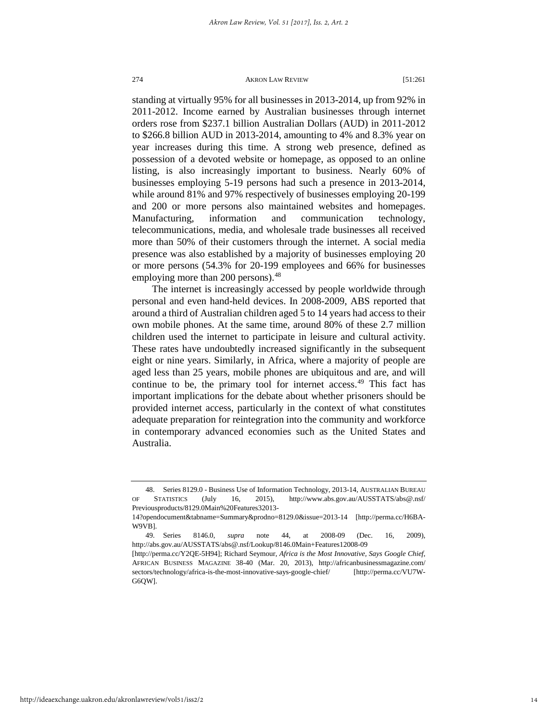standing at virtually 95% for all businesses in 2013-2014, up from 92% in 2011-2012. Income earned by Australian businesses through internet orders rose from \$237.1 billion Australian Dollars (AUD) in 2011-2012 to \$266.8 billion AUD in 2013-2014, amounting to 4% and 8.3% year on year increases during this time. A strong web presence, defined as possession of a devoted website or homepage, as opposed to an online listing, is also increasingly important to business. Nearly 60% of businesses employing 5-19 persons had such a presence in 2013-2014, while around 81% and 97% respectively of businesses employing 20-199 and 200 or more persons also maintained websites and homepages. Manufacturing, information and communication technology, telecommunications, media, and wholesale trade businesses all received more than 50% of their customers through the internet. A social media presence was also established by a majority of businesses employing 20 or more persons (54.3% for 20-199 employees and 66% for businesses employing more than 200 persons).<sup>[48](#page-14-0)</sup>

The internet is increasingly accessed by people worldwide through personal and even hand-held devices. In 2008-2009, ABS reported that around a third of Australian children aged 5 to 14 years had access to their own mobile phones. At the same time, around 80% of these 2.7 million children used the internet to participate in leisure and cultural activity. These rates have undoubtedly increased significantly in the subsequent eight or nine years. Similarly, in Africa, where a majority of people are aged less than 25 years, mobile phones are ubiquitous and are, and will continue to be, the primary tool for internet access.<sup>[49](#page-14-1)</sup> This fact has important implications for the debate about whether prisoners should be provided internet access, particularly in the context of what constitutes adequate preparation for reintegration into the community and workforce in contemporary advanced economies such as the United States and Australia.

<span id="page-14-0"></span><sup>48.</sup> Series 8129.0 - Business Use of Information Technology, 2013-14, AUSTRALIAN BUREAU OF STATISTICS (July 16, 2015), http://www.abs.gov.au/AUSSTATS/abs@.nsf/ Previousproducts/8129.0Main%20Features32013-

<sup>14?</sup>opendocument&tabname=Summary&prodno=8129.0&issue=2013-14 [http://perma.cc/H6BA-W9VB].

<span id="page-14-1"></span><sup>49.</sup> Series 8146.0, *supra* note 44, at 2008-09 (Dec. 16, 2009), http://abs.gov.au/AUSSTATS/abs@.nsf/Lookup/8146.0Main+Features12008-09

<sup>[</sup>http://perma.cc/Y2QE-5H94]; Richard Seymour, *Africa is the Most Innovative, Says Google Chief*, AFRICAN BUSINESS MAGAZINE 38-40 (Mar. 20, 2013), http://africanbusinessmagazine.com/ sectors/technology/africa-is-the-most-innovative-says-google-chief/ [http://perma.cc/VU7W-G6QW].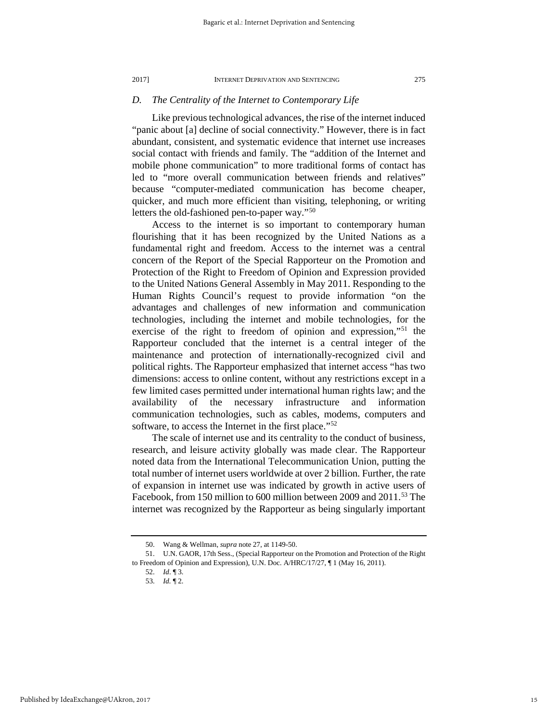#### *D. The Centrality of the Internet to Contemporary Life*

Like previous technological advances, the rise of the internet induced "panic about [a] decline of social connectivity." However, there is in fact abundant, consistent, and systematic evidence that internet use increases social contact with friends and family. The "addition of the Internet and mobile phone communication" to more traditional forms of contact has led to "more overall communication between friends and relatives" because "computer-mediated communication has become cheaper, quicker, and much more efficient than visiting, telephoning, or writing letters the old-fashioned pen-to-paper way."[50](#page-15-0)

Access to the internet is so important to contemporary human flourishing that it has been recognized by the United Nations as a fundamental right and freedom. Access to the internet was a central concern of the Report of the Special Rapporteur on the Promotion and Protection of the Right to Freedom of Opinion and Expression provided to the United Nations General Assembly in May 2011. Responding to the Human Rights Council's request to provide information "on the advantages and challenges of new information and communication technologies, including the internet and mobile technologies, for the exercise of the right to freedom of opinion and expression,"[51](#page-15-1) the Rapporteur concluded that the internet is a central integer of the maintenance and protection of internationally-recognized civil and political rights. The Rapporteur emphasized that internet access "has two dimensions: access to online content, without any restrictions except in a few limited cases permitted under international human rights law; and the availability of the necessary infrastructure and information communication technologies, such as cables, modems, computers and software, to access the Internet in the first place."<sup>[52](#page-15-2)</sup>

The scale of internet use and its centrality to the conduct of business, research, and leisure activity globally was made clear. The Rapporteur noted data from the International Telecommunication Union, putting the total number of internet users worldwide at over 2 billion. Further, the rate of expansion in internet use was indicated by growth in active users of Facebook, from 150 million to 600 million between 2009 and 2011.<sup>53</sup> The internet was recognized by the Rapporteur as being singularly important

<sup>50.</sup> Wang & Wellman, *supra* note 27, at 1149-50.

<span id="page-15-3"></span><span id="page-15-2"></span><span id="page-15-1"></span><span id="page-15-0"></span><sup>51.</sup> U.N. GAOR, 17th Sess., (Special Rapporteur on the Promotion and Protection of the Right to Freedom of Opinion and Expression), U.N. Doc. A/HRC/17/27, ¶ 1 (May 16, 2011).

<sup>52.</sup> *Id*. ¶ 3.

<sup>53.</sup> *Id.* ¶ 2.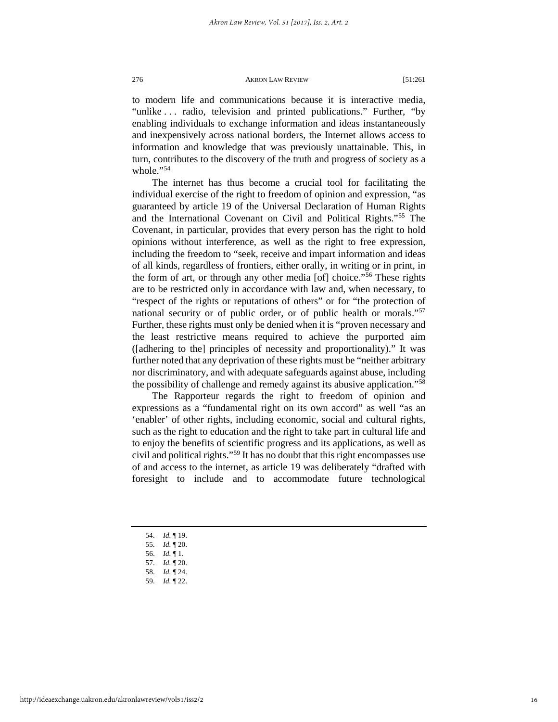to modern life and communications because it is interactive media, "unlike . . . radio, television and printed publications." Further, "by enabling individuals to exchange information and ideas instantaneously and inexpensively across national borders, the Internet allows access to information and knowledge that was previously unattainable. This, in turn, contributes to the discovery of the truth and progress of society as a whole."[54](#page-16-0)

The internet has thus become a crucial tool for facilitating the individual exercise of the right to freedom of opinion and expression, "as guaranteed by article 19 of the Universal Declaration of Human Rights and the International Covenant on Civil and Political Rights."[55](#page-16-1) The Covenant, in particular, provides that every person has the right to hold opinions without interference, as well as the right to free expression, including the freedom to "seek, receive and impart information and ideas of all kinds, regardless of frontiers, either orally, in writing or in print, in the form of art, or through any other media [of] choice.["56](#page-16-2) These rights are to be restricted only in accordance with law and, when necessary, to "respect of the rights or reputations of others" or for "the protection of national security or of public order, or of public health or morals."[57](#page-16-3) Further, these rights must only be denied when it is "proven necessary and the least restrictive means required to achieve the purported aim ([adhering to the] principles of necessity and proportionality)." It was further noted that any deprivation of these rights must be "neither arbitrary nor discriminatory, and with adequate safeguards against abuse, including the possibility of challenge and remedy against its abusive application."[58](#page-16-4)

The Rapporteur regards the right to freedom of opinion and expressions as a "fundamental right on its own accord" as well "as an 'enabler' of other rights, including economic, social and cultural rights, such as the right to education and the right to take part in cultural life and to enjoy the benefits of scientific progress and its applications, as well as civil and political rights."[59](#page-16-5) It has no doubt that this right encompasses use of and access to the internet, as article 19 was deliberately "drafted with foresight to include and to accommodate future technological

- 54. *Id.* ¶ 19.
- <span id="page-16-0"></span>55. *Id.* ¶ 20.
- <span id="page-16-1"></span>56. *Id.* ¶ 1.
- <span id="page-16-4"></span><span id="page-16-3"></span><span id="page-16-2"></span>57. *Id.* ¶ 20.
- <span id="page-16-5"></span>58. *Id.* ¶ 24.
- 59. *Id.* ¶ 22.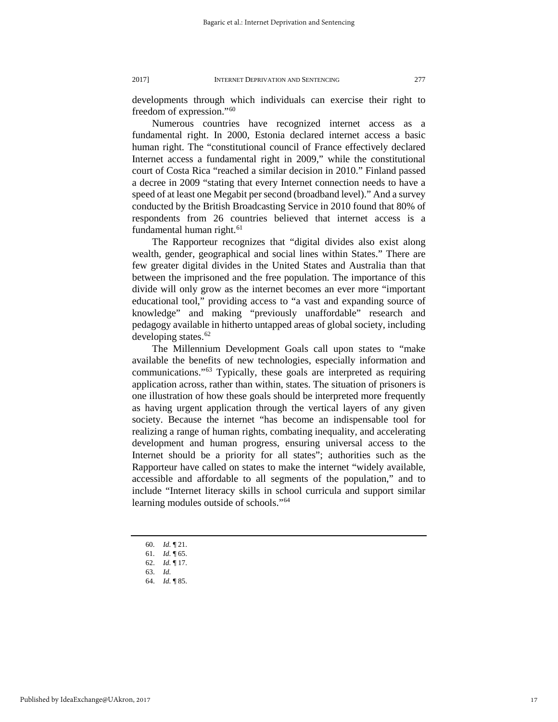developments through which individuals can exercise their right to freedom of expression."[60](#page-17-0)

Numerous countries have recognized internet access as a fundamental right. In 2000, Estonia declared internet access a basic human right. The "constitutional council of France effectively declared Internet access a fundamental right in 2009," while the constitutional court of Costa Rica "reached a similar decision in 2010." Finland passed a decree in 2009 "stating that every Internet connection needs to have a speed of at least one Megabit per second (broadband level)." And a survey conducted by the British Broadcasting Service in 2010 found that 80% of respondents from 26 countries believed that internet access is a fundamental human right.<sup>61</sup>

The Rapporteur recognizes that "digital divides also exist along wealth, gender, geographical and social lines within States." There are few greater digital divides in the United States and Australia than that between the imprisoned and the free population. The importance of this divide will only grow as the internet becomes an ever more "important educational tool," providing access to "a vast and expanding source of knowledge" and making "previously unaffordable" research and pedagogy available in hitherto untapped areas of global society, including developing states. $62$ 

The Millennium Development Goals call upon states to "make available the benefits of new technologies, especially information and communications."[63](#page-17-3) Typically, these goals are interpreted as requiring application across, rather than within, states. The situation of prisoners is one illustration of how these goals should be interpreted more frequently as having urgent application through the vertical layers of any given society. Because the internet "has become an indispensable tool for realizing a range of human rights, combating inequality, and accelerating development and human progress, ensuring universal access to the Internet should be a priority for all states"; authorities such as the Rapporteur have called on states to make the internet "widely available, accessible and affordable to all segments of the population," and to include "Internet literacy skills in school curricula and support similar learning modules outside of schools.["64](#page-17-4)

- 60. *Id.* ¶ 21.
- <span id="page-17-0"></span>61. *Id.* ¶ 65.
- <span id="page-17-4"></span><span id="page-17-3"></span><span id="page-17-2"></span><span id="page-17-1"></span>62. *Id.* ¶ 17.
- 63. *Id.* 64. *Id.* ¶ 85.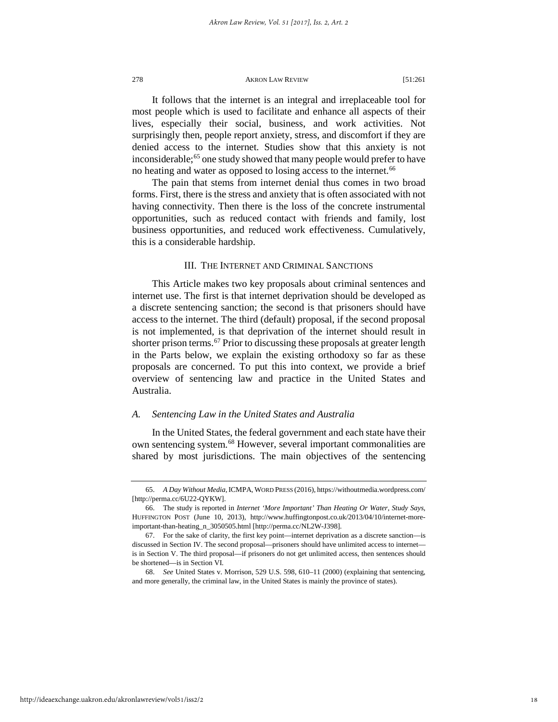It follows that the internet is an integral and irreplaceable tool for most people which is used to facilitate and enhance all aspects of their lives, especially their social, business, and work activities. Not surprisingly then, people report anxiety, stress, and discomfort if they are denied access to the internet. Studies show that this anxiety is not inconsiderable;<sup>[65](#page-18-0)</sup> one study showed that many people would prefer to have no heating and water as opposed to losing access to the internet.<sup>[66](#page-18-1)</sup>

The pain that stems from internet denial thus comes in two broad forms. First, there is the stress and anxiety that is often associated with not having connectivity. Then there is the loss of the concrete instrumental opportunities, such as reduced contact with friends and family, lost business opportunities, and reduced work effectiveness. Cumulatively, this is a considerable hardship.

## III. THE INTERNET AND CRIMINAL SANCTIONS

This Article makes two key proposals about criminal sentences and internet use. The first is that internet deprivation should be developed as a discrete sentencing sanction; the second is that prisoners should have access to the internet. The third (default) proposal, if the second proposal is not implemented, is that deprivation of the internet should result in shorter prison terms.<sup>[67](#page-18-2)</sup> Prior to discussing these proposals at greater length in the Parts below, we explain the existing orthodoxy so far as these proposals are concerned. To put this into context, we provide a brief overview of sentencing law and practice in the United States and Australia.

## *A. Sentencing Law in the United States and Australia*

In the United States, the federal government and each state have their own sentencing system.[68](#page-18-3) However, several important commonalities are shared by most jurisdictions. The main objectives of the sentencing

<span id="page-18-0"></span><sup>65.</sup> *A Day Without Media,*ICMPA, WORD PRESS (2016), https://withoutmedia.wordpress.com/ [http://perma.cc/6U22-OYKW].

<span id="page-18-1"></span><sup>66.</sup> The study is reported in *Internet 'More Important' Than Heating Or Water, Study Says*, HUFFINGTON POST (June 10, 2013)*,* http://www.huffingtonpost.co.uk/2013/04/10/internet-moreimportant-than-heating\_n\_3050505.html [http://perma.cc/NL2W-J398]*.*

<span id="page-18-2"></span><sup>67.</sup> For the sake of clarity, the first key point—internet deprivation as a discrete sanction—is discussed in Section IV. The second proposal—prisoners should have unlimited access to internet is in Section V. The third proposal—if prisoners do not get unlimited access, then sentences should be shortened—is in Section VI.

<span id="page-18-3"></span><sup>68.</sup> *See* United States v. Morrison, 529 U.S. 598, 610–11 (2000) (explaining that sentencing, and more generally, the criminal law, in the United States is mainly the province of states).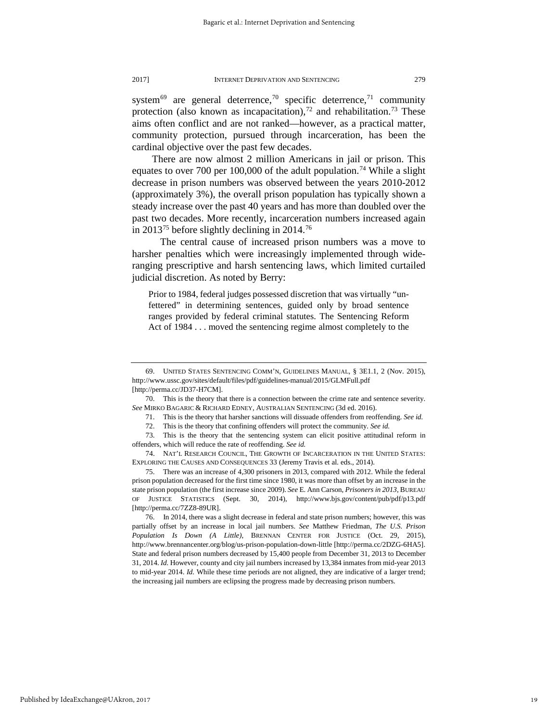system<sup>[69](#page-19-0)</sup> are general deterrence,<sup>[70](#page-19-1)</sup> specific deterrence,<sup>71</sup> community protection (also known as incapacitation),<sup>[72](#page-19-3)</sup> and rehabilitation.<sup>[73](#page-19-4)</sup> These aims often conflict and are not ranked—however, as a practical matter, community protection, pursued through incarceration, has been the cardinal objective over the past few decades.

There are now almost 2 million Americans in jail or prison. This equates to over 700 per 100,000 of the adult population.<sup>[74](#page-19-5)</sup> While a slight decrease in prison numbers was observed between the years 2010-2012 (approximately 3%), the overall prison population has typically shown a steady increase over the past 40 years and has more than doubled over the past two decades. More recently, incarceration numbers increased again in 2013<sup>[75](#page-19-6)</sup> before slightly declining in 2014.<sup>[76](#page-19-7)</sup>

 The central cause of increased prison numbers was a move to harsher penalties which were increasingly implemented through wideranging prescriptive and harsh sentencing laws, which limited curtailed judicial discretion. As noted by Berry:

Prior to 1984, federal judges possessed discretion that was virtually "unfettered" in determining sentences, guided only by broad sentence ranges provided by federal criminal statutes. The Sentencing Reform Act of 1984 . . . moved the sentencing regime almost completely to the

<span id="page-19-0"></span><sup>69.</sup> UNITED STATES SENTENCING COMM'N, GUIDELINES MANUAL, § 3E1.1, 2 (Nov. 2015), http://www.ussc.gov/sites/default/files/pdf/guidelines-manual/2015/GLMFull.pdf [http://perma.cc/JD37-H7CM].

<span id="page-19-2"></span><span id="page-19-1"></span><sup>70.</sup> This is the theory that there is a connection between the crime rate and sentence severity. *See* MIRKO BAGARIC & RICHARD EDNEY, AUSTRALIAN SENTENCING (3d ed. 2016).

<sup>71.</sup> This is the theory that harsher sanctions will dissuade offenders from reoffending. *See id.*

<sup>72.</sup> This is the theory that confining offenders will protect the community. *See id.*

<span id="page-19-4"></span><span id="page-19-3"></span><sup>73.</sup> This is the theory that the sentencing system can elicit positive attitudinal reform in offenders, which will reduce the rate of reoffending. *See id.*

<span id="page-19-5"></span><sup>74.</sup> NAT'L RESEARCH COUNCIL, THE GROWTH OF INCARCERATION IN THE UNITED STATES: EXPLORING THE CAUSES AND CONSEQUENCES 33 (Jeremy Travis et al. eds., 2014).

<span id="page-19-6"></span><sup>75.</sup> There was an increase of 4,300 prisoners in 2013, compared with 2012. While the federal prison population decreased for the first time since 1980, it was more than offset by an increase in the state prison population (the first increase since 2009). *See* E. Ann Carson, *Prisoners in 2013*, BUREAU OF JUSTICE STATISTICS (Sept. 30, 2014), http://www.bjs.gov/content/pub/pdf/p13.pdf [http://perma.cc/7ZZ8-89UR].

<span id="page-19-7"></span><sup>76.</sup> In 2014, there was a slight decrease in federal and state prison numbers; however, this was partially offset by an increase in local jail numbers. *See* Matthew Friedman, *The U.S. Prison Population Is Down (A Little)*, BRENNAN CENTER FOR JUSTICE (Oct. 29, 2015), http://www.brennancenter.org/blog/us-prison-population-down-little [http://perma.cc/2DZG-6HA5]. State and federal prison numbers decreased by 15,400 people from December 31, 2013 to December 31, 2014. *Id.* However, county and city jail numbers increased by 13,384 inmates from mid-year 2013 to mid-year 2014. *Id.* While these time periods are not aligned, they are indicative of a larger trend; the increasing jail numbers are eclipsing the progress made by decreasing prison numbers.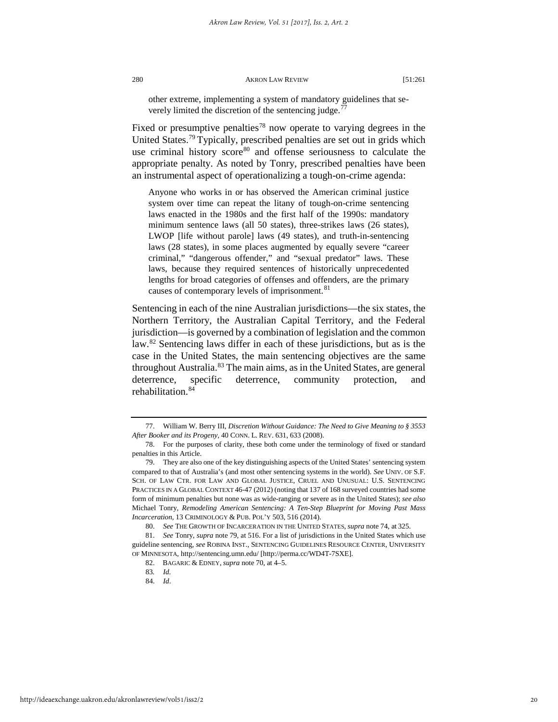other extreme, implementing a system of mandatory guidelines that severely limited the discretion of the sentencing judge.

Fixed or presumptive penalties<sup>[78](#page-20-1)</sup> now operate to varying degrees in the United States.<sup>79</sup> Typically, prescribed penalties are set out in grids which use criminal history score<sup>[80](#page-20-3)</sup> and offense seriousness to calculate the appropriate penalty. As noted by Tonry, prescribed penalties have been an instrumental aspect of operationalizing a tough-on-crime agenda:

Anyone who works in or has observed the American criminal justice system over time can repeat the litany of tough-on-crime sentencing laws enacted in the 1980s and the first half of the 1990s: mandatory minimum sentence laws (all 50 states), three-strikes laws (26 states), LWOP [life without parole] laws (49 states), and truth-in-sentencing laws (28 states), in some places augmented by equally severe "career criminal," "dangerous offender," and "sexual predator" laws. These laws, because they required sentences of historically unprecedented lengths for broad categories of offenses and offenders, are the primary causes of contemporary levels of imprisonment.<sup>[81](#page-20-4)</sup>

Sentencing in each of the nine Australian jurisdictions—the six states, the Northern Territory, the Australian Capital Territory, and the Federal jurisdiction—is governed by a combination of legislation and the common law.<sup>[82](#page-20-5)</sup> Sentencing laws differ in each of these jurisdictions, but as is the case in the United States, the main sentencing objectives are the same throughout Australia.<sup>[83](#page-20-6)</sup> The main aims, as in the United States, are general deterrence, specific deterrence, community protection, and rehabilitation.<sup>[84](#page-20-7)</sup>

<span id="page-20-0"></span><sup>77.</sup> William W. Berry III, *Discretion Without Guidance: The Need to Give Meaning to § 3553 After Booker and its Progeny,* 40 CONN. L. REV. 631, 633 (2008).

<span id="page-20-1"></span><sup>78.</sup> For the purposes of clarity, these both come under the terminology of fixed or standard penalties in this Article.

<span id="page-20-2"></span><sup>79.</sup> They are also one of the key distinguishing aspects of the United States' sentencing system compared to that of Australia's (and most other sentencing systems in the world). *See* UNIV. OF S.F. SCH. OF LAW CTR. FOR LAW AND GLOBAL JUSTICE, CRUEL AND UNUSUAL: U.S. SENTENCING PRACTICES IN A GLOBAL CONTEXT 46-47 (2012) (noting that 137 of 168 surveyed countries had some form of minimum penalties but none was as wide-ranging or severe as in the United States); *see also* Michael Tonry, *Remodeling American Sentencing: A Ten-Step Blueprint for Moving Past Mass Incarceration,* 13 CRIMINOLOGY & PUB. POL'Y 503, 516 (2014).

<sup>80.</sup> *See* THE GROWTH OF INCARCERATION IN THE UNITED STATES, *supra* note 74, at 325.

<span id="page-20-7"></span><span id="page-20-6"></span><span id="page-20-5"></span><span id="page-20-4"></span><span id="page-20-3"></span><sup>81.</sup> *See* Tonry, *supra* note 79, at 516. For a list of jurisdictions in the United States which use guideline sentencing, *see* ROBINA INST., SENTENCING GUIDELINES RESOURCE CENTER, UNIVERSITY OF MINNESOTA, http://sentencing.umn.edu/ [http://perma.cc/WD4T-7SXE].

<sup>82.</sup> BAGARIC & EDNEY, *supra* note 70, at 4–5.

<sup>83</sup>*. Id.*

<sup>84.</sup> *Id*.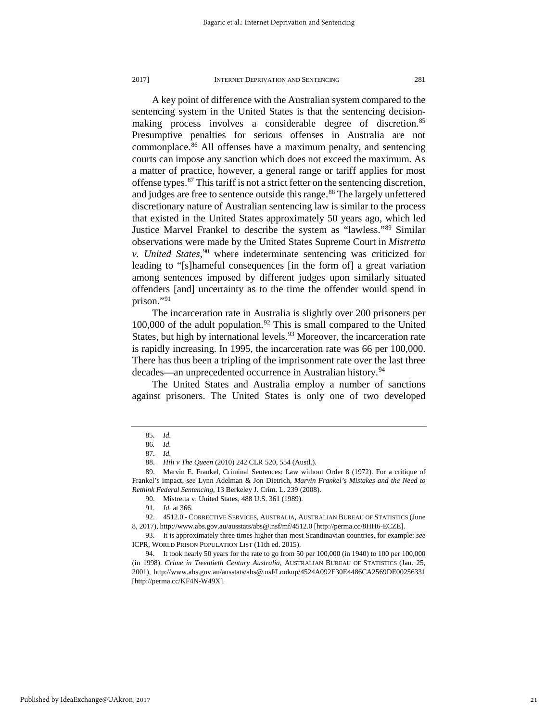A key point of difference with the Australian system compared to the sentencing system in the United States is that the sentencing decision-making process involves a considerable degree of discretion.<sup>[85](#page-21-0)</sup> Presumptive penalties for serious offenses in Australia are not commonplace.[86](#page-21-1) All offenses have a maximum penalty, and sentencing courts can impose any sanction which does not exceed the maximum. As a matter of practice, however, a general range or tariff applies for most offense types.[87](#page-21-2) This tariff is not a strict fetter on the sentencing discretion, and judges are free to sentence outside this range.<sup>[88](#page-21-3)</sup> The largely unfettered discretionary nature of Australian sentencing law is similar to the process that existed in the United States approximately 50 years ago, which led Justice Marvel Frankel to describe the system as "lawless."[89](#page-21-4) Similar observations were made by the United States Supreme Court in *Mistretta v. United States*, [90](#page-21-5) where indeterminate sentencing was criticized for leading to "[s]hameful consequences [in the form of] a great variation among sentences imposed by different judges upon similarly situated offenders [and] uncertainty as to the time the offender would spend in prison."[91](#page-21-6)

The incarceration rate in Australia is slightly over 200 prisoners per 100,000 of the adult population.<sup>[92](#page-21-7)</sup> This is small compared to the United States, but high by international levels.<sup>[93](#page-21-8)</sup> Moreover, the incarceration rate is rapidly increasing. In 1995, the incarceration rate was 66 per 100,000. There has thus been a tripling of the imprisonment rate over the last three decades—an unprecedented occurrence in Australian history.<sup>[94](#page-21-9)</sup>

The United States and Australia employ a number of sanctions against prisoners. The United States is only one of two developed

<sup>85.</sup> *Id.*

<sup>86</sup>*. Id.*

<sup>87.</sup> *Id.*

<sup>88.</sup> *Hili v The Queen* (2010) 242 CLR 520, 554 (Austl.).

<span id="page-21-5"></span><span id="page-21-4"></span><span id="page-21-3"></span><span id="page-21-2"></span><span id="page-21-1"></span><span id="page-21-0"></span><sup>89.</sup> Marvin E. Frankel, Criminal Sentences: Law without Order 8 (1972). For a critique of Frankel's impact, *see* Lynn Adelman & Jon Dietrich, *Marvin Frankel's Mistakes and the Need to Rethink Federal Sentencing*, 13 Berkeley J. Crim. L. 239 (2008).

<sup>90.</sup> Mistretta v. United States, 488 U.S. 361 (1989).

<sup>91</sup>*. Id.* at 366.

<span id="page-21-7"></span><span id="page-21-6"></span><sup>92.</sup> 4512.0 - CORRECTIVE SERVICES, AUSTRALIA, AUSTRALIAN BUREAU OF STATISTICS (June 8, 2017), http://www.abs.gov.au/ausstats/abs@.nsf/mf/4512.0 [http://perma.cc/8HH6-ECZE].

<span id="page-21-8"></span><sup>93.</sup> It is approximately three times higher than most Scandinavian countries, for example: *see* ICPR, WORLD PRISON POPULATION LIST (11th ed. 2015).

<span id="page-21-9"></span><sup>94.</sup> It took nearly 50 years for the rate to go from 50 per 100,000 (in 1940) to 100 per 100,000 (in 1998). *Crime in Twentieth Century Australia*, AUSTRALIAN BUREAU OF STATISTICS (Jan. 25, 2001), http://www.abs.gov.au/ausstats/abs@.nsf/Lookup/4524A092E30E4486CA2569DE00256331 [http://perma.cc/KF4N-W49X].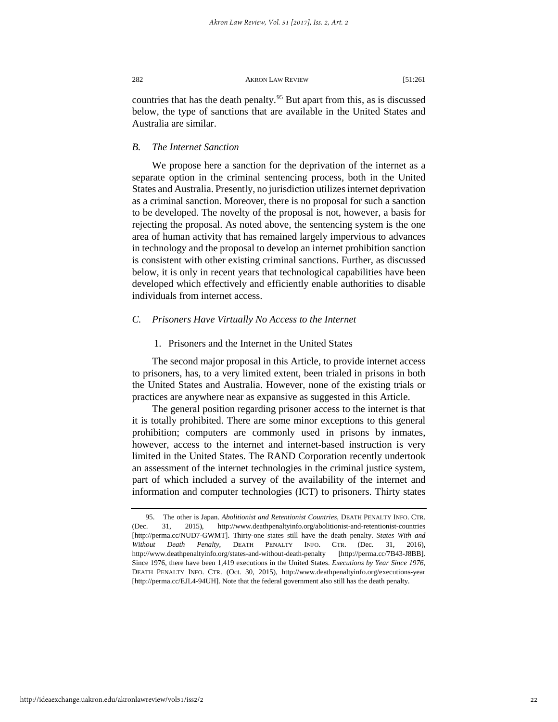countries that has the death penalty.<sup>[95](#page-22-0)</sup> But apart from this, as is discussed below, the type of sanctions that are available in the United States and Australia are similar.

## *B. The Internet Sanction*

We propose here a sanction for the deprivation of the internet as a separate option in the criminal sentencing process, both in the United States and Australia. Presently, no jurisdiction utilizes internet deprivation as a criminal sanction. Moreover, there is no proposal for such a sanction to be developed. The novelty of the proposal is not, however, a basis for rejecting the proposal. As noted above, the sentencing system is the one area of human activity that has remained largely impervious to advances in technology and the proposal to develop an internet prohibition sanction is consistent with other existing criminal sanctions. Further, as discussed below, it is only in recent years that technological capabilities have been developed which effectively and efficiently enable authorities to disable individuals from internet access.

## *C. Prisoners Have Virtually No Access to the Internet*

## 1. Prisoners and the Internet in the United States

The second major proposal in this Article, to provide internet access to prisoners, has, to a very limited extent, been trialed in prisons in both the United States and Australia. However, none of the existing trials or practices are anywhere near as expansive as suggested in this Article.

The general position regarding prisoner access to the internet is that it is totally prohibited. There are some minor exceptions to this general prohibition; computers are commonly used in prisons by inmates, however, access to the internet and internet-based instruction is very limited in the United States. The RAND Corporation recently undertook an assessment of the internet technologies in the criminal justice system, part of which included a survey of the availability of the internet and information and computer technologies (ICT) to prisoners. Thirty states

<span id="page-22-0"></span><sup>95.</sup> The other is Japan. *Abolitionist and Retentionist Countries*, DEATH PENALTY INFO. CTR. (Dec. 31, 2015), http://www.deathpenaltyinfo.org/abolitionist-and-retentionist-countries [http://perma.cc/NUD7-GWMT]. Thirty-one states still have the death penalty. *States With and Without Death Penalty*, DEATH PENALTY INFO. CTR. (Dec. 31, 2016), http://www.deathpenaltyinfo.org/states-and-without-death-penalty [http://perma.cc/7B43-J8BB]. Since 1976, there have been 1,419 executions in the United States. *Executions by Year Since 1976*, DEATH PENALTY INFO. CTR. (Oct. 30, 2015), http://www.deathpenaltyinfo.org/executions-year [http://perma.cc/EJL4-94UH]. Note that the federal government also still has the death penalty.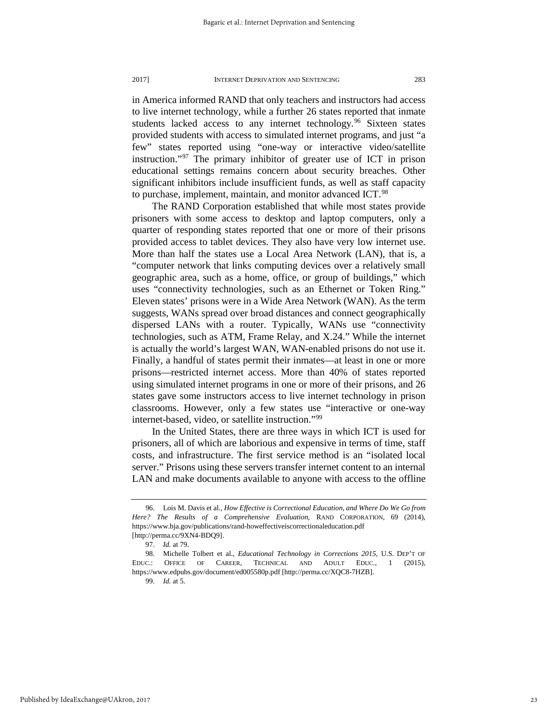in America informed RAND that only teachers and instructors had access to live internet technology, while a further 26 states reported that inmate students lacked access to any internet technology.<sup>[96](#page-23-0)</sup> Sixteen states provided students with access to simulated internet programs, and just "a few" states reported using "one-way or interactive video/satellite instruction."[97](#page-23-1) The primary inhibitor of greater use of ICT in prison educational settings remains concern about security breaches. Other significant inhibitors include insufficient funds, as well as staff capacity to purchase, implement, maintain, and monitor advanced ICT.<sup>[98](#page-23-2)</sup>

The RAND Corporation established that while most states provide prisoners with some access to desktop and laptop computers, only a quarter of responding states reported that one or more of their prisons provided access to tablet devices. They also have very low internet use. More than half the states use a Local Area Network (LAN), that is, a "computer network that links computing devices over a relatively small geographic area, such as a home, office, or group of buildings," which uses "connectivity technologies, such as an Ethernet or Token Ring." Eleven states' prisons were in a Wide Area Network (WAN). As the term suggests, WANs spread over broad distances and connect geographically dispersed LANs with a router. Typically, WANs use "connectivity technologies, such as ATM, Frame Relay, and X.24." While the internet is actually the world's largest WAN, WAN-enabled prisons do not use it. Finally, a handful of states permit their inmates—at least in one or more prisons—restricted internet access. More than 40% of states reported using simulated internet programs in one or more of their prisons, and 26 states gave some instructors access to live internet technology in prison classrooms. However, only a few states use "interactive or one-way internet-based, video, or satellite instruction."[99](#page-23-3)

In the United States, there are three ways in which ICT is used for prisoners, all of which are laborious and expensive in terms of time, staff costs, and infrastructure. The first service method is an "isolated local server." Prisons using these servers transfer internet content to an internal LAN and make documents available to anyone with access to the offline

<span id="page-23-0"></span><sup>96.</sup> Lois M. Davis et al., *How Effective is Correctional Education, and Where Do We Go from Here? The Results of a Comprehensive Evaluation*, RAND CORPORATION, 69 (2014), https://www.bja.gov/publications/rand-howeffectiveiscorrectionaleducation.pdf [http://perma.cc/9XN4-BDQ9].

<sup>97.</sup> *Id.* at 79.

<span id="page-23-3"></span><span id="page-23-2"></span><span id="page-23-1"></span><sup>98.</sup> Michelle Tolbert et al., *Educational Technology in Corrections 2015*, U.S. DEP'T OF EDUC.: OFFICE OF CAREER, TECHNICAL AND ADULT EDUC., 1 (2015), https://www.edpubs.gov/document/ed005580p.pdf [http://perma.cc/XQC8-7HZB].

<sup>99.</sup> *Id.* at 5.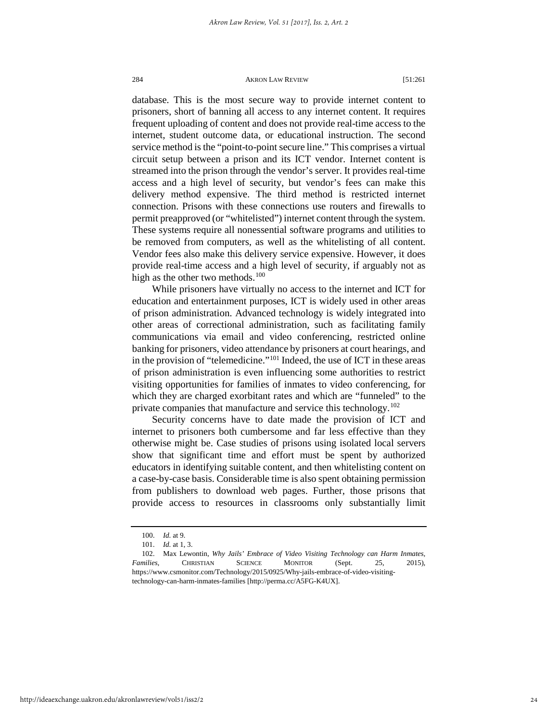database. This is the most secure way to provide internet content to prisoners, short of banning all access to any internet content. It requires frequent uploading of content and does not provide real-time access to the internet, student outcome data, or educational instruction. The second service method is the "point-to-point secure line." This comprises a virtual circuit setup between a prison and its ICT vendor. Internet content is streamed into the prison through the vendor's server. It provides real-time access and a high level of security, but vendor's fees can make this delivery method expensive. The third method is restricted internet connection. Prisons with these connections use routers and firewalls to permit preapproved (or "whitelisted") internet content through the system. These systems require all nonessential software programs and utilities to be removed from computers, as well as the whitelisting of all content. Vendor fees also make this delivery service expensive. However, it does provide real-time access and a high level of security, if arguably not as high as the other two methods. $100$ 

While prisoners have virtually no access to the internet and ICT for education and entertainment purposes, ICT is widely used in other areas of prison administration. Advanced technology is widely integrated into other areas of correctional administration, such as facilitating family communications via email and video conferencing, restricted online banking for prisoners, video attendance by prisoners at court hearings, and in the provision of "telemedicine."[101](#page-24-1) Indeed, the use of ICT in these areas of prison administration is even influencing some authorities to restrict visiting opportunities for families of inmates to video conferencing, for which they are charged exorbitant rates and which are "funneled" to the private companies that manufacture and service this technology.<sup>[102](#page-24-2)</sup>

Security concerns have to date made the provision of ICT and internet to prisoners both cumbersome and far less effective than they otherwise might be. Case studies of prisons using isolated local servers show that significant time and effort must be spent by authorized educators in identifying suitable content, and then whitelisting content on a case-by-case basis. Considerable time is also spent obtaining permission from publishers to download web pages. Further, those prisons that provide access to resources in classrooms only substantially limit

<sup>100.</sup> *Id.* at 9.

<sup>101.</sup> *Id.* at 1, 3.

<span id="page-24-2"></span><span id="page-24-1"></span><span id="page-24-0"></span><sup>102.</sup> Max Lewontin, *Why Jails' Embrace of Video Visiting Technology can Harm Inmates, Families,* CHRISTIAN SCIENCE MONITOR (Sept. 25, 2015), https://www.csmonitor.com/Technology/2015/0925/Why-jails-embrace-of-video-visitingtechnology-can-harm-inmates-families [http://perma.cc/A5FG-K4UX].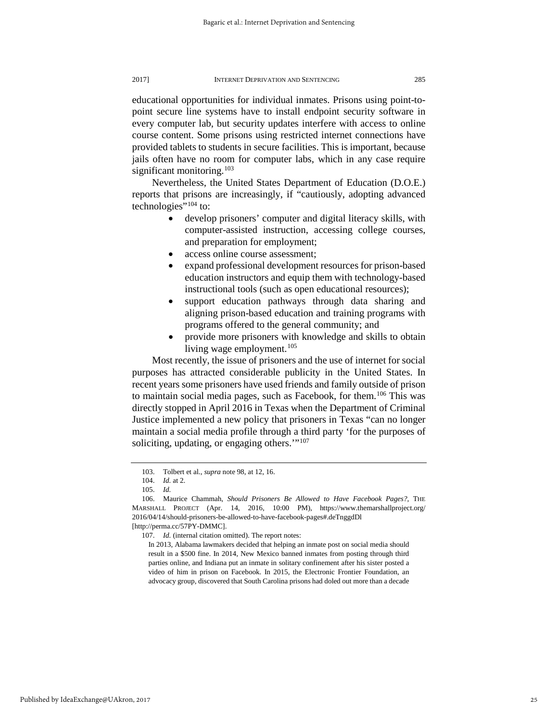educational opportunities for individual inmates. Prisons using point-topoint secure line systems have to install endpoint security software in every computer lab, but security updates interfere with access to online course content. Some prisons using restricted internet connections have provided tablets to students in secure facilities. This is important, because jails often have no room for computer labs, which in any case require significant monitoring.<sup>[103](#page-25-0)</sup>

Nevertheless, the United States Department of Education (D.O.E.) reports that prisons are increasingly, if "cautiously, adopting advanced technologies"<sup>[104](#page-25-1)</sup> to:

- develop prisoners' computer and digital literacy skills, with computer-assisted instruction, accessing college courses, and preparation for employment;
- access online course assessment;
- expand professional development resources for prison-based education instructors and equip them with technology-based instructional tools (such as open educational resources);
- support education pathways through data sharing and aligning prison-based education and training programs with programs offered to the general community; and
- provide more prisoners with knowledge and skills to obtain living wage employment.<sup>[105](#page-25-2)</sup>

Most recently, the issue of prisoners and the use of internet for social purposes has attracted considerable publicity in the United States. In recent years some prisoners have used friends and family outside of prison to maintain social media pages, such as Facebook, for them.<sup>[106](#page-25-3)</sup> This was directly stopped in April 2016 in Texas when the Department of Criminal Justice implemented a new policy that prisoners in Texas "can no longer maintain a social media profile through a third party 'for the purposes of soliciting, updating, or engaging others."<sup>[107](#page-25-4)</sup>

<sup>103.</sup> Tolbert et al., *supra* note 98, at 12, 16.

<sup>104.</sup> *Id.* at 2.

<sup>105.</sup> *Id.*

<span id="page-25-4"></span><span id="page-25-3"></span><span id="page-25-2"></span><span id="page-25-1"></span><span id="page-25-0"></span><sup>106.</sup> Maurice Chammah, *Should Prisoners Be Allowed to Have Facebook Pages?,* THE MARSHALL PROJECT (Apr. 14, 2016, 10:00 PM), https://www.themarshallproject.org/ 2016/04/14/should-prisoners-be-allowed-to-have-facebook-pages#.deTnggdDl [http://perma.cc/57PY-DMMC].

<sup>107.</sup> *Id.* (internal citation omitted). The report notes:

In 2013, Alabama lawmakers decided that helping an inmate post on social media should result in a \$500 fine. In 2014, New Mexico banned inmates from posting through third parties online, and Indiana put an inmate in solitary confinement after his sister posted a video of him in prison on Facebook. In 2015, the Electronic Frontier Foundation, an advocacy group, discovered that South Carolina prisons had doled out more than a decade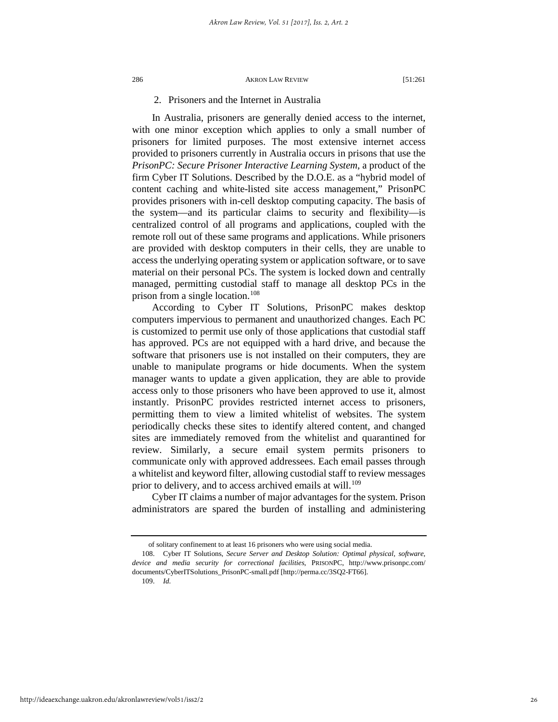## 2. Prisoners and the Internet in Australia

In Australia, prisoners are generally denied access to the internet, with one minor exception which applies to only a small number of prisoners for limited purposes. The most extensive internet access provided to prisoners currently in Australia occurs in prisons that use the *PrisonPC: Secure Prisoner Interactive Learning System*, a product of the firm Cyber IT Solutions. Described by the D.O.E. as a "hybrid model of content caching and white-listed site access management," PrisonPC provides prisoners with in-cell desktop computing capacity. The basis of the system—and its particular claims to security and flexibility—is centralized control of all programs and applications, coupled with the remote roll out of these same programs and applications. While prisoners are provided with desktop computers in their cells, they are unable to access the underlying operating system or application software, or to save material on their personal PCs. The system is locked down and centrally managed, permitting custodial staff to manage all desktop PCs in the prison from a single location.<sup>[108](#page-26-0)</sup>

According to Cyber IT Solutions, PrisonPC makes desktop computers impervious to permanent and unauthorized changes. Each PC is customized to permit use only of those applications that custodial staff has approved. PCs are not equipped with a hard drive, and because the software that prisoners use is not installed on their computers, they are unable to manipulate programs or hide documents. When the system manager wants to update a given application, they are able to provide access only to those prisoners who have been approved to use it, almost instantly. PrisonPC provides restricted internet access to prisoners, permitting them to view a limited whitelist of websites. The system periodically checks these sites to identify altered content, and changed sites are immediately removed from the whitelist and quarantined for review. Similarly, a secure email system permits prisoners to communicate only with approved addressees. Each email passes through a whitelist and keyword filter, allowing custodial staff to review messages prior to delivery, and to access archived emails at will.<sup>[109](#page-26-1)</sup>

Cyber IT claims a number of major advantages for the system. Prison administrators are spared the burden of installing and administering

109. *Id.*

of solitary confinement to at least 16 prisoners who were using social media.

<span id="page-26-1"></span><span id="page-26-0"></span><sup>108.</sup> Cyber IT Solutions, *Secure Server and Desktop Solution: Optimal physical, software, device and media security for correctional facilities*, PRISONPC, http://www.prisonpc.com/ documents/CyberITSolutions\_PrisonPC-small.pdf [http://perma.cc/3SQ2-FT66].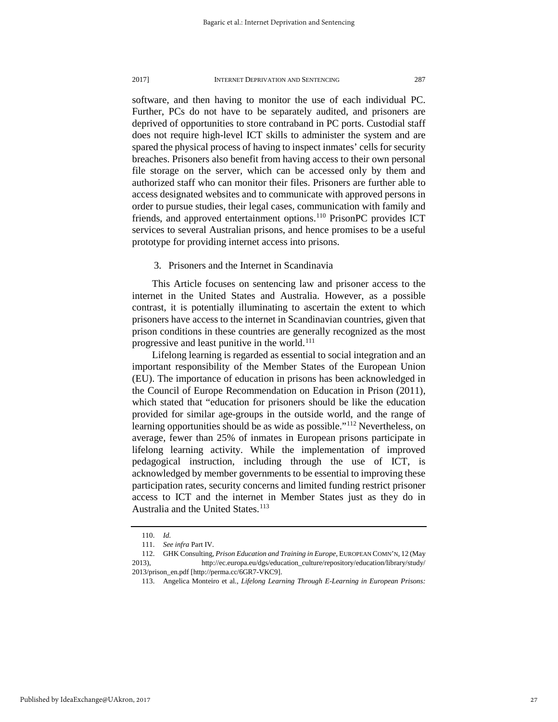software, and then having to monitor the use of each individual PC. Further, PCs do not have to be separately audited, and prisoners are deprived of opportunities to store contraband in PC ports. Custodial staff does not require high-level ICT skills to administer the system and are spared the physical process of having to inspect inmates' cells for security breaches. Prisoners also benefit from having access to their own personal file storage on the server, which can be accessed only by them and authorized staff who can monitor their files. Prisoners are further able to access designated websites and to communicate with approved persons in order to pursue studies, their legal cases, communication with family and friends, and approved entertainment options.<sup>[110](#page-27-0)</sup> PrisonPC provides ICT services to several Australian prisons, and hence promises to be a useful prototype for providing internet access into prisons.

## 3. Prisoners and the Internet in Scandinavia

This Article focuses on sentencing law and prisoner access to the internet in the United States and Australia. However, as a possible contrast, it is potentially illuminating to ascertain the extent to which prisoners have access to the internet in Scandinavian countries, given that prison conditions in these countries are generally recognized as the most progressive and least punitive in the world.<sup>[111](#page-27-1)</sup>

Lifelong learning is regarded as essential to social integration and an important responsibility of the Member States of the European Union (EU). The importance of education in prisons has been acknowledged in the Council of Europe Recommendation on Education in Prison (2011), which stated that "education for prisoners should be like the education provided for similar age-groups in the outside world, and the range of learning opportunities should be as wide as possible."<sup>[112](#page-27-2)</sup> Nevertheless, on average, fewer than 25% of inmates in European prisons participate in lifelong learning activity. While the implementation of improved pedagogical instruction, including through the use of ICT, is acknowledged by member governments to be essential to improving these participation rates, security concerns and limited funding restrict prisoner access to ICT and the internet in Member States just as they do in Australia and the United States.<sup>[113](#page-27-3)</sup>

<sup>110.</sup> *Id.*

<sup>111.</sup> *See infra* Part IV.

<span id="page-27-3"></span><span id="page-27-2"></span><span id="page-27-1"></span><span id="page-27-0"></span><sup>112.</sup> GHK Consulting, *Prison Education and Training in Europe*, EUROPEAN COMN'N, 12 (May 2013), http://ec.europa.eu/dgs/education\_culture/repository/education/library/study/ 2013/prison\_en.pdf [http://perma.cc/6GR7-VKC9].

<sup>113.</sup> Angelica Monteiro et al., *Lifelong Learning Through E-Learning in European Prisons:*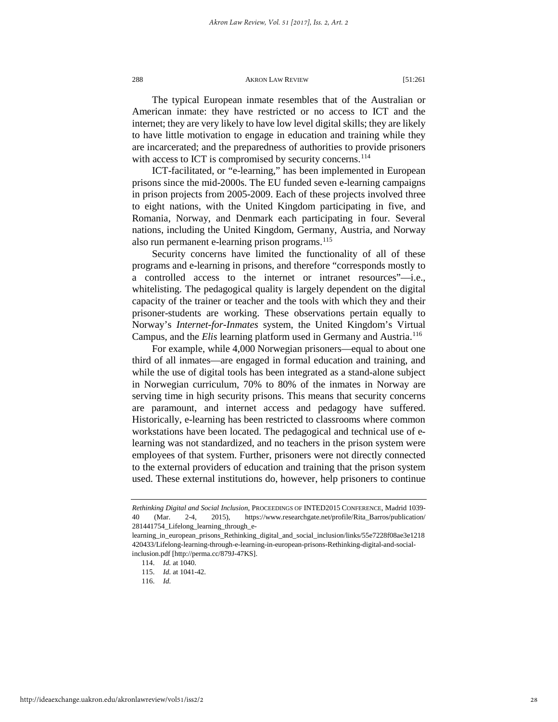The typical European inmate resembles that of the Australian or American inmate: they have restricted or no access to ICT and the internet; they are very likely to have low level digital skills; they are likely to have little motivation to engage in education and training while they are incarcerated; and the preparedness of authorities to provide prisoners with access to ICT is compromised by security concerns.<sup>[114](#page-28-0)</sup>

ICT-facilitated, or "e-learning," has been implemented in European prisons since the mid-2000s. The EU funded seven e-learning campaigns in prison projects from 2005-2009. Each of these projects involved three to eight nations, with the United Kingdom participating in five, and Romania, Norway, and Denmark each participating in four. Several nations, including the United Kingdom, Germany, Austria, and Norway also run permanent e-learning prison programs.<sup>[115](#page-28-1)</sup>

Security concerns have limited the functionality of all of these programs and e-learning in prisons, and therefore "corresponds mostly to a controlled access to the internet or intranet resources"—i.e., whitelisting. The pedagogical quality is largely dependent on the digital capacity of the trainer or teacher and the tools with which they and their prisoner-students are working. These observations pertain equally to Norway's *Internet-for-Inmates* system, the United Kingdom's Virtual Campus, and the *Elis* learning platform used in Germany and Austria.[116](#page-28-2)

For example, while 4,000 Norwegian prisoners—equal to about one third of all inmates—are engaged in formal education and training, and while the use of digital tools has been integrated as a stand-alone subject in Norwegian curriculum, 70% to 80% of the inmates in Norway are serving time in high security prisons. This means that security concerns are paramount, and internet access and pedagogy have suffered. Historically, e-learning has been restricted to classrooms where common workstations have been located. The pedagogical and technical use of elearning was not standardized, and no teachers in the prison system were employees of that system. Further, prisoners were not directly connected to the external providers of education and training that the prison system used. These external institutions do, however, help prisoners to continue

*Rethinking Digital and Social Inclusion*, PROCEEDINGS OF INTED2015 CONFERENCE, Madrid 1039- 40 (Mar. 2-4, 2015), https://www.researchgate.net/profile/Rita\_Barros/publication/ 281441754\_Lifelong\_learning\_through\_e-

<span id="page-28-2"></span><span id="page-28-1"></span><span id="page-28-0"></span>learning\_in\_european\_prisons\_Rethinking\_digital\_and\_social\_inclusion/links/55e7228f08ae3e1218 420433/Lifelong-learning-through-e-learning-in-european-prisons-Rethinking-digital-and-socialinclusion.pdf [http://perma.cc/879J-47KS].

<sup>114.</sup> *Id.* at 1040.

<sup>115.</sup> *Id.* at 1041-42.

<sup>116.</sup> *Id.*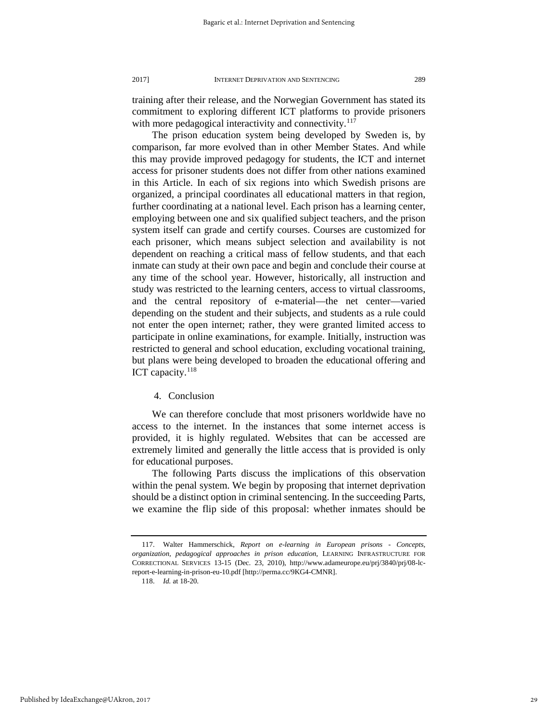training after their release, and the Norwegian Government has stated its commitment to exploring different ICT platforms to provide prisoners with more pedagogical interactivity and connectivity.<sup>[117](#page-29-0)</sup>

The prison education system being developed by Sweden is, by comparison, far more evolved than in other Member States. And while this may provide improved pedagogy for students, the ICT and internet access for prisoner students does not differ from other nations examined in this Article. In each of six regions into which Swedish prisons are organized, a principal coordinates all educational matters in that region, further coordinating at a national level. Each prison has a learning center, employing between one and six qualified subject teachers, and the prison system itself can grade and certify courses. Courses are customized for each prisoner, which means subject selection and availability is not dependent on reaching a critical mass of fellow students, and that each inmate can study at their own pace and begin and conclude their course at any time of the school year. However, historically, all instruction and study was restricted to the learning centers, access to virtual classrooms, and the central repository of e-material—the net center—varied depending on the student and their subjects, and students as a rule could not enter the open internet; rather, they were granted limited access to participate in online examinations, for example. Initially, instruction was restricted to general and school education, excluding vocational training, but plans were being developed to broaden the educational offering and ICT capacity.<sup>[118](#page-29-1)</sup>

## 4. Conclusion

We can therefore conclude that most prisoners worldwide have no access to the internet. In the instances that some internet access is provided, it is highly regulated. Websites that can be accessed are extremely limited and generally the little access that is provided is only for educational purposes.

The following Parts discuss the implications of this observation within the penal system. We begin by proposing that internet deprivation should be a distinct option in criminal sentencing. In the succeeding Parts, we examine the flip side of this proposal: whether inmates should be

<span id="page-29-1"></span><span id="page-29-0"></span><sup>117.</sup> Walter Hammerschick, *Report on e-learning in European prisons - Concepts, organization, pedagogical approaches in prison education*, LEARNING INFRASTRUCTURE FOR CORRECTIONAL SERVICES 13-15 (Dec. 23, 2010), http://www.adameurope.eu/prj/3840/prj/08-lcreport-e-learning-in-prison-eu-10.pdf [http://perma.cc/9KG4-CMNR].

<sup>118.</sup> *Id.* at 18-20.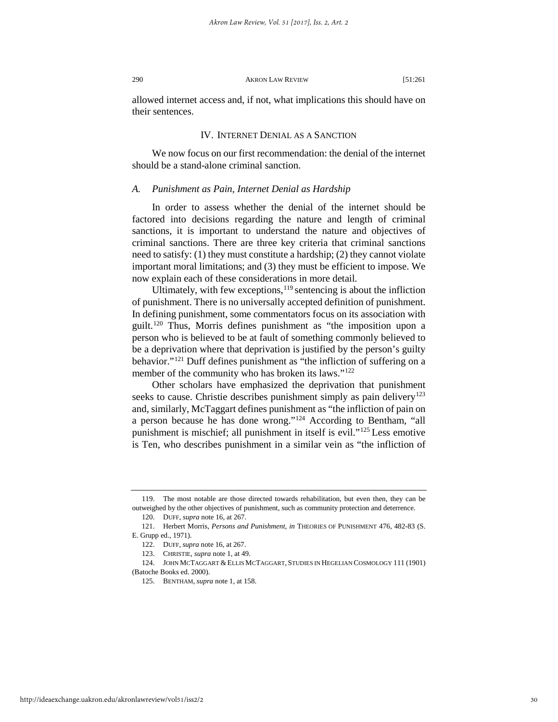allowed internet access and, if not, what implications this should have on their sentences.

## IV. INTERNET DENIAL AS A SANCTION

We now focus on our first recommendation: the denial of the internet should be a stand-alone criminal sanction.

### *A. Punishment as Pain, Internet Denial as Hardship*

In order to assess whether the denial of the internet should be factored into decisions regarding the nature and length of criminal sanctions, it is important to understand the nature and objectives of criminal sanctions. There are three key criteria that criminal sanctions need to satisfy: (1) they must constitute a hardship; (2) they cannot violate important moral limitations; and (3) they must be efficient to impose. We now explain each of these considerations in more detail.

Ultimately, with few exceptions,  $119$  sentencing is about the infliction of punishment. There is no universally accepted definition of punishment. In defining punishment, some commentators focus on its association with guilt[.120](#page-30-1) Thus, Morris defines punishment as "the imposition upon a person who is believed to be at fault of something commonly believed to be a deprivation where that deprivation is justified by the person's guilty behavior."<sup>[121](#page-30-2)</sup> Duff defines punishment as "the infliction of suffering on a member of the community who has broken its laws."<sup>[122](#page-30-3)</sup>

Other scholars have emphasized the deprivation that punishment seeks to cause. Christie describes punishment simply as pain delivery<sup>123</sup> and, similarly, McTaggart defines punishment as "the infliction of pain on a person because he has done wrong.["124](#page-30-5) According to Bentham, "all punishment is mischief; all punishment in itself is evil."[125](#page-30-6) Less emotive is Ten, who describes punishment in a similar vein as "the infliction of

<span id="page-30-1"></span><span id="page-30-0"></span><sup>119.</sup> The most notable are those directed towards rehabilitation, but even then, they can be outweighed by the other objectives of punishment, such as community protection and deterrence.

<sup>120.</sup> DUFF, *supra* note 16, at 267.

<span id="page-30-3"></span><span id="page-30-2"></span><sup>121.</sup> Herbert Morris, *Persons and Punishment, in* THEORIES OF PUNISHMENT 476, 482-83 (S. E. Grupp ed., 1971).

<sup>122.</sup> DUFF, *supra* note 16, at 267.

<sup>123.</sup> CHRISTIE, *supra* note 1, at 49.

<span id="page-30-6"></span><span id="page-30-5"></span><span id="page-30-4"></span><sup>124.</sup> JOHN MCTAGGART &ELLIS MCTAGGART, STUDIES IN HEGELIAN COSMOLOGY 111 (1901) (Batoche Books ed. 2000).

<sup>125.</sup> BENTHAM, *supra* note 1, at 158.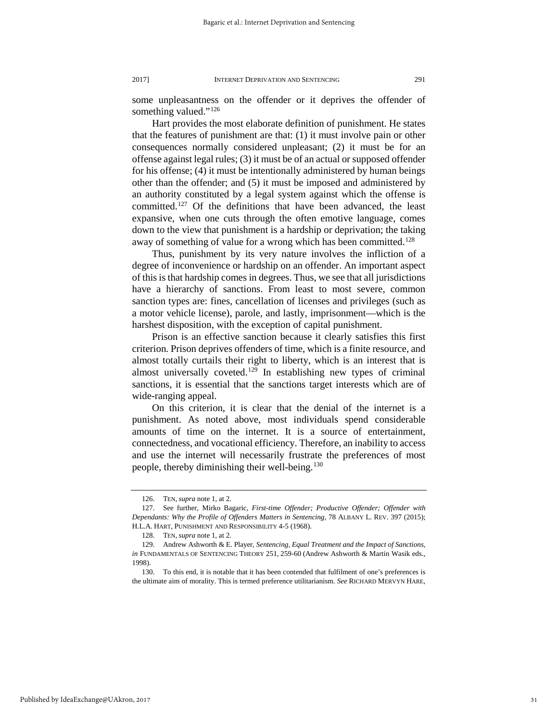some unpleasantness on the offender or it deprives the offender of something valued."<sup>[126](#page-31-0)</sup>

Hart provides the most elaborate definition of punishment. He states that the features of punishment are that: (1) it must involve pain or other consequences normally considered unpleasant; (2) it must be for an offense against legal rules; (3) it must be of an actual or supposed offender for his offense; (4) it must be intentionally administered by human beings other than the offender; and (5) it must be imposed and administered by an authority constituted by a legal system against which the offense is committed.<sup>[127](#page-31-1)</sup> Of the definitions that have been advanced, the least expansive, when one cuts through the often emotive language, comes down to the view that punishment is a hardship or deprivation; the taking away of something of value for a wrong which has been committed.<sup>[128](#page-31-2)</sup>

Thus, punishment by its very nature involves the infliction of a degree of inconvenience or hardship on an offender. An important aspect of this is that hardship comes in degrees. Thus, we see that all jurisdictions have a hierarchy of sanctions. From least to most severe, common sanction types are: fines, cancellation of licenses and privileges (such as a motor vehicle license), parole, and lastly, imprisonment—which is the harshest disposition, with the exception of capital punishment.

Prison is an effective sanction because it clearly satisfies this first criterion. Prison deprives offenders of time, which is a finite resource, and almost totally curtails their right to liberty, which is an interest that is almost universally coveted.<sup>[129](#page-31-3)</sup> In establishing new types of criminal sanctions, it is essential that the sanctions target interests which are of wide-ranging appeal.

On this criterion, it is clear that the denial of the internet is a punishment. As noted above, most individuals spend considerable amounts of time on the internet. It is a source of entertainment, connectedness, and vocational efficiency. Therefore, an inability to access and use the internet will necessarily frustrate the preferences of most people, thereby diminishing their well-being.<sup>[130](#page-31-4)</sup>

<span id="page-31-4"></span>Published by IdeaExchange@UAkron, 2017

<sup>126.</sup> TEN, *supra* note 1, at 2.

<span id="page-31-1"></span><span id="page-31-0"></span><sup>127.</sup> See further, Mirko Bagaric, *First-time Offender; Productive Offender; Offender with Dependants: Why the Profile of Offenders Matters in Sentencing,* 78 ALBANY L. REV. 397 (2015); H.L.A. HART, PUNISHMENT AND RESPONSIBILITY 4-5 (1968).

<sup>128.</sup> TEN, *supra* note 1, at 2.

<span id="page-31-3"></span><span id="page-31-2"></span><sup>129.</sup> Andrew Ashworth & E. Player, *Sentencing, Equal Treatment and the Impact of Sanctions, in* FUNDAMENTALS OF SENTENCING THEORY 251, 259-60 (Andrew Ashworth & Martin Wasik eds., 1998).

<sup>130.</sup> To this end, it is notable that it has been contended that fulfilment of one's preferences is the ultimate aim of morality. This is termed preference utilitarianism. *See* RICHARD MERVYN HARE,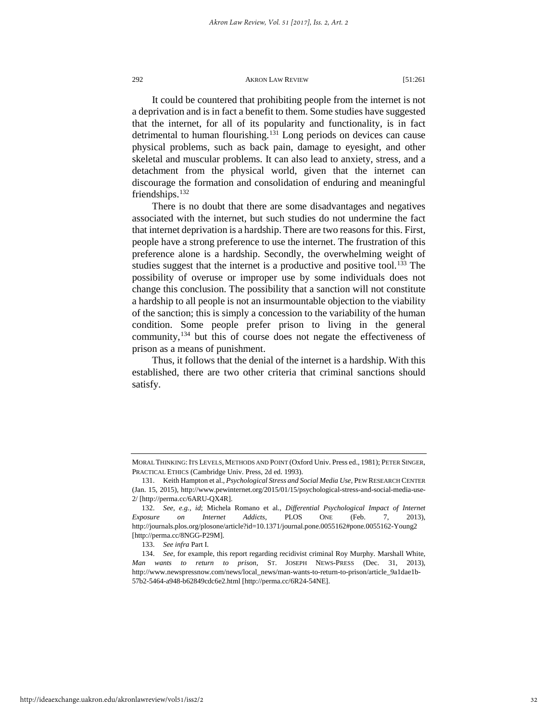It could be countered that prohibiting people from the internet is not a deprivation and is in fact a benefit to them. Some studies have suggested that the internet, for all of its popularity and functionality, is in fact detrimental to human flourishing.<sup>[131](#page-32-0)</sup> Long periods on devices can cause physical problems, such as back pain, damage to eyesight, and other skeletal and muscular problems. It can also lead to anxiety, stress, and a detachment from the physical world, given that the internet can discourage the formation and consolidation of enduring and meaningful friendships.<sup>[132](#page-32-1)</sup>

There is no doubt that there are some disadvantages and negatives associated with the internet, but such studies do not undermine the fact that internet deprivation is a hardship. There are two reasons for this. First, people have a strong preference to use the internet. The frustration of this preference alone is a hardship. Secondly, the overwhelming weight of studies suggest that the internet is a productive and positive tool.<sup>[133](#page-32-2)</sup> The possibility of overuse or improper use by some individuals does not change this conclusion. The possibility that a sanction will not constitute a hardship to all people is not an insurmountable objection to the viability of the sanction; this is simply a concession to the variability of the human condition. Some people prefer prison to living in the general community,[134](#page-32-3) but this of course does not negate the effectiveness of prison as a means of punishment.

Thus, it follows that the denial of the internet is a hardship. With this established, there are two other criteria that criminal sanctions should satisfy.

MORAL THINKING: ITS LEVELS, METHODS AND POINT (Oxford Univ. Press ed., 1981); PETER SINGER, PRACTICAL ETHICS (Cambridge Univ. Press, 2d ed. 1993).

<span id="page-32-0"></span><sup>131.</sup> Keith Hampton et al., *Psychological Stress and Social Media Use,* PEW RESEARCH CENTER (Jan. 15, 2015), http://www.pewinternet.org/2015/01/15/psychological-stress-and-social-media-use-2/ [http://perma.cc/6ARU-QX4R].

<span id="page-32-1"></span><sup>132.</sup> *See, e.g.*, *id*; Michela Romano et al., *Differential Psychological Impact of Internet Exposure on Internet Addicts*, PLOS ONE (Feb. 7, 2013), http://journals.plos.org/plosone/article?id=10.1371/journal.pone.0055162#pone.0055162-Young2 [http://perma.cc/8NGG-P29M].

<sup>133.</sup> *See infra* Part I.

<span id="page-32-3"></span><span id="page-32-2"></span><sup>134.</sup> *See*, for example, this report regarding recidivist criminal Roy Murphy. Marshall White, *Man wants to return to prison,* ST. JOSEPH NEWS-PRESS (Dec. 31, 2013), http://www.newspressnow.com/news/local\_news/man-wants-to-return-to-prison/article\_9a1dae1b-57b2-5464-a948-b62849cdc6e2.html [http://perma.cc/6R24-54NE].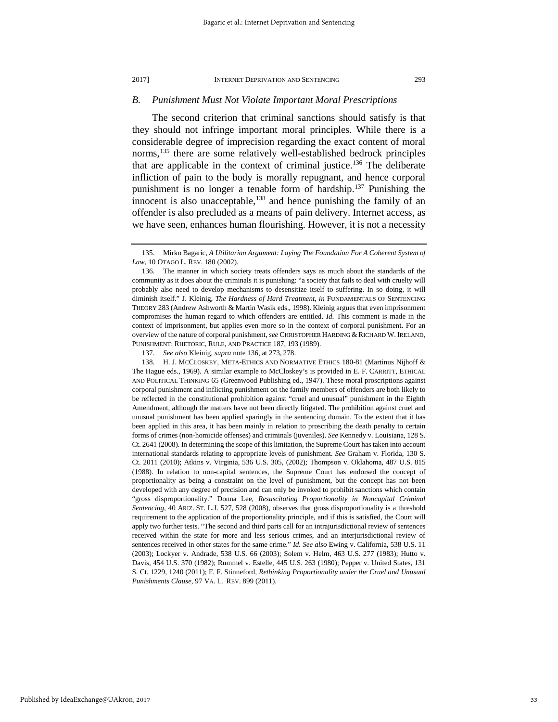#### *B. Punishment Must Not Violate Important Moral Prescriptions*

The second criterion that criminal sanctions should satisfy is that they should not infringe important moral principles. While there is a considerable degree of imprecision regarding the exact content of moral norms,<sup>[135](#page-33-0)</sup> there are some relatively well-established bedrock principles that are applicable in the context of criminal justice.[136](#page-33-1) The deliberate infliction of pain to the body is morally repugnant, and hence corporal punishment is no longer a tenable form of hardship.<sup>137</sup> Punishing the innocent is also unacceptable,<sup>[138](#page-33-3)</sup> and hence punishing the family of an offender is also precluded as a means of pain delivery. Internet access, as we have seen, enhances human flourishing. However, it is not a necessity

137. *See also* Kleinig, *supra* note 136, at 273, 278.

<span id="page-33-3"></span><span id="page-33-2"></span>138. H. J. MCCLOSKEY, META-ETHICS AND NORMATIVE ETHICS 180-81 (Martinus Nijhoff & The Hague eds., 1969). A similar example to McCloskey's is provided in E. F. CARRITT, ETHICAL AND POLITICAL THINKING 65 (Greenwood Publishing ed., 1947). These moral proscriptions against corporal punishment and inflicting punishment on the family members of offenders are both likely to be reflected in the constitutional prohibition against "cruel and unusual" punishment in the Eighth Amendment, although the matters have not been directly litigated. The prohibition against cruel and unusual punishment has been applied sparingly in the sentencing domain. To the extent that it has been applied in this area, it has been mainly in relation to proscribing the death penalty to certain forms of crimes (non-homicide offenses) and criminals (juveniles). *See* Kennedy v. Louisiana, 128 S. Ct. 2641 (2008). In determining the scope of this limitation, the Supreme Court has taken into account international standards relating to appropriate levels of punishment. *See* Graham v. Florida, 130 S. Ct. 2011 (2010); Atkins v. Virginia, 536 U.S. 305, (2002); Thompson v. Oklahoma, 487 U.S. 815 (1988). In relation to non-capital sentences, the Supreme Court has endorsed the concept of proportionality as being a constraint on the level of punishment, but the concept has not been developed with any degree of precision and can only be invoked to prohibit sanctions which contain "gross disproportionality." Donna Lee, *Resuscitating Proportionality in Noncapital Criminal Sentencing*, 40 ARIZ. ST. L.J. 527, 528 (2008), observes that gross disproportionality is a threshold requirement to the application of the proportionality principle, and if this is satisfied, the Court will apply two further tests. "The second and third parts call for an intrajurisdictional review of sentences received within the state for more and less serious crimes, and an interjurisdictional review of sentences received in other states for the same crime." *Id. See also* Ewing v. California, 538 U.S. 11 (2003); Lockyer v. Andrade, 538 U.S. 66 (2003); Solem v. Helm, 463 U.S. 277 (1983); Hutto v. Davis, 454 U.S. 370 (1982); Rummel v. Estelle, 445 U.S. 263 (1980); Pepper v. United States, 131 S. Ct. 1229, 1240 (2011); F. F. Stinneford, *Rethinking Proportionality under the Cruel and Unusual Punishments Clause*, 97 VA. L. REV. 899 (2011).

<span id="page-33-0"></span><sup>135.</sup> Mirko Bagaric, *A Utilitarian Argument: Laying The Foundation For A Coherent System of Law*, 10 OTAGO L. REV. 180 (2002).

<span id="page-33-1"></span><sup>136.</sup> The manner in which society treats offenders says as much about the standards of the community as it does about the criminals it is punishing: "a society that fails to deal with cruelty will probably also need to develop mechanisms to desensitize itself to suffering. In so doing, it will diminish itself." J. Kleinig, *The Hardness of Hard Treatment, in* FUNDAMENTALS OF SENTENCING THEORY 283 (Andrew Ashworth & Martin Wasik eds., 1998). Kleinig argues that even imprisonment compromises the human regard to which offenders are entitled. *Id*. This comment is made in the context of imprisonment, but applies even more so in the context of corporal punishment. For an overview of the nature of corporal punishment, *see* CHRISTOPHER HARDING &RICHARD W. IRELAND, PUNISHMENT: RHETORIC, RULE, AND PRACTICE 187, 193 (1989).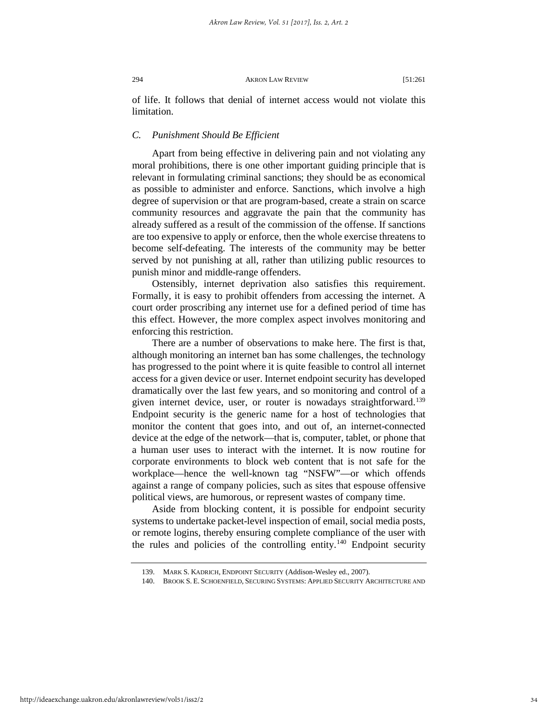of life. It follows that denial of internet access would not violate this limitation.

## *C. Punishment Should Be Efficient*

Apart from being effective in delivering pain and not violating any moral prohibitions, there is one other important guiding principle that is relevant in formulating criminal sanctions; they should be as economical as possible to administer and enforce. Sanctions, which involve a high degree of supervision or that are program-based, create a strain on scarce community resources and aggravate the pain that the community has already suffered as a result of the commission of the offense. If sanctions are too expensive to apply or enforce, then the whole exercise threatens to become self-defeating. The interests of the community may be better served by not punishing at all, rather than utilizing public resources to punish minor and middle-range offenders.

Ostensibly, internet deprivation also satisfies this requirement. Formally, it is easy to prohibit offenders from accessing the internet. A court order proscribing any internet use for a defined period of time has this effect. However, the more complex aspect involves monitoring and enforcing this restriction.

There are a number of observations to make here. The first is that, although monitoring an internet ban has some challenges, the technology has progressed to the point where it is quite feasible to control all internet access for a given device or user. Internet endpoint security has developed dramatically over the last few years, and so monitoring and control of a given internet device, user, or router is nowadays straightforward.<sup>139</sup> Endpoint security is the generic name for a host of technologies that monitor the content that goes into, and out of, an internet-connected device at the edge of the network—that is, computer, tablet, or phone that a human user uses to interact with the internet. It is now routine for corporate environments to block web content that is not safe for the workplace—hence the well-known tag "NSFW"—or which offends against a range of company policies, such as sites that espouse offensive political views, are humorous, or represent wastes of company time.

Aside from blocking content, it is possible for endpoint security systems to undertake packet-level inspection of email, social media posts, or remote logins, thereby ensuring complete compliance of the user with the rules and policies of the controlling entity.<sup>[140](#page-34-1)</sup> Endpoint security

<sup>139.</sup> MARK S. KADRICH, ENDPOINT SECURITY (Addison-Wesley ed., 2007).

<span id="page-34-1"></span><span id="page-34-0"></span><sup>140.</sup> BROOK S. E. SCHOENFIELD, SECURING SYSTEMS: APPLIED SECURITY ARCHITECTURE AND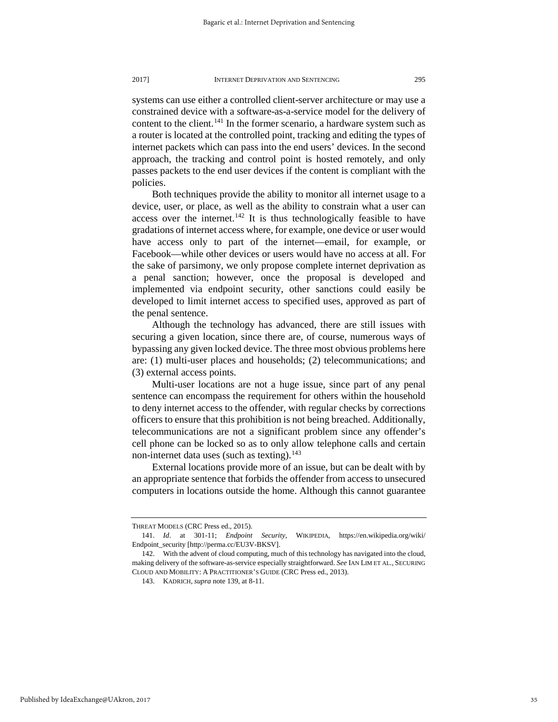systems can use either a controlled client-server architecture or may use a constrained device with a software-as-a-service model for the delivery of content to the client.<sup>[141](#page-35-0)</sup> In the former scenario, a hardware system such as a router is located at the controlled point, tracking and editing the types of internet packets which can pass into the end users' devices. In the second approach, the tracking and control point is hosted remotely, and only passes packets to the end user devices if the content is compliant with the policies.

Both techniques provide the ability to monitor all internet usage to a device, user, or place, as well as the ability to constrain what a user can access over the internet.<sup>[142](#page-35-1)</sup> It is thus technologically feasible to have gradations of internet access where, for example, one device or user would have access only to part of the internet—email, for example, or Facebook—while other devices or users would have no access at all. For the sake of parsimony, we only propose complete internet deprivation as a penal sanction; however, once the proposal is developed and implemented via endpoint security, other sanctions could easily be developed to limit internet access to specified uses, approved as part of the penal sentence.

Although the technology has advanced, there are still issues with securing a given location, since there are, of course, numerous ways of bypassing any given locked device. The three most obvious problems here are: (1) multi-user places and households; (2) telecommunications; and (3) external access points.

Multi-user locations are not a huge issue, since part of any penal sentence can encompass the requirement for others within the household to deny internet access to the offender, with regular checks by corrections officers to ensure that this prohibition is not being breached. Additionally, telecommunications are not a significant problem since any offender's cell phone can be locked so as to only allow telephone calls and certain non-internet data uses (such as texting).<sup>[143](#page-35-2)</sup>

External locations provide more of an issue, but can be dealt with by an appropriate sentence that forbids the offender from access to unsecured computers in locations outside the home. Although this cannot guarantee

THREAT MODELS (CRC Press ed., 2015).

<span id="page-35-0"></span><sup>141.</sup> *Id*. at 301-11; *Endpoint Security*, WIKIPEDIA, https://en.wikipedia.org/wiki/ Endpoint\_security [http://perma.cc/EU3V-BKSV].

<span id="page-35-2"></span><span id="page-35-1"></span><sup>142.</sup> With the advent of cloud computing, much of this technology has navigated into the cloud, making delivery of the software-as-service especially straightforward. *See* IAN LIM ET AL., SECURING CLOUD AND MOBILITY: A PRACTITIONER'S GUIDE (CRC Press ed., 2013).

<sup>143.</sup> KADRICH, *supra* note 139, at 8-11.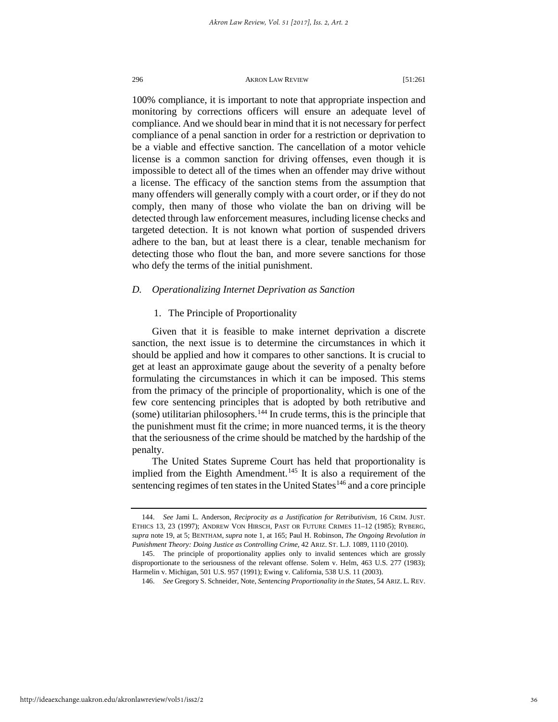100% compliance, it is important to note that appropriate inspection and monitoring by corrections officers will ensure an adequate level of compliance. And we should bear in mind that it is not necessary for perfect compliance of a penal sanction in order for a restriction or deprivation to be a viable and effective sanction. The cancellation of a motor vehicle license is a common sanction for driving offenses, even though it is impossible to detect all of the times when an offender may drive without a license. The efficacy of the sanction stems from the assumption that many offenders will generally comply with a court order, or if they do not comply, then many of those who violate the ban on driving will be detected through law enforcement measures, including license checks and targeted detection. It is not known what portion of suspended drivers adhere to the ban, but at least there is a clear, tenable mechanism for detecting those who flout the ban, and more severe sanctions for those who defy the terms of the initial punishment.

## *D. Operationalizing Internet Deprivation as Sanction*

## 1. The Principle of Proportionality

Given that it is feasible to make internet deprivation a discrete sanction, the next issue is to determine the circumstances in which it should be applied and how it compares to other sanctions. It is crucial to get at least an approximate gauge about the severity of a penalty before formulating the circumstances in which it can be imposed. This stems from the primacy of the principle of proportionality, which is one of the few core sentencing principles that is adopted by both retributive and  $(some)$  utilitarian philosophers.<sup>[144](#page-36-0)</sup> In crude terms, this is the principle that the punishment must fit the crime; in more nuanced terms, it is the theory that the seriousness of the crime should be matched by the hardship of the penalty.

The United States Supreme Court has held that proportionality is implied from the Eighth Amendment.<sup>[145](#page-36-1)</sup> It is also a requirement of the sentencing regimes of ten states in the United States<sup>[146](#page-36-2)</sup> and a core principle

<span id="page-36-0"></span><sup>144.</sup> *See* Jami L. Anderson, *Reciprocity as a Justification for Retributivism*, 16 CRIM. JUST. ETHICS 13, 23 (1997); ANDREW VON HIRSCH, PAST OR FUTURE CRIMES 11–12 (1985); RYBERG, *supra* note 19, at 5; BENTHAM, *supra* note 1, at 165; Paul H. Robinson, *The Ongoing Revolution in Punishment Theory: Doing Justice as Controlling Crime*, 42 ARIZ. ST. L.J. 1089, 1110 (2010).

<span id="page-36-2"></span><span id="page-36-1"></span><sup>145.</sup> The principle of proportionality applies only to invalid sentences which are grossly disproportionate to the seriousness of the relevant offense. Solem v. Helm, 463 U.S. 277 (1983); Harmelin v. Michigan, 501 U.S. 957 (1991); Ewing v. California, 538 U.S. 11 (2003).

<sup>146.</sup> *See* Gregory S. Schneider, Note, *Sentencing Proportionality in the States*, 54 ARIZ. L. REV.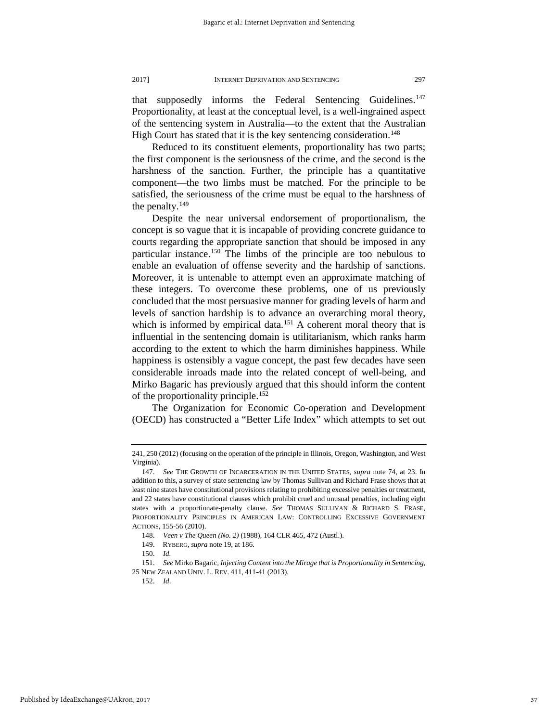that supposedly informs the Federal Sentencing Guidelines.<sup>147</sup> Proportionality, at least at the conceptual level, is a well-ingrained aspect of the sentencing system in Australia—to the extent that the Australian High Court has stated that it is the key sentencing consideration.<sup>[148](#page-37-1)</sup>

Reduced to its constituent elements, proportionality has two parts; the first component is the seriousness of the crime, and the second is the harshness of the sanction. Further, the principle has a quantitative component—the two limbs must be matched. For the principle to be satisfied, the seriousness of the crime must be equal to the harshness of the penalty.<sup>[149](#page-37-2)</sup>

Despite the near universal endorsement of proportionalism, the concept is so vague that it is incapable of providing concrete guidance to courts regarding the appropriate sanction that should be imposed in any particular instance[.150](#page-37-3) The limbs of the principle are too nebulous to enable an evaluation of offense severity and the hardship of sanctions. Moreover, it is untenable to attempt even an approximate matching of these integers. To overcome these problems, one of us previously concluded that the most persuasive manner for grading levels of harm and levels of sanction hardship is to advance an overarching moral theory, which is informed by empirical data.<sup>[151](#page-37-4)</sup> A coherent moral theory that is influential in the sentencing domain is utilitarianism, which ranks harm according to the extent to which the harm diminishes happiness. While happiness is ostensibly a vague concept, the past few decades have seen considerable inroads made into the related concept of well-being, and Mirko Bagaric has previously argued that this should inform the content of the proportionality principle.<sup>[152](#page-37-5)</sup>

The Organization for Economic Co-operation and Development (OECD) has constructed a "Better Life Index" which attempts to set out

152. *Id*.

<sup>241, 250 (2012) (</sup>focusing on the operation of the principle in Illinois, Oregon, Washington, and West Virginia).

<span id="page-37-0"></span><sup>147.</sup> *See* THE GROWTH OF INCARCERATION IN THE UNITED STATES*, supra* note 74, at 23. In addition to this, a survey of state sentencing law by Thomas Sullivan and Richard Frase shows that at least nine states have constitutional provisions relating to prohibiting excessive penalties or treatment, and 22 states have constitutional clauses which prohibit cruel and unusual penalties, including eight states with a proportionate-penalty clause. See THOMAS SULLIVAN & RICHARD S. FRASE, PROPORTIONALITY PRINCIPLES IN AMERICAN LAW: CONTROLLING EXCESSIVE GOVERNMENT ACTIONS*,* 155-56 (2010).

<sup>148.</sup> *Veen v The Queen (No. 2)* (1988), 164 CLR 465, 472 (Austl.).

<sup>149.</sup> RYBERG, *supra* note 19, at 186.

<sup>150.</sup> *Id.*

<span id="page-37-5"></span><span id="page-37-4"></span><span id="page-37-3"></span><span id="page-37-2"></span><span id="page-37-1"></span><sup>151.</sup> *See* Mirko Bagaric, *Injecting Content into the Mirage that is Proportionality in Sentencing*, 25 NEW ZEALAND UNIV. L. REV. 411, 411-41 (2013).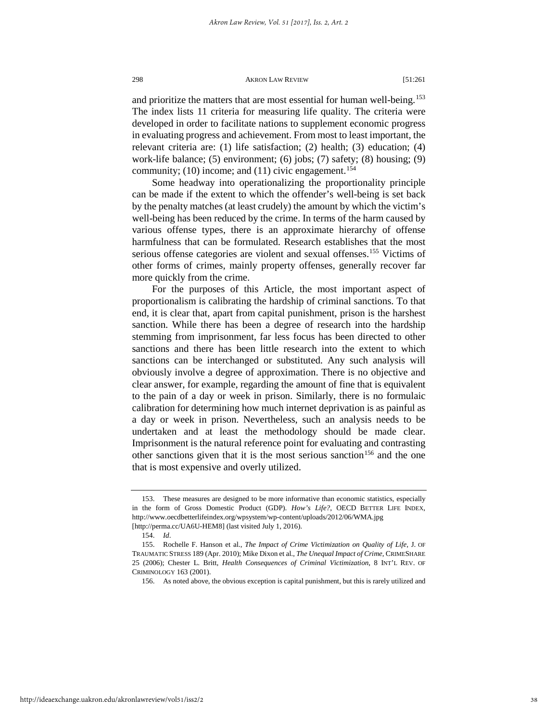and prioritize the matters that are most essential for human well-being.<sup>[153](#page-38-0)</sup> The index lists 11 criteria for measuring life quality. The criteria were developed in order to facilitate nations to supplement economic progress in evaluating progress and achievement. From most to least important, the relevant criteria are: (1) life satisfaction; (2) health; (3) education; (4) work-life balance; (5) environment; (6) jobs; (7) safety; (8) housing; (9) community;  $(10)$  income; and  $(11)$  civic engagement.<sup>[154](#page-38-1)</sup>

Some headway into operationalizing the proportionality principle can be made if the extent to which the offender's well-being is set back by the penalty matches (at least crudely) the amount by which the victim's well-being has been reduced by the crime. In terms of the harm caused by various offense types, there is an approximate hierarchy of offense harmfulness that can be formulated. Research establishes that the most serious offense categories are violent and sexual offenses.<sup>155</sup> Victims of other forms of crimes, mainly property offenses, generally recover far more quickly from the crime.

For the purposes of this Article, the most important aspect of proportionalism is calibrating the hardship of criminal sanctions. To that end, it is clear that, apart from capital punishment, prison is the harshest sanction. While there has been a degree of research into the hardship stemming from imprisonment, far less focus has been directed to other sanctions and there has been little research into the extent to which sanctions can be interchanged or substituted. Any such analysis will obviously involve a degree of approximation. There is no objective and clear answer, for example, regarding the amount of fine that is equivalent to the pain of a day or week in prison. Similarly, there is no formulaic calibration for determining how much internet deprivation is as painful as a day or week in prison. Nevertheless, such an analysis needs to be undertaken and at least the methodology should be made clear. Imprisonment is the natural reference point for evaluating and contrasting other sanctions given that it is the most serious sanction<sup>[156](#page-38-3)</sup> and the one that is most expensive and overly utilized.

<span id="page-38-0"></span><sup>153.</sup> These measures are designed to be more informative than economic statistics, especially in the form of Gross Domestic Product (GDP). *How's Life?*, OECD BETTER LIFE INDEX, http://www.oecdbetterlifeindex.org/wpsystem/wp-content/uploads/2012/06/WMA.jpg [http://perma.cc/UA6U-HEM8] (last visited July 1, 2016).

<sup>154.</sup> *Id*.

<span id="page-38-3"></span><span id="page-38-2"></span><span id="page-38-1"></span><sup>155.</sup> Rochelle F. Hanson et al., *The Impact of Crime Victimization on Quality of Life,* J. OF TRAUMATIC STRESS 189 (Apr. 2010); Mike Dixon et al., *The Unequal Impact of Crime*, CRIMESHARE 25 (2006); Chester L. Britt, *Health Consequences of Criminal Victimization*, 8 INT'L REV. OF CRIMINOLOGY 163 (2001).

<sup>156.</sup> As noted above, the obvious exception is capital punishment, but this is rarely utilized and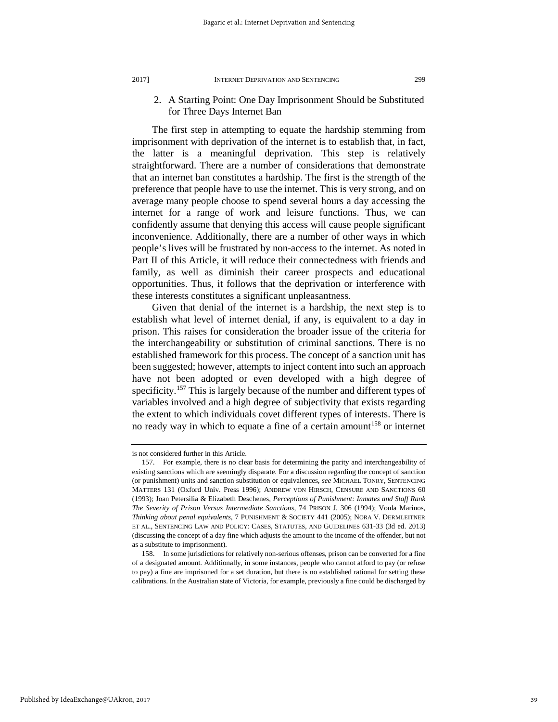2. A Starting Point: One Day Imprisonment Should be Substituted for Three Days Internet Ban

The first step in attempting to equate the hardship stemming from imprisonment with deprivation of the internet is to establish that, in fact, the latter is a meaningful deprivation. This step is relatively straightforward. There are a number of considerations that demonstrate that an internet ban constitutes a hardship. The first is the strength of the preference that people have to use the internet. This is very strong, and on average many people choose to spend several hours a day accessing the internet for a range of work and leisure functions. Thus, we can confidently assume that denying this access will cause people significant inconvenience. Additionally, there are a number of other ways in which people's lives will be frustrated by non-access to the internet. As noted in Part II of this Article, it will reduce their connectedness with friends and family, as well as diminish their career prospects and educational opportunities. Thus, it follows that the deprivation or interference with these interests constitutes a significant unpleasantness.

Given that denial of the internet is a hardship, the next step is to establish what level of internet denial, if any, is equivalent to a day in prison. This raises for consideration the broader issue of the criteria for the interchangeability or substitution of criminal sanctions. There is no established framework for this process. The concept of a sanction unit has been suggested; however, attempts to inject content into such an approach have not been adopted or even developed with a high degree of specificity.<sup>[157](#page-39-0)</sup> This is largely because of the number and different types of variables involved and a high degree of subjectivity that exists regarding the extent to which individuals covet different types of interests. There is no ready way in which to equate a fine of a certain amount<sup>[158](#page-39-1)</sup> or internet

is not considered further in this Article.

<span id="page-39-0"></span><sup>157.</sup> For example, there is no clear basis for determining the parity and interchangeability of existing sanctions which are seemingly disparate. For a discussion regarding the concept of sanction (or punishment) units and sanction substitution or equivalences, *see* MICHAEL TONRY, SENTENCING MATTERS 131 (Oxford Univ. Press 1996); ANDREW VON HIRSCH, CENSURE AND SANCTIONS 60 (1993); Joan Petersilia & Elizabeth Deschenes, *Perceptions of Punishment: Inmates and Staff Rank The Severity of Prison Versus Intermediate Sanctions*, 74 PRISON J. 306 (1994); Voula Marinos, *Thinking about penal equivalents,* 7 PUNISHMENT & SOCIETY 441 (2005); NORA V. DERMLEITNER ET AL., SENTENCING LAW AND POLICY: CASES, STATUTES, AND GUIDELINES 631-33 (3d ed. 2013) (discussing the concept of a day fine which adjusts the amount to the income of the offender, but not as a substitute to imprisonment).

<span id="page-39-1"></span><sup>158.</sup> In some jurisdictions for relatively non-serious offenses, prison can be converted for a fine of a designated amount. Additionally, in some instances, people who cannot afford to pay (or refuse to pay) a fine are imprisoned for a set duration, but there is no established rational for setting these calibrations. In the Australian state of Victoria, for example, previously a fine could be discharged by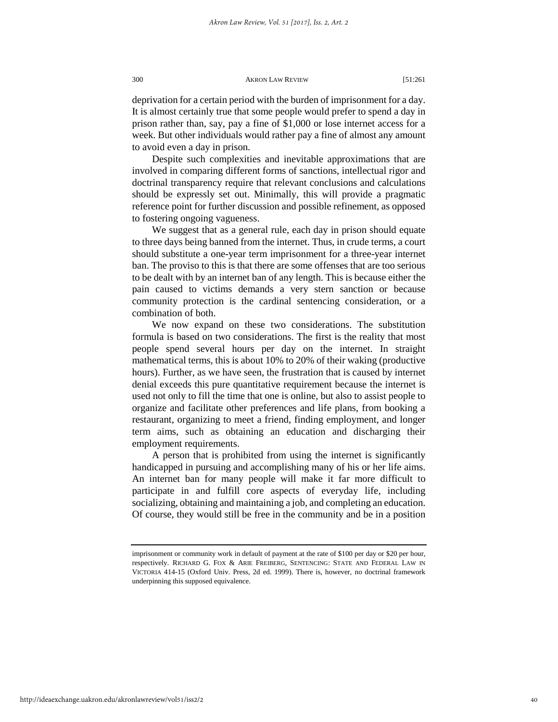deprivation for a certain period with the burden of imprisonment for a day. It is almost certainly true that some people would prefer to spend a day in prison rather than, say, pay a fine of \$1,000 or lose internet access for a week. But other individuals would rather pay a fine of almost any amount to avoid even a day in prison.

Despite such complexities and inevitable approximations that are involved in comparing different forms of sanctions, intellectual rigor and doctrinal transparency require that relevant conclusions and calculations should be expressly set out. Minimally, this will provide a pragmatic reference point for further discussion and possible refinement, as opposed to fostering ongoing vagueness.

We suggest that as a general rule, each day in prison should equate to three days being banned from the internet. Thus, in crude terms, a court should substitute a one-year term imprisonment for a three-year internet ban. The proviso to this is that there are some offenses that are too serious to be dealt with by an internet ban of any length. This is because either the pain caused to victims demands a very stern sanction or because community protection is the cardinal sentencing consideration, or a combination of both.

We now expand on these two considerations. The substitution formula is based on two considerations. The first is the reality that most people spend several hours per day on the internet. In straight mathematical terms, this is about 10% to 20% of their waking (productive hours). Further, as we have seen, the frustration that is caused by internet denial exceeds this pure quantitative requirement because the internet is used not only to fill the time that one is online, but also to assist people to organize and facilitate other preferences and life plans, from booking a restaurant, organizing to meet a friend, finding employment, and longer term aims, such as obtaining an education and discharging their employment requirements.

A person that is prohibited from using the internet is significantly handicapped in pursuing and accomplishing many of his or her life aims. An internet ban for many people will make it far more difficult to participate in and fulfill core aspects of everyday life, including socializing, obtaining and maintaining a job, and completing an education. Of course, they would still be free in the community and be in a position

imprisonment or community work in default of payment at the rate of \$100 per day or \$20 per hour, respectively. RICHARD G. FOX & ARIE FREIBERG, SENTENCING: STATE AND FEDERAL LAW IN VICTORIA 414-15 (Oxford Univ. Press, 2d ed. 1999). There is, however, no doctrinal framework underpinning this supposed equivalence.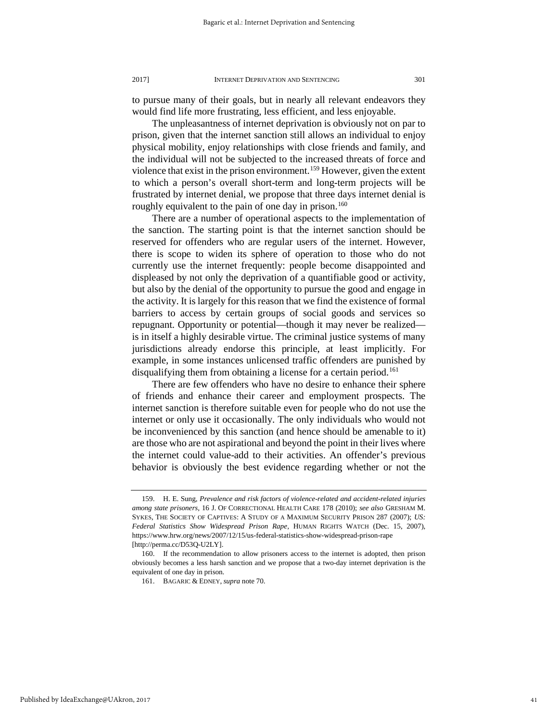to pursue many of their goals, but in nearly all relevant endeavors they would find life more frustrating, less efficient, and less enjoyable.

The unpleasantness of internet deprivation is obviously not on par to prison, given that the internet sanction still allows an individual to enjoy physical mobility, enjoy relationships with close friends and family, and the individual will not be subjected to the increased threats of force and violence that exist in the prison environment.[159](#page-41-0) However, given the extent to which a person's overall short-term and long-term projects will be frustrated by internet denial, we propose that three days internet denial is roughly equivalent to the pain of one day in prison.<sup>[160](#page-41-1)</sup>

There are a number of operational aspects to the implementation of the sanction. The starting point is that the internet sanction should be reserved for offenders who are regular users of the internet. However, there is scope to widen its sphere of operation to those who do not currently use the internet frequently: people become disappointed and displeased by not only the deprivation of a quantifiable good or activity, but also by the denial of the opportunity to pursue the good and engage in the activity. It is largely for this reason that we find the existence of formal barriers to access by certain groups of social goods and services so repugnant. Opportunity or potential—though it may never be realized is in itself a highly desirable virtue. The criminal justice systems of many jurisdictions already endorse this principle, at least implicitly. For example, in some instances unlicensed traffic offenders are punished by disqualifying them from obtaining a license for a certain period.<sup>[161](#page-41-2)</sup>

There are few offenders who have no desire to enhance their sphere of friends and enhance their career and employment prospects. The internet sanction is therefore suitable even for people who do not use the internet or only use it occasionally. The only individuals who would not be inconvenienced by this sanction (and hence should be amenable to it) are those who are not aspirational and beyond the point in their lives where the internet could value-add to their activities. An offender's previous behavior is obviously the best evidence regarding whether or not the

<span id="page-41-0"></span><sup>159.</sup> H. E. Sung, *Prevalence and risk factors of violence-related and accident-related injuries among state prisoners,* 16 J. OF CORRECTIONAL HEALTH CARE 178 (2010); *see also* GRESHAM M. SYKES, THE SOCIETY OF CAPTIVES: A STUDY OF A MAXIMUM SECURITY PRISON 287 (2007); *US: Federal Statistics Show Widespread Prison Rape,* HUMAN RIGHTS WATCH (Dec. 15, 2007), https://www.hrw.org/news/2007/12/15/us-federal-statistics-show-widespread-prison-rape [http://perma.cc/D53Q-U2LY].

<span id="page-41-2"></span><span id="page-41-1"></span><sup>160.</sup> If the recommendation to allow prisoners access to the internet is adopted, then prison obviously becomes a less harsh sanction and we propose that a two-day internet deprivation is the equivalent of one day in prison.

<sup>161.</sup> BAGARIC & EDNEY, *supra* note 70.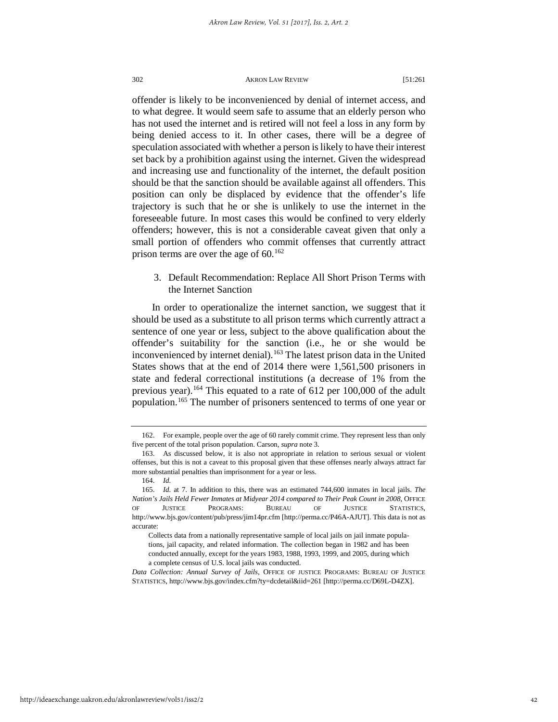offender is likely to be inconvenienced by denial of internet access, and to what degree. It would seem safe to assume that an elderly person who has not used the internet and is retired will not feel a loss in any form by being denied access to it. In other cases, there will be a degree of speculation associated with whether a person is likely to have their interest set back by a prohibition against using the internet. Given the widespread and increasing use and functionality of the internet, the default position should be that the sanction should be available against all offenders. This position can only be displaced by evidence that the offender's life trajectory is such that he or she is unlikely to use the internet in the foreseeable future. In most cases this would be confined to very elderly offenders; however, this is not a considerable caveat given that only a small portion of offenders who commit offenses that currently attract prison terms are over the age of  $60^{162}$  $60^{162}$  $60^{162}$ 

3. Default Recommendation: Replace All Short Prison Terms with the Internet Sanction

In order to operationalize the internet sanction, we suggest that it should be used as a substitute to all prison terms which currently attract a sentence of one year or less, subject to the above qualification about the offender's suitability for the sanction (i.e., he or she would be inconvenienced by internet denial).<sup>[163](#page-42-1)</sup> The latest prison data in the United States shows that at the end of 2014 there were 1,561,500 prisoners in state and federal correctional institutions (a decrease of 1% from the previous year).<sup>[164](#page-42-2)</sup> This equated to a rate of 612 per 100,000 of the adult population.<sup>[165](#page-42-3)</sup> The number of prisoners sentenced to terms of one year or

http://ideaexchange.uakron.edu/akronlawreview/vol51/iss2/2

<span id="page-42-0"></span><sup>162.</sup> For example, people over the age of 60 rarely commit crime. They represent less than only five percent of the total prison population. Carson, *supra* note 3.

<span id="page-42-1"></span><sup>163.</sup> As discussed below, it is also not appropriate in relation to serious sexual or violent offenses, but this is not a caveat to this proposal given that these offenses nearly always attract far more substantial penalties than imprisonment for a year or less.

<sup>164.</sup> *Id.*

<span id="page-42-3"></span><span id="page-42-2"></span><sup>165.</sup> *Id.* at 7. In addition to this, there was an estimated 744,600 inmates in local jails. *The Nation's Jails Held Fewer Inmates at Midyear 2014 compared to Their Peak Count in 2008*, OFFICE OF JUSTICE PROGRAMS: BUREAU OF JUSTICE STATISTICS, http://www.bjs.gov/content/pub/press/jim14pr.cfm [http://perma.cc/P46A-AJUT]. This data is not as accurate:

Collects data from a nationally representative sample of local jails on jail inmate populations, jail capacity, and related information. The collection began in 1982 and has been conducted annually, except for the years 1983, 1988, 1993, 1999, and 2005, during which a complete census of U.S. local jails was conducted.

*Data Collection: Annual Survey of Jails*, OFFICE OF JUSTICE PROGRAMS: BUREAU OF JUSTICE STATISTICS, http://www.bjs.gov/index.cfm?ty=dcdetail&iid=261 [http://perma.cc/D69L-D4ZX].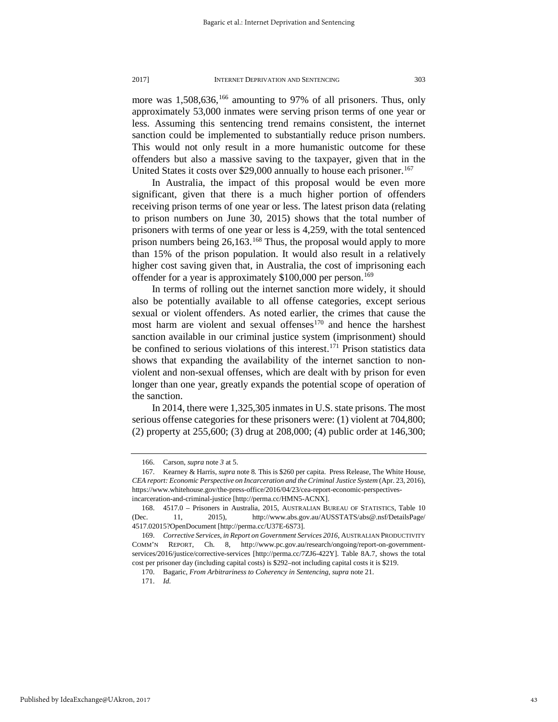more was 1,508,636,<sup>[166](#page-43-0)</sup> amounting to 97% of all prisoners. Thus, only approximately 53,000 inmates were serving prison terms of one year or less. Assuming this sentencing trend remains consistent, the internet sanction could be implemented to substantially reduce prison numbers. This would not only result in a more humanistic outcome for these offenders but also a massive saving to the taxpayer, given that in the United States it costs over \$29,000 annually to house each prisoner.<sup>[167](#page-43-1)</sup>

In Australia, the impact of this proposal would be even more significant, given that there is a much higher portion of offenders receiving prison terms of one year or less. The latest prison data (relating to prison numbers on June 30, 2015) shows that the total number of prisoners with terms of one year or less is 4,259, with the total sentenced prison numbers being  $26,163$ .<sup>[168](#page-43-2)</sup> Thus, the proposal would apply to more than 15% of the prison population. It would also result in a relatively higher cost saving given that, in Australia, the cost of imprisoning each offender for a year is approximately \$100,000 per person.<sup>[169](#page-43-3)</sup>

In terms of rolling out the internet sanction more widely, it should also be potentially available to all offense categories, except serious sexual or violent offenders. As noted earlier, the crimes that cause the most harm are violent and sexual offenses<sup>[170](#page-43-4)</sup> and hence the harshest sanction available in our criminal justice system (imprisonment) should be confined to serious violations of this interest.<sup>[171](#page-43-5)</sup> Prison statistics data shows that expanding the availability of the internet sanction to nonviolent and non-sexual offenses, which are dealt with by prison for even longer than one year, greatly expands the potential scope of operation of the sanction.

In 2014, there were 1,325,305 inmates in U.S. state prisons. The most serious offense categories for these prisoners were: (1) violent at 704,800; (2) property at 255,600; (3) drug at 208,000; (4) public order at 146,300;

<sup>166.</sup> Carson, *supra* note *3* at 5.

<span id="page-43-1"></span><span id="page-43-0"></span><sup>167.</sup> Kearney & Harris, *supra* note 8*.* This is \$260 per capita. Press Release, The White House, *CEA report: Economic Perspective on Incarceration and the Criminal Justice System* (Apr. 23, 2016), https://www.whitehouse.gov/the-press-office/2016/04/23/cea-report-economic-perspectivesincarceration-and-criminal-justice [http://perma.cc/HMN5-ACNX].

<span id="page-43-2"></span><sup>168. 4517.0 –</sup> Prisoners in Australia, 2015, AUSTRALIAN BUREAU OF STATISTICS, Table 10 (Dec. 11, 2015), http://www.abs.gov.au/AUSSTATS/abs@.nsf/DetailsPage/ 4517.02015?OpenDocument [http://perma.cc/U37E-6S73].

<span id="page-43-5"></span><span id="page-43-4"></span><span id="page-43-3"></span><sup>169.</sup> *Corrective Services*, *in Report on Government Services 2016*, AUSTRALIAN PRODUCTIVITY COMM'N REPORT, Ch. 8, http://www.pc.gov.au/research/ongoing/report-on-governmentservices/2016/justice/corrective-services [http://perma.cc/7ZJ6-422Y]. Table 8A.7, shows the total cost per prisoner day (including capital costs) is \$292–not including capital costs it is \$219.

<sup>170.</sup> Bagaric, *From Arbitrariness to Coherency in Sentencing*, *supra* note 21.

<sup>171.</sup> *Id.*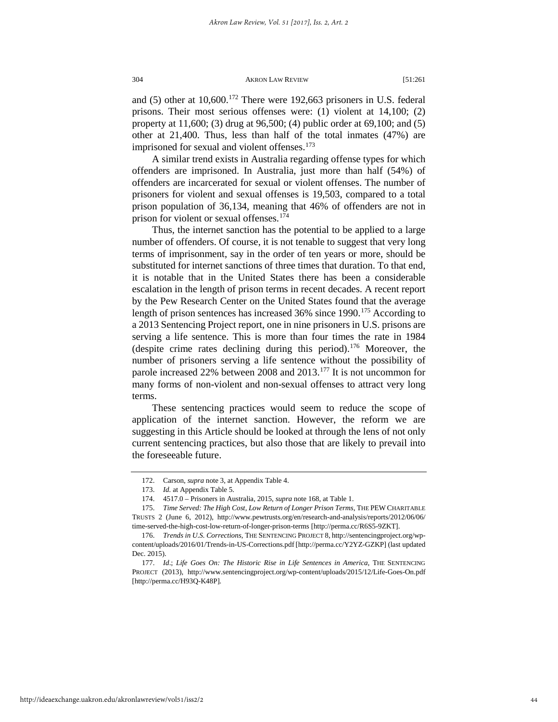and  $(5)$  other at  $10,600$ .<sup>[172](#page-44-0)</sup> There were 192,663 prisoners in U.S. federal prisons. Their most serious offenses were: (1) violent at 14,100; (2) property at 11,600; (3) drug at 96,500; (4) public order at 69,100; and (5) other at 21,400. Thus, less than half of the total inmates (47%) are imprisoned for sexual and violent offenses.<sup>173</sup>

A similar trend exists in Australia regarding offense types for which offenders are imprisoned. In Australia, just more than half (54%) of offenders are incarcerated for sexual or violent offenses. The number of prisoners for violent and sexual offenses is 19,503, compared to a total prison population of 36,134, meaning that 46% of offenders are not in prison for violent or sexual offenses.<sup>[174](#page-44-2)</sup>

Thus, the internet sanction has the potential to be applied to a large number of offenders. Of course, it is not tenable to suggest that very long terms of imprisonment, say in the order of ten years or more, should be substituted for internet sanctions of three times that duration. To that end, it is notable that in the United States there has been a considerable escalation in the length of prison terms in recent decades. A recent report by the Pew Research Center on the United States found that the average length of prison sentences has increased 36% since 1990.[175](#page-44-3) According to a 2013 Sentencing Project report, one in nine prisoners in U.S. prisons are serving a life sentence. This is more than four times the rate in 1984 (despite crime rates declining during this period).[176](#page-44-4) Moreover, the number of prisoners serving a life sentence without the possibility of parole increased 22% between 2008 and 2013[.177](#page-44-5) It is not uncommon for many forms of non-violent and non-sexual offenses to attract very long terms.

These sentencing practices would seem to reduce the scope of application of the internet sanction. However, the reform we are suggesting in this Article should be looked at through the lens of not only current sentencing practices, but also those that are likely to prevail into the foreseeable future.

<sup>172.</sup> Carson, *supra* note 3, at Appendix Table 4.

<sup>173.</sup> *Id.* at Appendix Table 5.

<sup>174. 4517.0 –</sup> Prisoners in Australia, 2015, *supra* note 168, at Table 1.

<span id="page-44-3"></span><span id="page-44-2"></span><span id="page-44-1"></span><span id="page-44-0"></span><sup>175.</sup> *Time Served: The High Cost, Low Return of Longer Prison Terms*, THE PEW CHARITABLE TRUSTS 2 (June 6, 2012), http://www.pewtrusts.org/en/research-and-analysis/reports/2012/06/06/ time-served-the-high-cost-low-return-of-longer-prison-terms [http://perma.cc/R6S5-9ZKT].

<span id="page-44-4"></span><sup>176.</sup> *Trends in U.S. Corrections*, THE SENTENCING PROJECT 8, http://sentencingproject.org/wpcontent/uploads/2016/01/Trends-in-US-Corrections.pdf [http://perma.cc/Y2YZ-GZKP] (last updated Dec. 2015).

<span id="page-44-5"></span><sup>177.</sup> *Id*.; *Life Goes On: The Historic Rise in Life Sentences in America*, THE SENTENCING PROJECT (2013), http://www.sentencingproject.org/wp-content/uploads/2015/12/Life-Goes-On.pdf [http://perma.cc/H93Q-K48P]*.*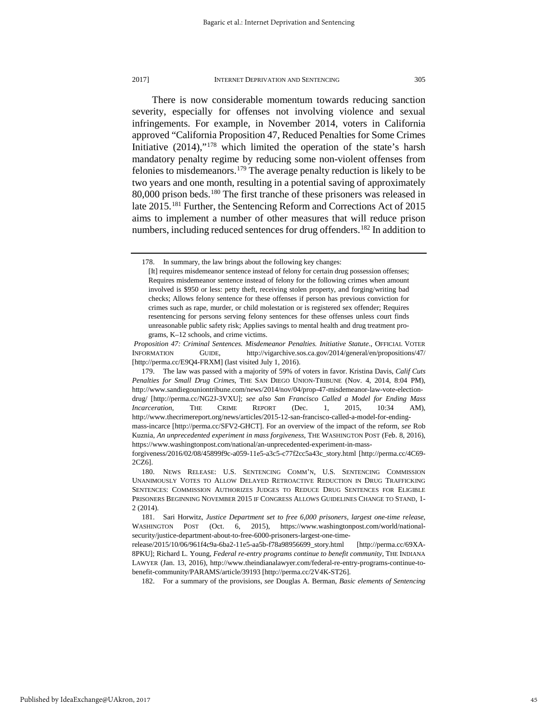There is now considerable momentum towards reducing sanction severity, especially for offenses not involving violence and sexual infringements. For example, in November 2014, voters in California approved "California Proposition 47, Reduced Penalties for Some Crimes Initiative  $(2014)$ ,"<sup>[178](#page-45-0)</sup> which limited the operation of the state's harsh mandatory penalty regime by reducing some non-violent offenses from felonies to misdemeanors.[179](#page-45-1) The average penalty reduction is likely to be two years and one month, resulting in a potential saving of approximately 80,000 prison beds[.180](#page-45-2) The first tranche of these prisoners was released in late 2015.<sup>[181](#page-45-3)</sup> Further, the Sentencing Reform and Corrections Act of 2015 aims to implement a number of other measures that will reduce prison numbers, including reduced sentences for drug offenders.<sup>[182](#page-45-4)</sup> In addition to

182. For a summary of the provisions, *see* Douglas A. Berman, *Basic elements of Sentencing* 

<span id="page-45-0"></span><sup>178.</sup> In summary, the law brings about the following key changes:

<sup>[</sup>It] requires misdemeanor sentence instead of felony for certain drug possession offenses; Requires misdemeanor sentence instead of felony for the following crimes when amount involved is \$950 or less: petty theft, receiving stolen property, and forging/writing bad checks; Allows felony sentence for these offenses if person has previous conviction for crimes such as rape, murder, or child molestation or is registered sex offender; Requires resentencing for persons serving felony sentences for these offenses unless court finds unreasonable public safety risk; Applies savings to mental health and drug treatment programs, K–12 schools, and crime victims.

*Proposition 47: Criminal Sentences. Misdemeanor Penalties. Initiative Statute*., OFFICIAL VOTER INFORMATION GUIDE, http://vigarchive.sos.ca.gov/2014/general/en/propositions/47/ [http://perma.cc/E9Q4-FRXM] (last visited July 1, 2016).

<span id="page-45-1"></span><sup>179.</sup> The law was passed with a majority of 59% of voters in favor. Kristina Davis, *Calif Cuts Penalties for Small Drug Crimes,* THE SAN DIEGO UNION-TRIBUNE (Nov. 4, 2014, 8:04 PM), http://www.sandiegouniontribune.com/news/2014/nov/04/prop-47-misdemeanor-law-vote-electiondrug/ [http://perma.cc/NG2J-3VXU]; *see also San Francisco Called a Model for Ending Mass Incarceration*, THE CRIME REPORT (Dec. 1, 2015, 10:34 AM), http://www.thecrimereport.org/news/articles/2015-12-san-francisco-called-a-model-for-endingmass-incarce [http://perma.cc/SFV2-GHCT]. For an overview of the impact of the reform, *see* Rob Kuznia, *An unprecedented experiment in mass forgiveness*, THE WASHINGTON POST (Feb. 8, 2016), https://www.washingtonpost.com/national/an-unprecedented-experiment-in-mass-

forgiveness/2016/02/08/45899f9c-a059-11e5-a3c5-c77f2cc5a43c\_story.html [http://perma.cc/4C69- 2CZ6].

<span id="page-45-2"></span><sup>180.</sup> NEWS RELEASE: U.S. SENTENCING COMM'N, U.S. SENTENCING COMMISSION UNANIMOUSLY VOTES TO ALLOW DELAYED RETROACTIVE REDUCTION IN DRUG TRAFFICKING SENTENCES: COMMISSION AUTHORIZES JUDGES TO REDUCE DRUG SENTENCES FOR ELIGIBLE PRISONERS BEGINNING NOVEMBER 2015 IF CONGRESS ALLOWS GUIDELINES CHANGE TO STAND, 1- 2 (2014).

<span id="page-45-3"></span><sup>181.</sup> Sari Horwitz, *Justice Department set to free 6,000 prisoners, largest one-time release*, WASHINGTON POST (Oct. 6, 2015), https://www.washingtonpost.com/world/nationalsecurity/justice-department-about-to-free-6000-prisoners-largest-one-time-

<span id="page-45-4"></span>release/2015/10/06/961f4c9a-6ba2-11e5-aa5b-f78a98956699\_story.html [http://perma.cc/69XA-8PKU]; Richard L. Young, *Federal re-entry programs continue to benefit community*, THE INDIANA LAWYER (Jan. 13, 2016), http://www.theindianalawyer.com/federal-re-entry-programs-continue-tobenefit-community/PARAMS/article/39193 [http://perma.cc/2V4K-ST26].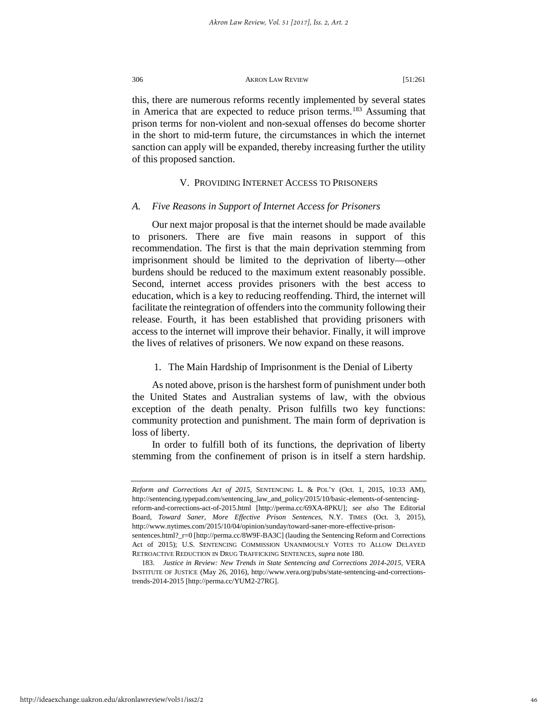this, there are numerous reforms recently implemented by several states in America that are expected to reduce prison terms.<sup>[183](#page-46-0)</sup> Assuming that prison terms for non-violent and non-sexual offenses do become shorter in the short to mid-term future, the circumstances in which the internet sanction can apply will be expanded, thereby increasing further the utility of this proposed sanction.

## V. PROVIDING INTERNET ACCESS TO PRISONERS

#### *A. Five Reasons in Support of Internet Access for Prisoners*

Our next major proposal is that the internet should be made available to prisoners. There are five main reasons in support of this recommendation. The first is that the main deprivation stemming from imprisonment should be limited to the deprivation of liberty—other burdens should be reduced to the maximum extent reasonably possible. Second, internet access provides prisoners with the best access to education, which is a key to reducing reoffending. Third, the internet will facilitate the reintegration of offenders into the community following their release. Fourth, it has been established that providing prisoners with access to the internet will improve their behavior. Finally, it will improve the lives of relatives of prisoners. We now expand on these reasons.

#### 1. The Main Hardship of Imprisonment is the Denial of Liberty

As noted above, prison is the harshest form of punishment under both the United States and Australian systems of law, with the obvious exception of the death penalty. Prison fulfills two key functions: community protection and punishment. The main form of deprivation is loss of liberty.

In order to fulfill both of its functions, the deprivation of liberty stemming from the confinement of prison is in itself a stern hardship.

http://ideaexchange.uakron.edu/akronlawreview/vol51/iss2/2

*Reform and Corrections Act of 2015*, SENTENCING L. & POL'Y (Oct. 1, 2015, 10:33 AM), http://sentencing.typepad.com/sentencing\_law\_and\_policy/2015/10/basic-elements-of-sentencingreform-and-corrections-act-of-2015.html [http://perma.cc/69XA-8PKU]; *see also* The Editorial Board, *Toward Saner, More Effective Prison Sentences*, N.Y. TIMES (Oct. 3, 2015), http://www.nytimes.com/2015/10/04/opinion/sunday/toward-saner-more-effective-prisonsentences.html?\_r=0 [http://perma.cc/8W9F-BA3C] (lauding the Sentencing Reform and Corrections Act of 2015); U.S. SENTENCING COMMISSION UNANIMOUSLY VOTES TO ALLOW DELAYED

RETROACTIVE REDUCTION IN DRUG TRAFFICKING SENTENCES, *supra* note 180. 183. *Justice in Review: New Trends in State Sentencing and Corrections 2014-2015*, VERA

<span id="page-46-0"></span>INSTITUTE OF JUSTICE (May 26, 2016), http://www.vera.org/pubs/state-sentencing-and-correctionstrends-2014-2015 [http://perma.cc/YUM2-27RG].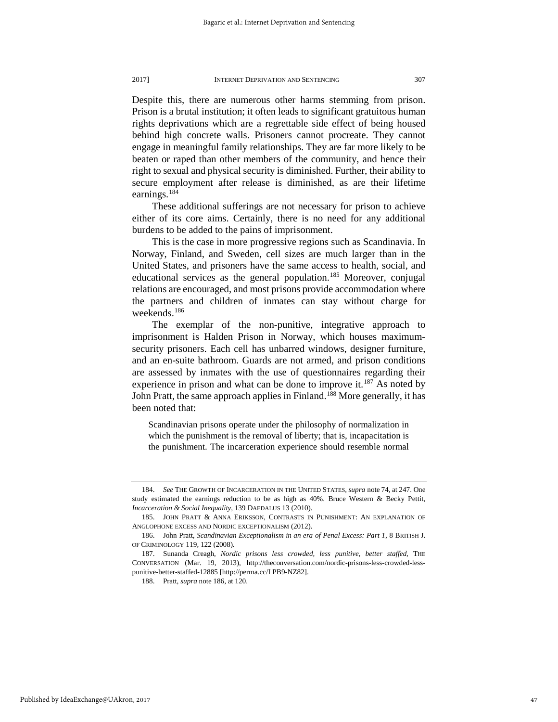Despite this, there are numerous other harms stemming from prison. Prison is a brutal institution; it often leads to significant gratuitous human rights deprivations which are a regrettable side effect of being housed behind high concrete walls. Prisoners cannot procreate. They cannot engage in meaningful family relationships. They are far more likely to be beaten or raped than other members of the community, and hence their right to sexual and physical security is diminished. Further, their ability to secure employment after release is diminished, as are their lifetime earnings.<sup>[184](#page-47-0)</sup>

These additional sufferings are not necessary for prison to achieve either of its core aims. Certainly, there is no need for any additional burdens to be added to the pains of imprisonment.

This is the case in more progressive regions such as Scandinavia. In Norway, Finland, and Sweden, cell sizes are much larger than in the United States, and prisoners have the same access to health, social, and educational services as the general population.<sup>[185](#page-47-1)</sup> Moreover, conjugal relations are encouraged, and most prisons provide accommodation where the partners and children of inmates can stay without charge for weekends.[186](#page-47-2)

The exemplar of the non-punitive, integrative approach to imprisonment is Halden Prison in Norway, which houses maximumsecurity prisoners. Each cell has unbarred windows, designer furniture, and an en-suite bathroom. Guards are not armed, and prison conditions are assessed by inmates with the use of questionnaires regarding their experience in prison and what can be done to improve it.<sup>[187](#page-47-3)</sup> As noted by John Pratt, the same approach applies in Finland.<sup>[188](#page-47-4)</sup> More generally, it has been noted that:

Scandinavian prisons operate under the philosophy of normalization in which the punishment is the removal of liberty; that is, incapacitation is the punishment. The incarceration experience should resemble normal

<span id="page-47-0"></span><sup>184.</sup> *See* THE GROWTH OF INCARCERATION IN THE UNITED STATES, *supra* note 74, at 247. One study estimated the earnings reduction to be as high as 40%. Bruce Western & Becky Pettit, *Incarceration & Social Inequality*, 139 DAEDALUS 13 (2010).

<span id="page-47-1"></span><sup>185.</sup> JOHN PRATT & ANNA ERIKSSON, CONTRASTS IN PUNISHMENT: AN EXPLANATION OF ANGLOPHONE EXCESS AND NORDIC EXCEPTIONALISM (2012).

<span id="page-47-2"></span><sup>186.</sup> John Pratt, *Scandinavian Exceptionalism in an era of Penal Excess: Part 1*, 8 BRITISH J. OF CRIMINOLOGY 119, 122 (2008).

<span id="page-47-4"></span><span id="page-47-3"></span><sup>187.</sup> Sunanda Creagh, *Nordic prisons less crowded, less punitive, better staffed*, THE CONVERSATION (Mar. 19, 2013), http://theconversation.com/nordic-prisons-less-crowded-lesspunitive-better-staffed-12885 [http://perma.cc/LPB9-NZ82].

<sup>188.</sup> Pratt, *supra* note 186, at 120.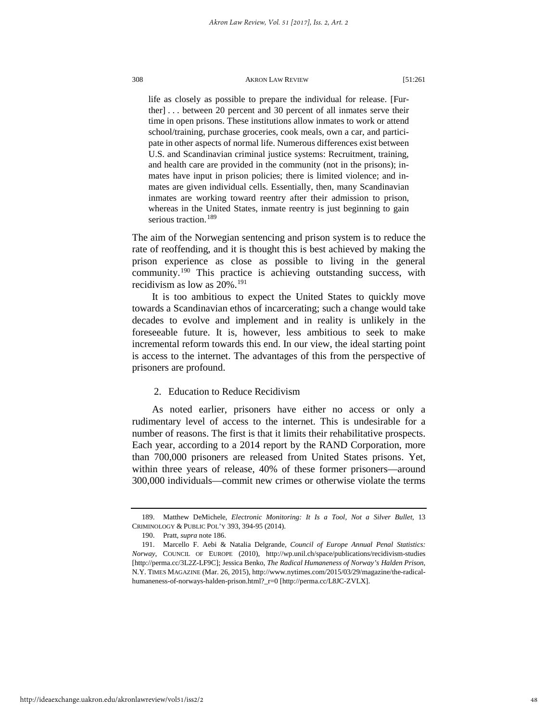life as closely as possible to prepare the individual for release. [Further] . . . between 20 percent and 30 percent of all inmates serve their time in open prisons. These institutions allow inmates to work or attend school/training, purchase groceries, cook meals, own a car, and participate in other aspects of normal life. Numerous differences exist between U.S. and Scandinavian criminal justice systems: Recruitment, training, and health care are provided in the community (not in the prisons); inmates have input in prison policies; there is limited violence; and inmates are given individual cells. Essentially, then, many Scandinavian inmates are working toward reentry after their admission to prison, whereas in the United States, inmate reentry is just beginning to gain serious traction.<sup>[189](#page-48-0)</sup>

The aim of the Norwegian sentencing and prison system is to reduce the rate of reoffending, and it is thought this is best achieved by making the prison experience as close as possible to living in the general community.[190](#page-48-1) This practice is achieving outstanding success, with recidivism as low as 20%.<sup>[191](#page-48-2)</sup>

It is too ambitious to expect the United States to quickly move towards a Scandinavian ethos of incarcerating; such a change would take decades to evolve and implement and in reality is unlikely in the foreseeable future. It is, however, less ambitious to seek to make incremental reform towards this end. In our view, the ideal starting point is access to the internet. The advantages of this from the perspective of prisoners are profound.

## 2. Education to Reduce Recidivism

As noted earlier, prisoners have either no access or only a rudimentary level of access to the internet. This is undesirable for a number of reasons. The first is that it limits their rehabilitative prospects. Each year, according to a 2014 report by the RAND Corporation, more than 700,000 prisoners are released from United States prisons. Yet, within three years of release, 40% of these former prisoners—around 300,000 individuals—commit new crimes or otherwise violate the terms

<span id="page-48-0"></span><sup>189.</sup> Matthew DeMichele, *Electronic Monitoring: It Is a Tool, Not a Silver Bullet*, 13 CRIMINOLOGY & PUBLIC POL'Y 393, 394-95 (2014).

<sup>190.</sup> Pratt, *supra* note 186.

<span id="page-48-2"></span><span id="page-48-1"></span><sup>191.</sup> Marcello F. Aebi & Natalia Delgrande, *Council of Europe Annual Penal Statistics: Norway*, COUNCIL OF EUROPE (2010), http://wp.unil.ch/space/publications/recidivism-studies [http://perma.cc/3L2Z-LF9C]; Jessica Benko, *The Radical Humaneness of Norway's Halden Prison*, N.Y. TIMES MAGAZINE (Mar. 26, 2015), http://www.nytimes.com/2015/03/29/magazine/the-radicalhumaneness-of-norways-halden-prison.html?\_r=0 [http://perma.cc/L8JC-ZVLX].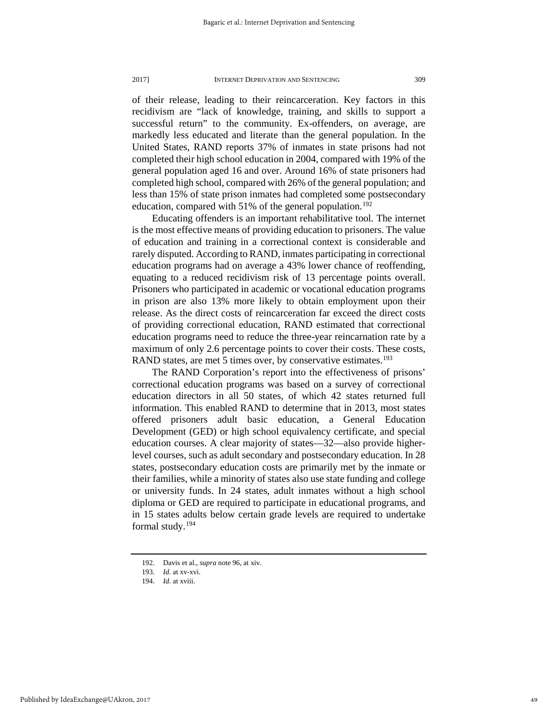of their release, leading to their reincarceration. Key factors in this recidivism are "lack of knowledge, training, and skills to support a successful return" to the community. Ex-offenders, on average, are markedly less educated and literate than the general population. In the United States, RAND reports 37% of inmates in state prisons had not completed their high school education in 2004, compared with 19% of the general population aged 16 and over. Around 16% of state prisoners had completed high school, compared with 26% of the general population; and less than 15% of state prison inmates had completed some postsecondary education, compared with 51% of the general population.<sup>[192](#page-49-0)</sup>

Educating offenders is an important rehabilitative tool. The internet is the most effective means of providing education to prisoners. The value of education and training in a correctional context is considerable and rarely disputed. According to RAND, inmates participating in correctional education programs had on average a 43% lower chance of reoffending, equating to a reduced recidivism risk of 13 percentage points overall. Prisoners who participated in academic or vocational education programs in prison are also 13% more likely to obtain employment upon their release. As the direct costs of reincarceration far exceed the direct costs of providing correctional education, RAND estimated that correctional education programs need to reduce the three-year reincarnation rate by a maximum of only 2.6 percentage points to cover their costs. These costs, RAND states, are met 5 times over, by conservative estimates.<sup>193</sup>

The RAND Corporation's report into the effectiveness of prisons' correctional education programs was based on a survey of correctional education directors in all 50 states, of which 42 states returned full information. This enabled RAND to determine that in 2013, most states offered prisoners adult basic education, a General Education Development (GED) or high school equivalency certificate, and special education courses. A clear majority of states—32—also provide higherlevel courses, such as adult secondary and postsecondary education. In 28 states, postsecondary education costs are primarily met by the inmate or their families, while a minority of states also use state funding and college or university funds. In 24 states, adult inmates without a high school diploma or GED are required to participate in educational programs, and in 15 states adults below certain grade levels are required to undertake formal study.[194](#page-49-2)

<span id="page-49-0"></span><sup>192.</sup> Davis et al., *supra* note 96, at xiv.

<span id="page-49-1"></span><sup>193.</sup> *Id.* at xv-xvi.

<span id="page-49-2"></span><sup>194.</sup> *Id.* at xviii.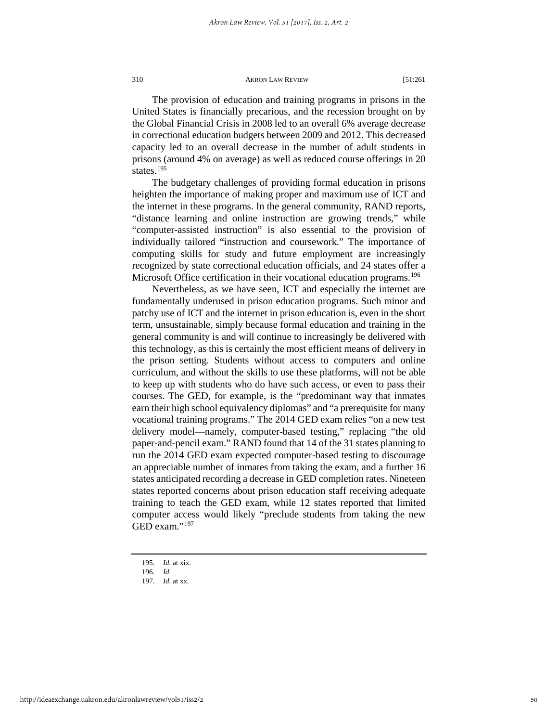The provision of education and training programs in prisons in the United States is financially precarious, and the recession brought on by the Global Financial Crisis in 2008 led to an overall 6% average decrease in correctional education budgets between 2009 and 2012. This decreased capacity led to an overall decrease in the number of adult students in prisons (around 4% on average) as well as reduced course offerings in 20 states.<sup>[195](#page-50-0)</sup>

The budgetary challenges of providing formal education in prisons heighten the importance of making proper and maximum use of ICT and the internet in these programs. In the general community, RAND reports, "distance learning and online instruction are growing trends," while "computer-assisted instruction" is also essential to the provision of individually tailored "instruction and coursework." The importance of computing skills for study and future employment are increasingly recognized by state correctional education officials, and 24 states offer a Microsoft Office certification in their vocational education programs.<sup>[196](#page-50-1)</sup>

Nevertheless, as we have seen, ICT and especially the internet are fundamentally underused in prison education programs. Such minor and patchy use of ICT and the internet in prison education is, even in the short term, unsustainable, simply because formal education and training in the general community is and will continue to increasingly be delivered with this technology, as this is certainly the most efficient means of delivery in the prison setting. Students without access to computers and online curriculum, and without the skills to use these platforms, will not be able to keep up with students who do have such access, or even to pass their courses. The GED, for example, is the "predominant way that inmates earn their high school equivalency diplomas" and "a prerequisite for many vocational training programs." The 2014 GED exam relies "on a new test delivery model—namely, computer-based testing," replacing "the old paper-and-pencil exam." RAND found that 14 of the 31 states planning to run the 2014 GED exam expected computer-based testing to discourage an appreciable number of inmates from taking the exam, and a further 16 states anticipated recording a decrease in GED completion rates. Nineteen states reported concerns about prison education staff receiving adequate training to teach the GED exam, while 12 states reported that limited computer access would likely "preclude students from taking the new GED exam."<sup>[197](#page-50-2)</sup>

<span id="page-50-0"></span><sup>195.</sup> *Id.* at xix.

<span id="page-50-1"></span><sup>196.</sup> *Id.*

<span id="page-50-2"></span><sup>197.</sup> *Id.* at xx*.*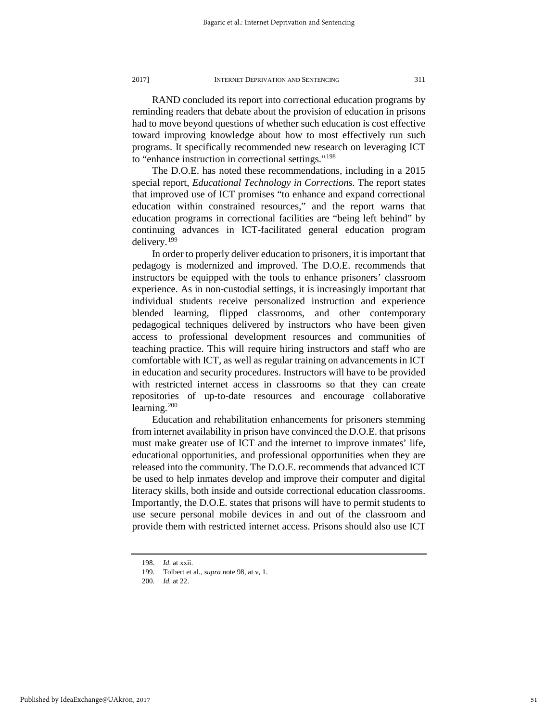RAND concluded its report into correctional education programs by reminding readers that debate about the provision of education in prisons had to move beyond questions of whether such education is cost effective toward improving knowledge about how to most effectively run such programs. It specifically recommended new research on leveraging ICT to "enhance instruction in correctional settings."[198](#page-51-0)

The D.O.E. has noted these recommendations, including in a 2015 special report, *Educational Technology in Corrections*. The report states that improved use of ICT promises "to enhance and expand correctional education within constrained resources," and the report warns that education programs in correctional facilities are "being left behind" by continuing advances in ICT-facilitated general education program delivery.[199](#page-51-1)

In order to properly deliver education to prisoners, it is important that pedagogy is modernized and improved. The D.O.E. recommends that instructors be equipped with the tools to enhance prisoners' classroom experience. As in non-custodial settings, it is increasingly important that individual students receive personalized instruction and experience blended learning, flipped classrooms, and other contemporary pedagogical techniques delivered by instructors who have been given access to professional development resources and communities of teaching practice. This will require hiring instructors and staff who are comfortable with ICT, as well as regular training on advancements in ICT in education and security procedures. Instructors will have to be provided with restricted internet access in classrooms so that they can create repositories of up-to-date resources and encourage collaborative learning. $200$ 

Education and rehabilitation enhancements for prisoners stemming from internet availability in prison have convinced the D.O.E. that prisons must make greater use of ICT and the internet to improve inmates' life, educational opportunities, and professional opportunities when they are released into the community. The D.O.E. recommends that advanced ICT be used to help inmates develop and improve their computer and digital literacy skills, both inside and outside correctional education classrooms. Importantly, the D.O.E. states that prisons will have to permit students to use secure personal mobile devices in and out of the classroom and provide them with restricted internet access. Prisons should also use ICT

<sup>198.</sup> *Id.* at xxii.

<sup>199.</sup> Tolbert et al., *supra* note 98, at v, 1.

<span id="page-51-2"></span><span id="page-51-1"></span><span id="page-51-0"></span><sup>200.</sup> *Id.* at 22.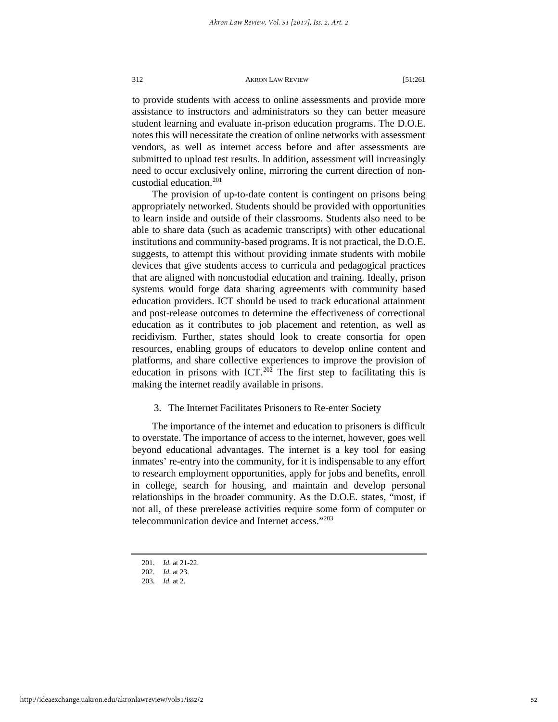to provide students with access to online assessments and provide more assistance to instructors and administrators so they can better measure student learning and evaluate in-prison education programs. The D.O.E. notes this will necessitate the creation of online networks with assessment vendors, as well as internet access before and after assessments are submitted to upload test results. In addition, assessment will increasingly need to occur exclusively online, mirroring the current direction of noncustodial education.<sup>201</sup>

The provision of up-to-date content is contingent on prisons being appropriately networked. Students should be provided with opportunities to learn inside and outside of their classrooms. Students also need to be able to share data (such as academic transcripts) with other educational institutions and community-based programs. It is not practical, the D.O.E. suggests, to attempt this without providing inmate students with mobile devices that give students access to curricula and pedagogical practices that are aligned with noncustodial education and training. Ideally, prison systems would forge data sharing agreements with community based education providers. ICT should be used to track educational attainment and post-release outcomes to determine the effectiveness of correctional education as it contributes to job placement and retention, as well as recidivism. Further, states should look to create consortia for open resources, enabling groups of educators to develop online content and platforms, and share collective experiences to improve the provision of education in prisons with ICT.<sup>[202](#page-52-1)</sup> The first step to facilitating this is making the internet readily available in prisons.

## 3. The Internet Facilitates Prisoners to Re-enter Society

The importance of the internet and education to prisoners is difficult to overstate. The importance of access to the internet, however, goes well beyond educational advantages. The internet is a key tool for easing inmates' re-entry into the community, for it is indispensable to any effort to research employment opportunities, apply for jobs and benefits, enroll in college, search for housing, and maintain and develop personal relationships in the broader community. As the D.O.E. states, "most, if not all, of these prerelease activities require some form of computer or telecommunication device and Internet access."[203](#page-52-2)

<sup>201.</sup> *Id.* at 21-22.

<span id="page-52-0"></span><sup>202.</sup> *Id.* at 23.

<span id="page-52-2"></span><span id="page-52-1"></span><sup>203.</sup> *Id.* at 2.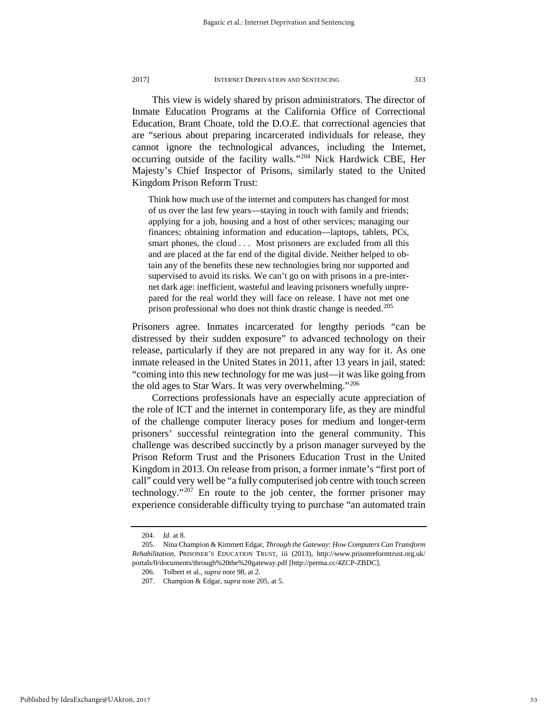This view is widely shared by prison administrators. The director of Inmate Education Programs at the California Office of Correctional Education, Brant Choate, told the D.O.E. that correctional agencies that are "serious about preparing incarcerated individuals for release, they cannot ignore the technological advances, including the Internet, occurring outside of the facility walls."[204](#page-53-0) Nick Hardwick CBE, Her Majesty's Chief Inspector of Prisons, similarly stated to the United Kingdom Prison Reform Trust:

Think how much use of the internet and computers has changed for most of us over the last few years—staying in touch with family and friends; applying for a job, housing and a host of other services; managing our finances; obtaining information and education—laptops, tablets, PCs, smart phones, the cloud . . . Most prisoners are excluded from all this and are placed at the far end of the digital divide. Neither helped to obtain any of the benefits these new technologies bring nor supported and supervised to avoid its risks. We can't go on with prisons in a pre-internet dark age: inefficient, wasteful and leaving prisoners woefully unprepared for the real world they will face on release. I have not met one prison professional who does not think drastic change is needed.<sup>[205](#page-53-1)</sup>

Prisoners agree. Inmates incarcerated for lengthy periods "can be distressed by their sudden exposure" to advanced technology on their release, particularly if they are not prepared in any way for it. As one inmate released in the United States in 2011, after 13 years in jail, stated: "coming into this new technology for me was just—it was like going from the old ages to Star Wars. It was very overwhelming."<sup>[206](#page-53-2)</sup>

Corrections professionals have an especially acute appreciation of the role of ICT and the internet in contemporary life, as they are mindful of the challenge computer literacy poses for medium and longer-term prisoners' successful reintegration into the general community. This challenge was described succinctly by a prison manager surveyed by the Prison Reform Trust and the Prisoners Education Trust in the United Kingdom in 2013. On release from prison, a former inmate's "first port of call" could very well be "a fully computerised job centre with touch screen technology."<sup>[207](#page-53-3)</sup> En route to the job center, the former prisoner may experience considerable difficulty trying to purchase "an automated train

<sup>204.</sup> *Id.* at 8.

<span id="page-53-3"></span><span id="page-53-2"></span><span id="page-53-1"></span><span id="page-53-0"></span><sup>205.</sup> Nina Champion & Kimmett Edgar, *Through the Gateway: How Computers Can Transform Rehabilitation*, PRISONER'S EDUCATION TRUST, iii (2013), http://www.prisonreformtrust.org.uk/ portals/0/documents/through%20the%20gateway.pdf [http://perma.cc/4ZCP-ZBDC].

<sup>206.</sup> Tolbert et al., *supra* note 98, at 2.

<sup>207.</sup> Champion & Edgar, *supra* note 205, at 5.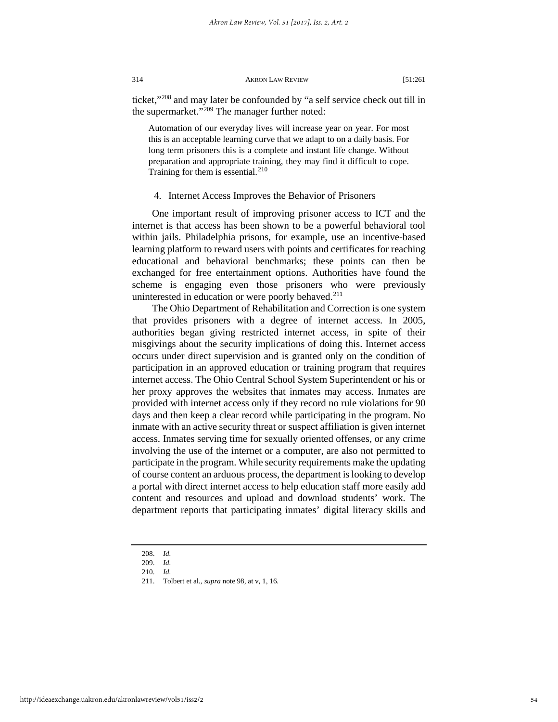ticket,["208](#page-54-0) and may later be confounded by "a self service check out till in the supermarket."[209](#page-54-1) The manager further noted:

Automation of our everyday lives will increase year on year. For most this is an acceptable learning curve that we adapt to on a daily basis. For long term prisoners this is a complete and instant life change. Without preparation and appropriate training, they may find it difficult to cope. Training for them is essential. $210$ 

#### 4. Internet Access Improves the Behavior of Prisoners

One important result of improving prisoner access to ICT and the internet is that access has been shown to be a powerful behavioral tool within jails. Philadelphia prisons, for example, use an incentive-based learning platform to reward users with points and certificates for reaching educational and behavioral benchmarks; these points can then be exchanged for free entertainment options. Authorities have found the scheme is engaging even those prisoners who were previously uninterested in education or were poorly behaved.<sup>[211](#page-54-3)</sup>

The Ohio Department of Rehabilitation and Correction is one system that provides prisoners with a degree of internet access. In 2005, authorities began giving restricted internet access, in spite of their misgivings about the security implications of doing this. Internet access occurs under direct supervision and is granted only on the condition of participation in an approved education or training program that requires internet access. The Ohio Central School System Superintendent or his or her proxy approves the websites that inmates may access. Inmates are provided with internet access only if they record no rule violations for 90 days and then keep a clear record while participating in the program. No inmate with an active security threat or suspect affiliation is given internet access. Inmates serving time for sexually oriented offenses, or any crime involving the use of the internet or a computer, are also not permitted to participate in the program. While security requirements make the updating of course content an arduous process, the department is looking to develop a portal with direct internet access to help education staff more easily add content and resources and upload and download students' work. The department reports that participating inmates' digital literacy skills and

<sup>208.</sup> *Id.* 

<span id="page-54-2"></span><span id="page-54-1"></span><span id="page-54-0"></span><sup>209.</sup> *Id.* 

<sup>210.</sup> *Id.* 

<span id="page-54-3"></span><sup>211.</sup> Tolbert et al., *supra* note 98, at v, 1, 16.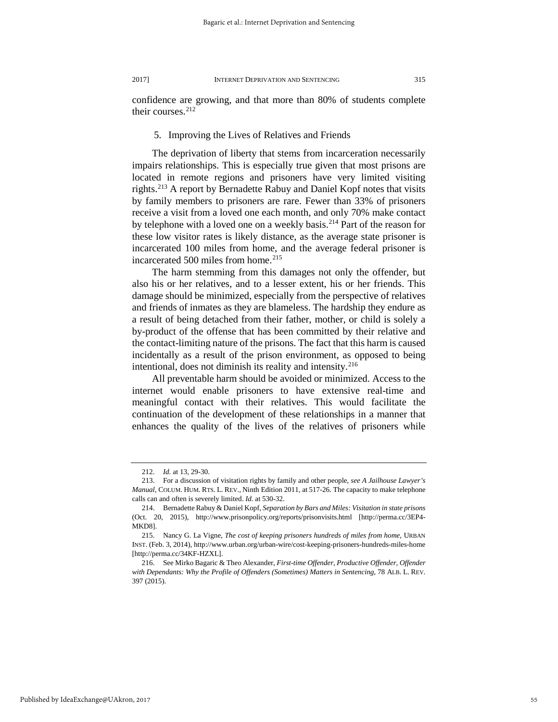confidence are growing, and that more than 80% of students complete their courses.<sup>[212](#page-55-0)</sup>

## 5. Improving the Lives of Relatives and Friends

The deprivation of liberty that stems from incarceration necessarily impairs relationships. This is especially true given that most prisons are located in remote regions and prisoners have very limited visiting rights.<sup>213</sup> A report by Bernadette Rabuy and Daniel Kopf notes that visits by family members to prisoners are rare. Fewer than 33% of prisoners receive a visit from a loved one each month, and only 70% make contact by telephone with a loved one on a weekly basis.<sup>[214](#page-55-2)</sup> Part of the reason for these low visitor rates is likely distance, as the average state prisoner is incarcerated 100 miles from home, and the average federal prisoner is incarcerated 500 miles from home. $^{215}$  $^{215}$  $^{215}$ 

The harm stemming from this damages not only the offender, but also his or her relatives, and to a lesser extent, his or her friends. This damage should be minimized, especially from the perspective of relatives and friends of inmates as they are blameless. The hardship they endure as a result of being detached from their father, mother, or child is solely a by-product of the offense that has been committed by their relative and the contact-limiting nature of the prisons. The fact that this harm is caused incidentally as a result of the prison environment, as opposed to being intentional, does not diminish its reality and intensity. $216$ 

All preventable harm should be avoided or minimized. Access to the internet would enable prisoners to have extensive real-time and meaningful contact with their relatives. This would facilitate the continuation of the development of these relationships in a manner that enhances the quality of the lives of the relatives of prisoners while

<sup>212.</sup> *Id.* at 13, 29-30.

<span id="page-55-1"></span><span id="page-55-0"></span><sup>213.</sup> For a discussion of visitation rights by family and other people, *see A Jailhouse Lawyer's Manual*, COLUM. HUM. RTS. L. REV., Ninth Edition 2011, at 517-26. The capacity to make telephone calls can and often is severely limited. *Id.* at 530-32.

<span id="page-55-2"></span><sup>214.</sup> Bernadette Rabuy & Daniel Kopf, *Separation by Bars and Miles: Visitation in state prisons* (Oct. 20, 2015), http://www.prisonpolicy.org/reports/prisonvisits.html [http://perma.cc/3EP4- MKD8].

<span id="page-55-3"></span><sup>215.</sup> Nancy G. La Vigne, *The cost of keeping prisoners hundreds of miles from home,* URBAN INST. (Feb. 3, 2014), http://www.urban.org/urban-wire/cost-keeping-prisoners-hundreds-miles-home [http://perma.cc/34KF-HZXL].

<span id="page-55-4"></span><sup>216.</sup> See Mirko Bagaric & Theo Alexander, *First-time Offender, Productive Offender, Offender with Dependants: Why the Profile of Offenders (Sometimes) Matters in Sentencing*, 78 ALB. L. REV. 397 (2015).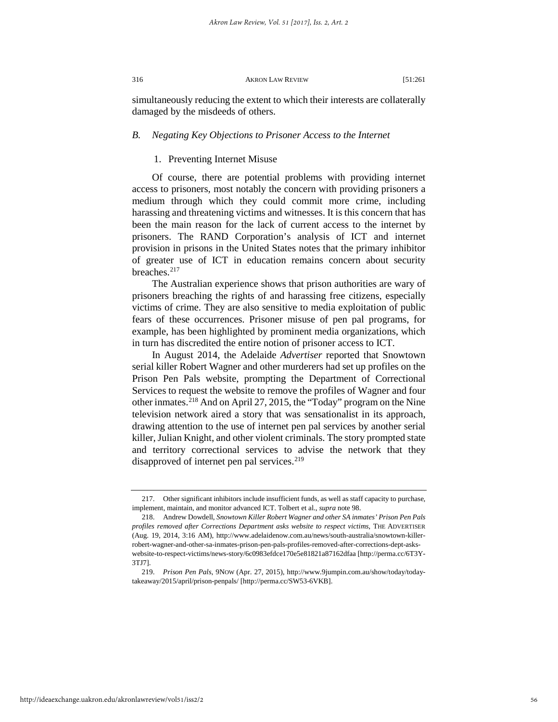simultaneously reducing the extent to which their interests are collaterally damaged by the misdeeds of others.

## *B. Negating Key Objections to Prisoner Access to the Internet*

## 1. Preventing Internet Misuse

Of course, there are potential problems with providing internet access to prisoners, most notably the concern with providing prisoners a medium through which they could commit more crime, including harassing and threatening victims and witnesses. It is this concern that has been the main reason for the lack of current access to the internet by prisoners. The RAND Corporation's analysis of ICT and internet provision in prisons in the United States notes that the primary inhibitor of greater use of ICT in education remains concern about security breaches.<sup>[217](#page-56-0)</sup>

The Australian experience shows that prison authorities are wary of prisoners breaching the rights of and harassing free citizens, especially victims of crime. They are also sensitive to media exploitation of public fears of these occurrences. Prisoner misuse of pen pal programs, for example, has been highlighted by prominent media organizations, which in turn has discredited the entire notion of prisoner access to ICT.

In August 2014, the Adelaide *Advertiser* reported that Snowtown serial killer Robert Wagner and other murderers had set up profiles on the Prison Pen Pals website, prompting the Department of Correctional Services to request the website to remove the profiles of Wagner and four other inmates.[218](#page-56-1) And on April 27, 2015, the "Today" program on the Nine television network aired a story that was sensationalist in its approach, drawing attention to the use of internet pen pal services by another serial killer, Julian Knight, and other violent criminals. The story prompted state and territory correctional services to advise the network that they disapproved of internet pen pal services.<sup>[219](#page-56-2)</sup>

<span id="page-56-0"></span><sup>217.</sup> Other significant inhibitors include insufficient funds, as well as staff capacity to purchase, implement, maintain, and monitor advanced ICT. Tolbert et al., *supra* note 98.

<span id="page-56-1"></span><sup>218.</sup> Andrew Dowdell, *Snowtown Killer Robert Wagner and other SA inmates' Prison Pen Pals profiles removed after Corrections Department asks website to respect victims*, THE ADVERTISER (Aug. 19, 2014, 3:16 AM), http://www.adelaidenow.com.au/news/south-australia/snowtown-killerrobert-wagner-and-other-sa-inmates-prison-pen-pals-profiles-removed-after-corrections-dept-askswebsite-to-respect-victims/news-story/6c0983efdce170e5e81821a87162dfaa [http://perma.cc/6T3Y-3TJ7].

<span id="page-56-2"></span><sup>219.</sup> *Prison Pen Pals*, 9NOW (Apr. 27, 2015), http://www.9jumpin.com.au/show/today/todaytakeaway/2015/april/prison-penpals/ [http://perma.cc/SW53-6VKB].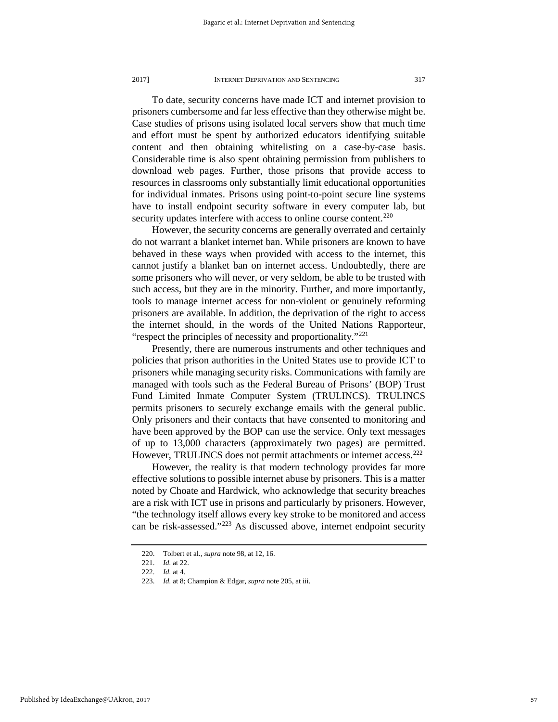To date, security concerns have made ICT and internet provision to prisoners cumbersome and far less effective than they otherwise might be. Case studies of prisons using isolated local servers show that much time and effort must be spent by authorized educators identifying suitable content and then obtaining whitelisting on a case-by-case basis. Considerable time is also spent obtaining permission from publishers to download web pages. Further, those prisons that provide access to resources in classrooms only substantially limit educational opportunities for individual inmates. Prisons using point-to-point secure line systems have to install endpoint security software in every computer lab, but security updates interfere with access to online course content.<sup>[220](#page-57-0)</sup>

However, the security concerns are generally overrated and certainly do not warrant a blanket internet ban. While prisoners are known to have behaved in these ways when provided with access to the internet, this cannot justify a blanket ban on internet access. Undoubtedly, there are some prisoners who will never, or very seldom, be able to be trusted with such access, but they are in the minority. Further, and more importantly, tools to manage internet access for non-violent or genuinely reforming prisoners are available. In addition, the deprivation of the right to access the internet should, in the words of the United Nations Rapporteur, "respect the principles of necessity and proportionality."<sup>[221](#page-57-1)</sup>

Presently, there are numerous instruments and other techniques and policies that prison authorities in the United States use to provide ICT to prisoners while managing security risks. Communications with family are managed with tools such as the Federal Bureau of Prisons' (BOP) Trust Fund Limited Inmate Computer System (TRULINCS). TRULINCS permits prisoners to securely exchange emails with the general public. Only prisoners and their contacts that have consented to monitoring and have been approved by the BOP can use the service. Only text messages of up to 13,000 characters (approximately two pages) are permitted. However, TRULINCS does not permit attachments or internet access.<sup>222</sup>

However, the reality is that modern technology provides far more effective solutions to possible internet abuse by prisoners. This is a matter noted by Choate and Hardwick, who acknowledge that security breaches are a risk with ICT use in prisons and particularly by prisoners. However, "the technology itself allows every key stroke to be monitored and access can be risk-assessed."[223](#page-57-3) As discussed above, internet endpoint security

<sup>220.</sup> Tolbert et al., *supra* note 98, at 12, 16.

<sup>221.</sup> *Id.* at 22.

<span id="page-57-2"></span><span id="page-57-1"></span><span id="page-57-0"></span><sup>222.</sup> *Id.* at 4.

<span id="page-57-3"></span><sup>223.</sup> *Id.* at 8; Champion & Edgar, *supra* note 205, at iii.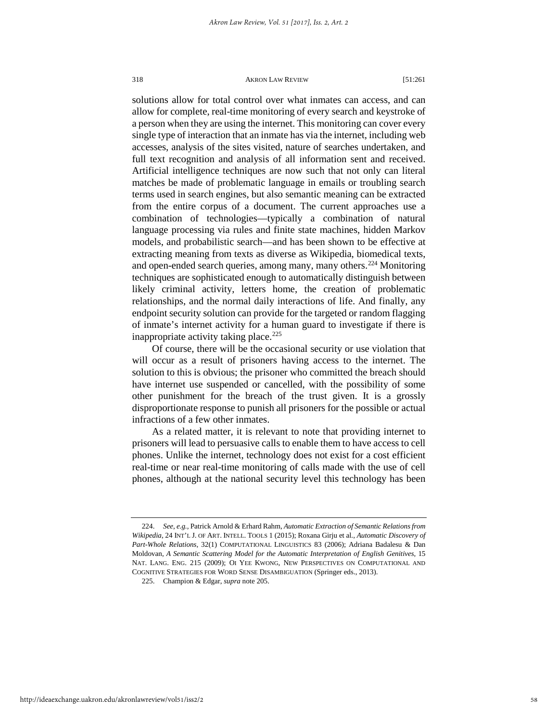solutions allow for total control over what inmates can access, and can allow for complete, real-time monitoring of every search and keystroke of a person when they are using the internet. This monitoring can cover every single type of interaction that an inmate has via the internet, including web accesses, analysis of the sites visited, nature of searches undertaken, and full text recognition and analysis of all information sent and received. Artificial intelligence techniques are now such that not only can literal matches be made of problematic language in emails or troubling search terms used in search engines, but also semantic meaning can be extracted from the entire corpus of a document. The current approaches use a combination of technologies—typically a combination of natural language processing via rules and finite state machines, hidden Markov models, and probabilistic search—and has been shown to be effective at extracting meaning from texts as diverse as Wikipedia, biomedical texts, and open-ended search queries, among many, many others.<sup>[224](#page-58-0)</sup> Monitoring techniques are sophisticated enough to automatically distinguish between likely criminal activity, letters home, the creation of problematic relationships, and the normal daily interactions of life. And finally, any endpoint security solution can provide for the targeted or random flagging of inmate's internet activity for a human guard to investigate if there is inappropriate activity taking place.<sup>[225](#page-58-1)</sup>

Of course, there will be the occasional security or use violation that will occur as a result of prisoners having access to the internet. The solution to this is obvious; the prisoner who committed the breach should have internet use suspended or cancelled, with the possibility of some other punishment for the breach of the trust given. It is a grossly disproportionate response to punish all prisoners for the possible or actual infractions of a few other inmates.

As a related matter, it is relevant to note that providing internet to prisoners will lead to persuasive calls to enable them to have access to cell phones. Unlike the internet, technology does not exist for a cost efficient real-time or near real-time monitoring of calls made with the use of cell phones, although at the national security level this technology has been

<span id="page-58-0"></span><sup>224.</sup> *See*, *e.g.,* Patrick Arnold & Erhard Rahm, *Automatic Extraction of Semantic Relations from Wikipedia*, 24 INT'L J. OF ART. INTELL. TOOLS 1 (2015); Roxana Girju et al., *Automatic Discovery of Part-Whole Relations*, 32(1) COMPUTATIONAL LINGUISTICS 83 (2006); Adriana Badalesu & Dan Moldovan, *A Semantic Scattering Model for the Automatic Interpretation of English Genitives*, 15 NAT. LANG. ENG. 215 (2009); OI YEE KWONG, NEW PERSPECTIVES ON COMPUTATIONAL AND COGNITIVE STRATEGIES FOR WORD SENSE DISAMBIGUATION (Springer eds., 2013).

<span id="page-58-1"></span><sup>225.</sup> Champion & Edgar, *supra* note 205.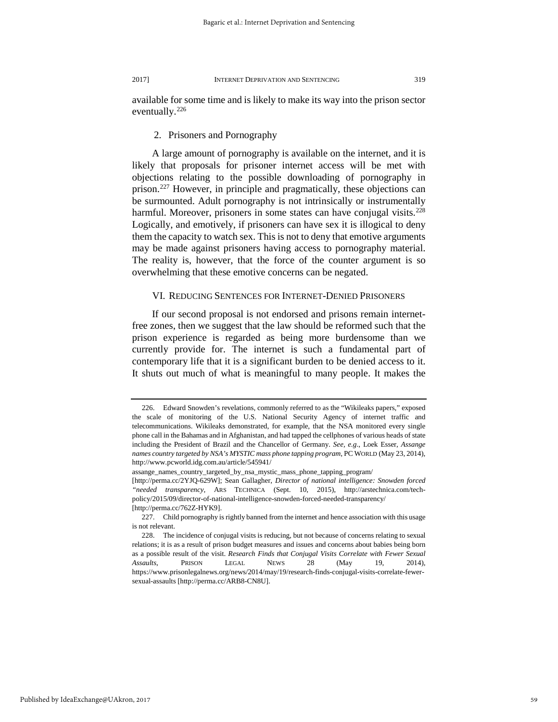available for some time and is likely to make its way into the prison sector eventually.<sup>[226](#page-59-0)</sup>

## 2. Prisoners and Pornography

A large amount of pornography is available on the internet, and it is likely that proposals for prisoner internet access will be met with objections relating to the possible downloading of pornography in prison.[227](#page-59-1) However, in principle and pragmatically, these objections can be surmounted. Adult pornography is not intrinsically or instrumentally harmful. Moreover, prisoners in some states can have conjugal visits.<sup>228</sup> Logically, and emotively, if prisoners can have sex it is illogical to deny them the capacity to watch sex. This is not to deny that emotive arguments may be made against prisoners having access to pornography material. The reality is, however, that the force of the counter argument is so overwhelming that these emotive concerns can be negated.

## VI. REDUCING SENTENCES FOR INTERNET-DENIED PRISONERS

If our second proposal is not endorsed and prisons remain internetfree zones, then we suggest that the law should be reformed such that the prison experience is regarded as being more burdensome than we currently provide for. The internet is such a fundamental part of contemporary life that it is a significant burden to be denied access to it. It shuts out much of what is meaningful to many people. It makes the

<span id="page-59-0"></span><sup>226.</sup> Edward Snowden's revelations, commonly referred to as the "Wikileaks papers," exposed the scale of monitoring of the U.S. National Security Agency of internet traffic and telecommunications. Wikileaks demonstrated, for example, that the NSA monitored every single phone call in the Bahamas and in Afghanistan, and had tapped the cellphones of various heads of state including the President of Brazil and the Chancellor of Germany. *See, e.g*., Loek Esser, *Assange names country targeted by NSA's MYSTIC mass phone tapping program*, PC WORLD (May 23, 2014), http://www.pcworld.idg.com.au/article/545941/

assange\_names\_country\_targeted\_by\_nsa\_mystic\_mass\_phone\_tapping\_program/

<sup>[</sup>http://perma.cc/2YJQ-629W]; Sean Gallagher, *Director of national intelligence: Snowden forced "needed transparency*, ARS TECHNICA (Sept. 10, 2015), http://arstechnica.com/techpolicy/2015/09/director-of-national-intelligence-snowden-forced-needed-transparency/ [http://perma.cc/762Z-HYK9].

<span id="page-59-1"></span><sup>227.</sup> Child pornography is rightly banned from the internet and hence association with this usage is not relevant.

<span id="page-59-2"></span><sup>228.</sup> The incidence of conjugal visits is reducing, but not because of concerns relating to sexual relations; it is as a result of prison budget measures and issues and concerns about babies being born as a possible result of the visit. *Research Finds that Conjugal Visits Correlate with Fewer Sexual Assaults*, PRISON LEGAL NEWS 28 (May 19, 2014), https://www.prisonlegalnews.org/news/2014/may/19/research-finds-conjugal-visits-correlate-fewersexual-assaults [http://perma.cc/ARB8-CN8U].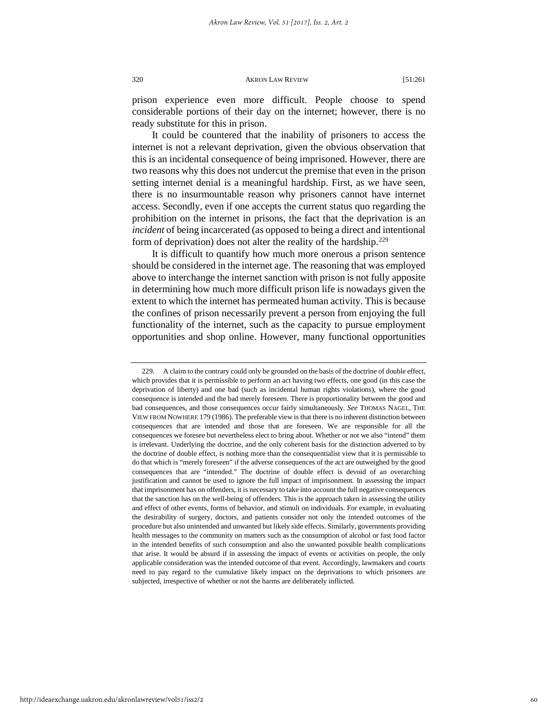prison experience even more difficult. People choose to spend considerable portions of their day on the internet; however, there is no ready substitute for this in prison.

It could be countered that the inability of prisoners to access the internet is not a relevant deprivation, given the obvious observation that this is an incidental consequence of being imprisoned. However, there are two reasons why this does not undercut the premise that even in the prison setting internet denial is a meaningful hardship. First, as we have seen, there is no insurmountable reason why prisoners cannot have internet access. Secondly, even if one accepts the current status quo regarding the prohibition on the internet in prisons, the fact that the deprivation is an *incident* of being incarcerated (as opposed to being a direct and intentional form of deprivation) does not alter the reality of the hardship.<sup>[229](#page-60-0)</sup>

It is difficult to quantify how much more onerous a prison sentence should be considered in the internet age. The reasoning that was employed above to interchange the internet sanction with prison is not fully apposite in determining how much more difficult prison life is nowadays given the extent to which the internet has permeated human activity. This is because the confines of prison necessarily prevent a person from enjoying the full functionality of the internet, such as the capacity to pursue employment opportunities and shop online. However, many functional opportunities

<span id="page-60-0"></span><sup>229.</sup> A claim to the contrary could only be grounded on the basis of the doctrine of double effect, which provides that it is permissible to perform an act having two effects, one good (in this case the deprivation of liberty) and one bad (such as incidental human rights violations), where the good consequence is intended and the bad merely foreseen. There is proportionality between the good and bad consequences, and those consequences occur fairly simultaneously. *See* THOMAS NAGEL, THE VIEW FROM NOWHERE 179 (1986). The preferable view is that there is no inherent distinction between consequences that are intended and those that are foreseen. We are responsible for all the consequences we foresee but nevertheless elect to bring about. Whether or not we also "intend" them is irrelevant. Underlying the doctrine, and the only coherent basis for the distinction adverted to by the doctrine of double effect, is nothing more than the consequentialist view that it is permissible to do that which is "merely foreseen" if the adverse consequences of the act are outweighed by the good consequences that are "intended." The doctrine of double effect is devoid of an overarching justification and cannot be used to ignore the full impact of imprisonment. In assessing the impact that imprisonment has on offenders, it is necessary to take into account the full negative consequences that the sanction has on the well-being of offenders. This is the approach taken in assessing the utility and effect of other events, forms of behavior, and stimuli on individuals. For example, in evaluating the desirability of surgery, doctors, and patients consider not only the intended outcomes of the procedure but also unintended and unwanted but likely side effects. Similarly, governments providing health messages to the community on matters such as the consumption of alcohol or fast food factor in the intended benefits of such consumption and also the unwanted possible health complications that arise. It would be absurd if in assessing the impact of events or activities on people, the only applicable consideration was the intended outcome of that event. Accordingly, lawmakers and courts need to pay regard to the cumulative likely impact on the deprivations to which prisoners are subjected, irrespective of whether or not the harms are deliberately inflicted.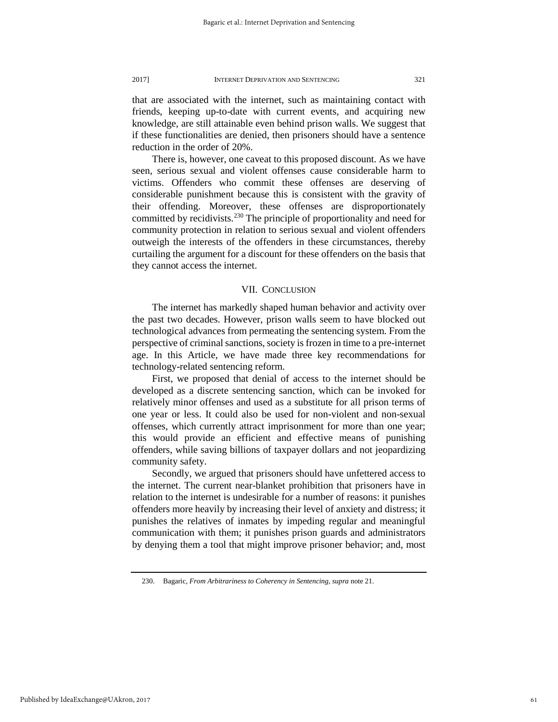that are associated with the internet, such as maintaining contact with friends, keeping up-to-date with current events, and acquiring new knowledge, are still attainable even behind prison walls. We suggest that if these functionalities are denied, then prisoners should have a sentence reduction in the order of 20%.

There is, however, one caveat to this proposed discount. As we have seen, serious sexual and violent offenses cause considerable harm to victims. Offenders who commit these offenses are deserving of considerable punishment because this is consistent with the gravity of their offending. Moreover, these offenses are disproportionately committed by recidivists.<sup>[230](#page-61-0)</sup> The principle of proportionality and need for community protection in relation to serious sexual and violent offenders outweigh the interests of the offenders in these circumstances, thereby curtailing the argument for a discount for these offenders on the basis that they cannot access the internet.

### VII. CONCLUSION

The internet has markedly shaped human behavior and activity over the past two decades. However, prison walls seem to have blocked out technological advances from permeating the sentencing system. From the perspective of criminal sanctions, society is frozen in time to a pre-internet age. In this Article, we have made three key recommendations for technology-related sentencing reform.

First, we proposed that denial of access to the internet should be developed as a discrete sentencing sanction, which can be invoked for relatively minor offenses and used as a substitute for all prison terms of one year or less. It could also be used for non-violent and non-sexual offenses, which currently attract imprisonment for more than one year; this would provide an efficient and effective means of punishing offenders, while saving billions of taxpayer dollars and not jeopardizing community safety.

Secondly, we argued that prisoners should have unfettered access to the internet. The current near-blanket prohibition that prisoners have in relation to the internet is undesirable for a number of reasons: it punishes offenders more heavily by increasing their level of anxiety and distress; it punishes the relatives of inmates by impeding regular and meaningful communication with them; it punishes prison guards and administrators by denying them a tool that might improve prisoner behavior; and, most

<span id="page-61-0"></span>Published by IdeaExchange@UAkron, 2017

<sup>230.</sup> Bagaric, *From Arbitrariness to Coherency in Sentencing*, *supra* note 21.